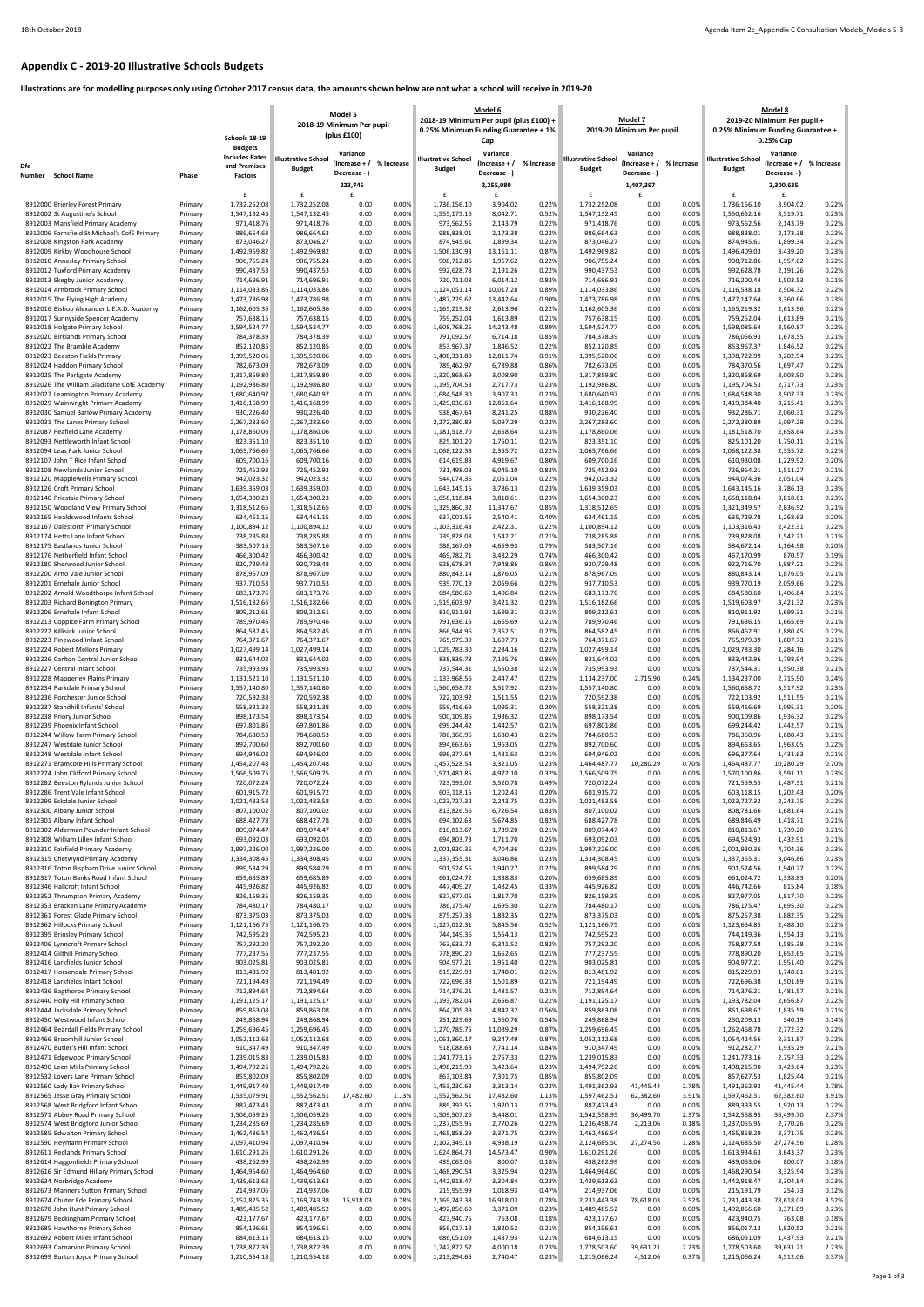## **Appendix C - 2019-20 Illustrative Schools Budgets**

**Illustrations are for modelling purposes only using October 2017 census data, the amounts shown below are not what a school will receive in 2019-20**

| <b>Budgets</b><br>Variance<br>Variance<br>Variance<br>Variance<br><b>Includes Rates</b><br><b>Illustrative School</b><br><b>Illustrative School</b><br><b>Illustrative School</b><br><b>Illustrative School</b><br>% Increase<br>% Increase<br>% Increase<br>% Increase<br>(Increase + /<br>(Increase + /<br>(Increase + /<br>(Increase + /<br>Dfe<br>and Premises<br><b>Budget</b><br><b>Budget</b><br><b>Budget</b><br><b>Budget</b><br>Decrease -<br>Decrease - )<br>Decrease - )<br>Decrease - )<br>Number<br><b>School Name</b><br>Phase<br><b>Factors</b><br>223,746<br>2,255,080<br>1,407,397<br>2,300,635<br>£<br>£<br>£<br>£<br>f<br>£<br>£<br>£<br>1,732,252.08<br>1,732,252.08<br>0.00<br>0.22%<br>1,732,252.08<br>0.00<br>0.00%<br>1,736,156.10<br>3,904.02<br>0.22%<br>8912000 Brierley Forest Primary<br>Primary<br>0.00%<br>1,736,156.10<br>3,904.02<br>0.00%<br>0.52%<br>0.23%<br>8912002 St Augustine's School<br>Primary<br>1,547,132.45<br>1,547,132.45<br>0.00<br>1,555,175.16<br>8,042.71<br>1,547,132.45<br>0.00<br>0.00%<br>1,550,652.16<br>3,519.71<br>0.22%<br>971,418.76<br>0.00<br>0.00%<br>973,562.56<br>0.00<br>0.00%<br>973,562.56<br>2,143.79<br>0.22%<br>8912003 Mansfield Primary Academy<br>971.418.76<br>2,143.79<br>971,418.76<br>Primary<br>8912006 Farnsfield St Michael's CofE Primary<br>986,664.63<br>0.00<br>0.00%<br>988,838.01<br>2,173.38<br>0.22%<br>0.00<br>0.00%<br>988,838.01<br>2,173.38<br>0.22%<br>986,664.63<br>986,664.63<br>Primary<br>873,046.27<br>0.00<br>1,899.34<br>0.22%<br>0.00<br>0.00%<br>874,945.61<br>1,899.34<br>0.22%<br>8912008 Kingston Park Academy<br>Primary<br>873,046.27<br>0.00%<br>874,945.61<br>873,046.27<br>0.87%<br>0.23%<br>8912009 Kirkby Woodhouse School<br>Primary<br>1,492,969.82<br>1,492,969.82<br>0.00<br>0.00%<br>1,506,130.93<br>13,161.11<br>1,492,969.82<br>0.00<br>0.00%<br>1,496,409.03<br>3,439.20<br>0.00%<br>0.22%<br>0.00%<br>0.22%<br>8912010 Annesley Primary School<br>906,755.24<br>906,755.24<br>0.00<br>908,712.86<br>1,957.62<br>906,755.24<br>0.00<br>908,712.86<br>1,957.62<br>Primary<br>8912012 Tuxford Primary Academy<br>990,437.53<br>990,437.53<br>0.00<br>0.00%<br>992,628.78<br>0.22%<br>990,437.53<br>0.00<br>0.00%<br>992,628.78<br>2,191.26<br>0.22%<br>2,191.26<br>Primary<br>714,696.91<br>0.00<br>720,711.03<br>6,014.12<br>0.83%<br>0.00<br>0.00%<br>716,200.44<br>1,503.53<br>0.21%<br>8912013 Skegby Junior Academy<br>Primary<br>714,696.91<br>0.00%<br>714,696.91<br>0.00%<br>0.89%<br>0.00%<br>2,504.32<br>0.22%<br>8912014 Arnbrook Primary School<br>1,114,033.86<br>1,114,033.86<br>0.00<br>1,124,051.14<br>10,017.28<br>1,114,033.86<br>0.00<br>1,116,538.18<br>Primary<br>0.23%<br>1,473,786.98<br>0.00<br>0.00%<br>1,487,229.62<br>13,442.64<br>0.90%<br>0.00<br>0.00%<br>8912015 The Flying High Academy<br>1,473,786.98<br>1,473,786.98<br>1,477,147.64<br>3,360.66<br>Primary<br>1,162,605.36<br>0.00<br>0.00%<br>0.22%<br>0.00<br>0.00%<br>1,165,219.32<br>0.22%<br>8912016 Bishop Alexander L.E.A.D. Academy<br>1,162,605.36<br>1,165,219.32<br>2,613.96<br>1,162,605.36<br>2,613.96<br>Primary<br>0.00<br>0.00%<br>0.21%<br>0.00<br>0.00%<br>759,252.04<br>0.21%<br>8912017 Sunnyside Spencer Academy<br>757,638.15<br>757,638.15<br>759,252.04<br>1,613.89<br>757,638.15<br>1,613.89<br>Primary<br>0.89%<br>0.00%<br>0.22%<br>8912018 Holgate Primary School<br>Primary<br>1,594,524.77<br>1,594,524.77<br>0.00<br>0.00%<br>1,608,768.25<br>14,243.48<br>1,594,524.77<br>0.00<br>1,598,085.64<br>3,560.87<br>0.00%<br>0.85%<br>0.00%<br>0.21%<br>8912020 Birklands Primary School<br>784,378.39<br>784,378.39<br>0.00<br>791,092.57<br>6,714.18<br>784,378.39<br>0.00<br>786,056.93<br>1,678.55<br>Primary<br>852,120.85<br>852,120.85<br>0.00<br>0.00%<br>853,967.37<br>1,846.52<br>0.22%<br>852,120.85<br>0.00<br>0.00%<br>853,967.37<br>1,846.52<br>0.22%<br>8912022 The Bramble Academy<br>Primary<br>1,395,520.06<br>1,395,520.06<br>0.00<br>0.00%<br>1,408,331.80<br>12,811.74<br>0.91%<br>1,395,520.06<br>0.00<br>0.00%<br>1,398,722.99<br>3,202.94<br>0.23%<br>8912023 Beeston Fields Primary<br>Primary<br>0.00%<br>0.86%<br>784,370.56<br>0.22%<br>8912024 Haddon Primary School<br>Primary<br>782,673.09<br>782,673.09<br>0.00<br>789,462.97<br>6,789.88<br>782,673.09<br>0.00<br>0.00%<br>1,697.47<br>0.23%<br>1,317,859.80<br>1,317,859.80<br>0.00<br>0.00%<br>1,320,868.69<br>3,008.90<br>1,317,859.80<br>0.00<br>0.00%<br>1,320,868.69<br>3,008.90<br>0.23%<br>8912025 The Parkgate Academy<br>Primary<br>0.00<br>0.00%<br>0.23%<br>0.00<br>0.00%<br>2,717.73<br>0.23%<br>8912026 The William Gladstone CofE Academy<br>1,192,986.80<br>1,192,986.80<br>1,195,704.53<br>2,717.73<br>1,192,986.80<br>1,195,704.53<br>Primary<br>1,680,640.97<br>0.00<br>0.00%<br>3,907.33<br>0.23%<br>0.00<br>0.00%<br>1,684,548.30<br>3,907.33<br>0.23%<br>8912027 Leamington Primary Academy<br>1,680,640.97<br>1,684,548.30<br>1,680,640.97<br>Primary<br>0.00<br>0.00%<br>0.90%<br>0.00<br>0.00%<br>1,419,384.40<br>0.23%<br>8912029 Wainwright Primary Academy<br>1,416,168.99<br>1,416,168.99<br>1,429,030.63<br>12,861.64<br>1,416,168.99<br>3,215.41<br>Primary<br>0.88%<br>0.00%<br>0.22%<br>8912030 Samuel Barlow Primary Academy<br>Primary<br>930,226.40<br>930,226.40<br>0.00<br>0.00%<br>938,467.64<br>8,241.25<br>930,226.40<br>0.00<br>932,286.71<br>2,060.31<br>0.00%<br>0.22%<br>0.00%<br>5,097.29<br>0.22%<br>8912031 The Lanes Primary School<br>2,267,283.60<br>2,267,283.60<br>0.00<br>2,272,380.89<br>5,097.29<br>2,267,283.60<br>0.00<br>2,272,380.89<br>Primary<br>1,178,860.06<br>0.00<br>0.00%<br>0.23%<br>1,178,860.06<br>0.00<br>0.00%<br>2,658.64<br>0.23%<br>8912087 Peafield Lane Academy<br>1,178,860.06<br>1,181,518.70<br>2,658.64<br>1,181,518.70<br>Primary<br>823,351.10<br>823,351.10<br>0.00<br>0.00%<br>825,101.20<br>0.21%<br>823,351.10<br>0.00<br>0.00%<br>825,101.20<br>1,750.11<br>0.21%<br>8912093 Nettleworth Infant School<br>Primary<br>1,750.11<br>0.22%<br>1,068,122.38<br>0.22%<br>8912094 Leas Park Junior School<br>Primary<br>1,065,766.66<br>1,065,766.66<br>0.00<br>0.00%<br>1,068,122.38<br>2,355.72<br>1,065,766.66<br>0.00<br>0.00%<br>2,355.72<br>0.80%<br>609,700.16<br>609,700.16<br>0.00%<br>609,700.16<br>0.00%<br>610,930.08<br>1,229.92<br>0.20%<br>8912107 John T Rice Infant School<br>0.00<br>614,619.83<br>4,919.67<br>0.00<br>Primary<br>725,452.93<br>0.00<br>0.00%<br>731,498.03<br>0.83%<br>0.00<br>0.00%<br>726,964.21<br>1,511.27<br>0.21%<br>8912108 Newlands Junior School<br>725,452.93<br>6,045.10<br>725,452.93<br>Primary<br>942,023.32<br>942,023.32<br>0.00<br>944,074.36<br>0.22%<br>942,023.32<br>0.00<br>0.00%<br>944,074.36<br>2,051.04<br>0.22%<br>8912120 Mapplewells Primary School<br>0.00%<br>2,051.04<br>Primary<br>0.23%<br>0.23%<br>8912126 Croft Primary School<br>1,639,359.03<br>1,639,359.03<br>0.00<br>0.00%<br>1,643,145.16<br>3,786.13<br>1,639,359.03<br>0.00<br>0.00%<br>1,643,145.16<br>3,786.13<br>Primary<br>0.00%<br>0.23%<br>0.00%<br>0.23%<br>8912140 Priestsic Primary School<br>1,654,300.23<br>1,654,300.23<br>0.00<br>1,658,118.84<br>3,818.61<br>1,654,300.23<br>0.00<br>1,658,118.84<br>3,818.61<br>Primary<br>0.00<br>0.00%<br>1,329,860.32<br>0.85%<br>1,318,512.65<br>0.00<br>0.00%<br>1,321,349.57<br>2,836.92<br>0.21%<br>8912150 Woodland View Primary School<br>1,318,512.65<br>1,318,512.65<br>11,347.67<br>Primary<br>0.00<br>637,001.56<br>2,540.41<br>0.40%<br>0.00<br>0.00%<br>635,729.78<br>1,268.63<br>0.20%<br>8912165 Healdswood Infants School<br>Primary<br>634,461.15<br>634,461.15<br>0.00%<br>634,461.15<br>0.00%<br>0.22%<br>0.00%<br>1,103,316.43<br>0.22%<br>8912167 Dalestorth Primary School<br>1,100,894.12<br>1,100,894.12<br>0.00<br>1,103,316.43<br>2,422.31<br>1,100,894.12<br>0.00<br>2,422.31<br>Primary<br>738,285.88<br>738,285.88<br>0.00<br>0.00%<br>739,828.08<br>1,542.21<br>0.21%<br>738,285.88<br>0.00<br>0.00%<br>739,828.08<br>1,542.21<br>0.21%<br>8912174 Hetts Lane Infant School<br>Primary<br>583,507.16<br>583,507.16<br>0.00<br>0.00%<br>588,167.09<br>4,659.93<br>0.79%<br>583,507.16<br>0.00<br>0.00%<br>584,672.14<br>0.20%<br>8912175 Eastlands Junior School<br>1,164.98<br>Primary<br>466,300.42<br>0.00%<br>0.19%<br>8912176 Netherfield Infant School<br>466,300.42<br>0.00<br>0.00%<br>469,782.71<br>3,482.29<br>0.74%<br>466,300.42<br>0.00<br>467,170.99<br>870.57<br>Primary<br>0.22%<br>8912180 Sherwood Junior School<br>920,729.48<br>920,729.48<br>0.00<br>0.00%<br>928,678.34<br>7,948.86<br>0.86%<br>920,729.48<br>0.00<br>0.00%<br>922,716.70<br>1,987.21<br>Primary<br>0.00<br>0.00%<br>1,876.05<br>0.00<br>0.00%<br>1,876.05<br>0.21%<br>8912200 Arno Vale Junior School<br>878,967.09<br>878,967.09<br>880,843.14<br>0.21%<br>878,967.09<br>880,843.14<br>Primary<br>937,710.53<br>0.00<br>0.00%<br>939,770.19<br>2,059.66<br>0.22%<br>0.00<br>0.00%<br>939,770.19<br>2,059.66<br>0.22%<br>8912201 Ernehale Junior School<br>937,710.53<br>937,710.53<br>Primary<br>0.21%<br>683,173.76<br>683,173.76<br>0.00<br>0.00%<br>684,580.60<br>0.21%<br>0.00<br>0.00%<br>684,580.60<br>8912202 Arnold Woodthorpe Infant School<br>1,406.84<br>683,173.76<br>1,406.84<br>Primary<br>1,516,182.66<br>0.00%<br>3,421.32<br>0.23%<br>3,421.32<br>0.23%<br>8912203 Richard Bonington Primary<br>Primary<br>1,516,182.66<br>0.00<br>1,519,603.97<br>1,516,182.66<br>0.00<br>0.00%<br>1,519,603.97<br>8912206 Ernehale Infant School<br>809,212.61<br>809,212.61<br>0.00%<br>810,911.92<br>1,699.31<br>0.21%<br>809,212.61<br>0.00%<br>810,911.92<br>1,699.31<br>0.21%<br>Primary<br>0.00<br>0.00<br>789,970.46<br>789,970.46<br>0.00<br>0.00%<br>791,636.15<br>1,665.69<br>0.21%<br>789,970.46<br>0.00<br>0.00%<br>791,636.15<br>1,665.69<br>0.21%<br>8912213 Coppice Farm Primary School<br>Primary<br>0.22%<br>8912222 Killisick Junior School<br>864,582.45<br>864,582.45<br>0.00<br>0.00%<br>866,944.96<br>2,362.51<br>0.27%<br>864,582.45<br>0.00<br>0.00%<br>866,462.91<br>1,880.45<br>Primary<br>8912223 Pinewood Infant School<br>764,371.67<br>764,371.67<br>0.00<br>0.00%<br>765,979.39<br>1,607.73<br>0.21%<br>764,371.67<br>0.00<br>0.00%<br>765,979.39<br>1,607.73<br>0.21%<br>Primary<br>0.22%<br>0.22%<br>8912224 Robert Mellors Primary<br>Primary<br>1,027,499.14<br>1,027,499.14<br>0.00<br>0.00%<br>1,029,783.30<br>2,284.16<br>1,027,499.14<br>0.00<br>0.00%<br>1,029,783.30<br>2,284.16<br>0.22%<br>8912226 Carlton Central Junior School<br>831,644.02<br>0.00%<br>838,839.78<br>7,195.76<br>0.86%<br>831,644.02<br>0.00<br>0.00%<br>833,442.96<br>1,798.94<br>831,644.02<br>0.00<br>Primary<br>8912227 Central Infant School<br>735,993.93<br>735,993.93<br>0.00<br>0.00%<br>737,544.31<br>1,550.38<br>0.21%<br>735,993.93<br>0.00<br>0.00%<br>737,544.31<br>1,550.38<br>0.21%<br>Primary<br>1,131,521.10<br>0.00<br>1,133,968.56<br>0.22%<br>1,134,237.00<br>2,715.90<br>0.24%<br>1,134,237.00<br>2,715.90<br>0.24%<br>8912228 Mapperley Plains Primary<br>Primary<br>1,131,521.10<br>0.00%<br>2,447.47<br>0.23%<br>1,557,140.80<br>0.00%<br>1,560,658.72<br>3,517.92<br>0.23%<br>1,557,140.80<br>1,560,658.72<br>3,517.92<br>8912234 Parkdale Primary School<br>Primary<br>1,557,140.80<br>0.00<br>0.00<br>0.00%<br>8912236 Porchester Junior School<br>720,592.38<br>720,592.38<br>0.00<br>0.00%<br>1,511.55<br>0.21%<br>720,592.38<br>0.00<br>0.00%<br>722,103.92<br>1,511.55<br>0.21%<br>Primary<br>722,103.92<br>8912237 Standhill Infants' School<br>558,321.38<br>558,321.38<br>0.00<br>0.00%<br>559,416.69<br>1,095.31<br>0.20%<br>558,321.38<br>0.00<br>0.00%<br>559,416.69<br>1,095.31<br>0.20%<br>Primary<br>898,173.54<br>898,173.54<br>0.00<br>900,109.86<br>1,936.32<br>0.22%<br>898,173.54<br>0.00<br>0.00%<br>900,109.86<br>1,936.32<br>0.22%<br>8912238 Priory Junior School<br>Primary<br>0.00%<br>1,442.57<br>0.21%<br>8912239 Phoenix Infant School<br>Primary<br>697,801.86<br>697,801.86<br>0.00<br>0.00%<br>699,244.42<br>1,442.57<br>0.21%<br>697,801.86<br>0.00<br>0.00%<br>699,244.42<br>8912244 Willow Farm Primary School<br>784,680.53<br>784,680.53<br>0.00%<br>786,360.96<br>1,680.43<br>0.21%<br>0.00<br>0.00%<br>786,360.96<br>1,680.43<br>0.21%<br>Primary<br>0.00<br>784,680.53<br>8912247 Westdale Junior School<br>892,700.60<br>892,700.60<br>0.00<br>0.00%<br>894,663.65<br>1,963.05<br>0.22%<br>892,700.60<br>0.00<br>0.00%<br>894,663.65<br>1,963.05<br>0.22%<br>Primary<br>8912248 Westdale Infant School<br>694,946.02<br>694,946.02<br>0.00<br>696,377.64<br>0.21%<br>694,946.02<br>0.00<br>0.00%<br>696,377.64<br>1,431.63<br>0.21%<br>Primary<br>0.00%<br>1,431.63<br>1,454,207.48<br>1,454,207.48<br>1,457,528.54<br>3,321.05<br>0.23%<br>1,464,487.77<br>0.70%<br>1,464,487.77<br>10,280.29<br>0.70%<br>8912271 Bramcote Hills Primary School<br>Primary<br>0.00<br>0.00%<br>10,280.29<br>0.23%<br>8912274 John Clifford Primary School<br>1,566,509.75<br>1,566,509.75<br>0.00<br>0.00%<br>4,972.10<br>0.32%<br>1,566,509.75<br>0.00%<br>1,570,100.86<br>3,591.11<br>Primary<br>1,571,481.85<br>0.00<br>8912282 Beeston Rylands Junior School<br>720,072.24<br>720,072.24<br>0.00<br>0.00%<br>723,593.02<br>3,520.78<br>0.49%<br>720,072.24<br>0.00<br>0.00%<br>721,559.55<br>1,487.31<br>0.21%<br>Primary<br>8912286 Trent Vale Infant School<br>601,915.72<br>601,915.72<br>0.00<br>0.00%<br>603,118.15<br>1,202.43<br>0.20%<br>601,915.72<br>0.00<br>0.00%<br>603,118.15<br>1,202.43<br>0.20%<br>Primary<br>0.22%<br>2,243.75<br>0.22%<br>8912299 Eskdale Junior School<br>Primary<br>1,021,483.58<br>1,021,483.58<br>0.00<br>0.00%<br>1,023,727.32<br>2,243.75<br>1,021,483.58<br>0.00<br>0.00%<br>1,023,727.32<br>807,100.02<br>807,100.02<br>0.00%<br>813,826.56<br>6,726.54<br>0.83%<br>807,100.02<br>0.00%<br>808,781.66<br>1,681.64<br>0.21%<br>8912300 Albany Junior School<br>Primary<br>0.00<br>0.00<br>8912301 Albany Infant School<br>688,427.78<br>688,427.78<br>0.00<br>0.00%<br>694,102.63<br>5,674.85<br>0.82%<br>688,427.78<br>0.00<br>0.00%<br>689,846.49<br>1,418.71<br>0.21%<br>Primary<br>8912302 Alderman Pounder Infant School<br>809,074.47<br>809,074.47<br>0.00<br>810,813.67<br>1,739.20<br>0.21%<br>809,074.47<br>0.00<br>0.00%<br>810,813.67<br>1,739.20<br>0.21%<br>Primary<br>0.00%<br>8912308 William Lilley Infant School<br>693,092.03<br>693,092.03<br>694,803.73<br>0.25%<br>693,092.03<br>0.00<br>694,524.93<br>1,432.91<br>0.21%<br>Primary<br>0.00<br>0.00%<br>1,711.70<br>0.00%<br>0.23%<br>8912310 Fairfield Primary Academy<br>1,997,226.00<br>1,997,226.00<br>0.00%<br>2,001,930.36<br>4,704.36<br>1,997,226.00<br>0.00%<br>2,001,930.36<br>4,704.36<br>0.23%<br>Primary<br>0.00<br>0.00<br>0.23%<br>1,334,308.45<br>1,334,308.45<br>0.00<br>0.00%<br>1,337,355.31<br>3,046.86<br>0.23%<br>1,334,308.45<br>0.00<br>0.00%<br>1,337,355.31<br>3,046.86<br>8912315 Chetwynd Primary Academy<br>Primary<br>8912316 Toton Bispham Drive Junior School<br>899,584.29<br>899,584.29<br>0.00<br>0.00%<br>901,524.56<br>1,940.27<br>0.22%<br>899,584.29<br>0.00<br>0.00%<br>901,524.56<br>1,940.27<br>0.22%<br>Primary<br>659,685.89<br>659,685.89<br>0.00<br>661,024.72<br>1,338.83<br>0.20%<br>0.00<br>0.00%<br>661,024.72<br>1,338.83<br>0.20%<br>8912317 Toton Banks Road Infant School<br>0.00%<br>659,685.89<br>Primary<br>445,926.82<br>0.33%<br>446,742.66<br>0.18%<br>8912346 Hallcroft Infant School<br>Primary<br>445,926.82<br>0.00<br>0.00%<br>447,409.27<br>1,482.45<br>445,926.82<br>0.00<br>0.00%<br>815.84<br>0.22%<br>826,159.35<br>826,159.35<br>827,977.05<br>0.22%<br>826,159.35<br>827,977.05<br>8912352 Thrumpton Primary Academy<br>Primary<br>0.00<br>0.00%<br>1,817.70<br>0.00<br>0.00%<br>1,817.70<br>8912353 Bracken Lane Primary Academy<br>784,480.17<br>784,480.17<br>0.00<br>0.00%<br>786,175.47<br>1,695.30<br>0.22%<br>784,480.17<br>0.00<br>0.00%<br>786,175.47<br>1,695.30<br>0.22%<br>Primary<br>8912361 Forest Glade Primary School<br>873,375.03<br>873,375.03<br>0.00<br>875,257.38<br>1,882.35<br>0.22%<br>873,375.03<br>0.00<br>0.00%<br>875,257.38<br>1,882.35<br>0.22%<br>Primary<br>0.00%<br>0.22%<br>8912362 Hillocks Primary School<br>1,127,012.31<br>5,845.56<br>0.52%<br>0.00<br>1,123,654.85<br>2,488.10<br>Primary<br>1,121,166.75<br>1,121,166.75<br>0.00<br>0.00%<br>1,121,166.75<br>0.00%<br>8912395 Brinsley Primary School<br>742,595.23<br>742,595.23<br>0.00<br>0.00%<br>744,149.36<br>1,554.13<br>0.21%<br>742,595.23<br>0.00<br>0.00%<br>1,554.13<br>0.21%<br>Primary<br>744,149.36<br>8912406 Lynncroft Primary School<br>757,292.20<br>757,292.20<br>0.00<br>0.00%<br>763,633.72<br>6,341.52<br>0.83%<br>757,292.20<br>0.00<br>0.00%<br>758,877.58<br>1,585.38<br>0.21%<br>Primary<br>8912414 Gilthill Primary School<br>777,237.55<br>777,237.55<br>0.00<br>0.00%<br>778,890.20<br>0.21%<br>777,237.55<br>0.00<br>0.00%<br>778,890.20<br>1,652.65<br>0.21%<br>Primary<br>1,652.65<br>903,025.81<br>903,025.81<br>904,977.21<br>0.22%<br>903,025.81<br>904,977.21<br>1,951.40<br>0.22%<br>8912416 Larkfields Junior School<br>Primary<br>0.00<br>0.00%<br>1,951.40<br>0.00<br>0.00%<br>813,481.92<br>813,481.92<br>815,229.93<br>0.21%<br>813,481.92<br>0.00%<br>815,229.93<br>0.21%<br>8912417 Horsendale Primary School<br>Primary<br>0.00<br>0.00%<br>1,748.01<br>0.00<br>1,748.01<br>8912418 Larkfields Infant School<br>721,194.49<br>721,194.49<br>0.00<br>0.00%<br>722,696.38<br>1,501.89<br>0.21%<br>721,194.49<br>0.00<br>0.00%<br>722,696.38<br>1,501.89<br>0.21%<br>Primary<br>712,894.64<br>712,894.64<br>0.00<br>714,376.21<br>0.21%<br>712,894.64<br>0.00<br>714,376.21<br>1,481.57<br>0.21%<br>8912436 Bagthorpe Primary School<br>Primary<br>0.00%<br>1,481.57<br>0.00%<br>8912440 Holly Hill Primary School<br>1,191,125.17<br>1,191,125.17<br>1,193,782.04<br>0.22%<br>0.00%<br>1,193,782.04<br>0.22%<br>Primary<br>0.00<br>0.00%<br>2,656.87<br>1,191,125.17<br>0.00<br>2,656.87<br>0.21%<br>8912444 Jacksdale Primary School<br>859,863.08<br>859,863.08<br>0.00<br>0.00%<br>864,705.39<br>4,842.32<br>0.56%<br>0.00<br>0.00%<br>861,698.67<br>1,835.59<br>Primary<br>859,863.08<br>8912450 Westwood Infant School<br>249,868.94<br>249,868.94<br>0.00<br>0.00%<br>251,229.69<br>1,360.76<br>0.54%<br>249,868.94<br>0.00<br>0.00%<br>250,209.13<br>340.19<br>0.14%<br>Primary<br>8912464 Beardall Fields Primary School<br>0.00<br>0.00%<br>1,270,785.75<br>0.87%<br>0.00<br>0.00%<br>1,262,468.78<br>2,772.32<br>0.22%<br>1,259,696.45<br>1,259,696.45<br>11,089.29<br>1,259,696.45<br>Primary<br>0.87%<br>0.00%<br>0.22%<br>8912466 Broomhill Junior School<br>Primary<br>1,052,112.68<br>1,052,112.68<br>0.00<br>0.00%<br>1,061,360.17<br>9,247.49<br>1,052,112.68<br>0.00<br>1,054,424.56<br>2,311.87<br>8912470 Butler's Hill Infant School<br>910,347.49<br>910,347.49<br>0.00%<br>910,347.49<br>912,282.77<br>1,935.29<br>0.21%<br>Primary<br>0.00<br>918,088.63<br>7,741.14<br>0.84%<br>0.00<br>0.00%<br>8912471 Edgewood Primary School<br>1,239,015.83<br>1,239,015.83<br>0.00<br>0.00%<br>1,241,773.16<br>2,757.33<br>0.22%<br>1,239,015.83<br>0.00<br>0.00%<br>1,241,773.16<br>2,757.33<br>0.22%<br>Primary<br>8912490 Leen Mills Primary School<br>1,494,792.26<br>0.00<br>0.00%<br>1,498,215.90<br>3,423.64<br>0.23%<br>0.00<br>0.00%<br>1,498,215.90<br>3,423.64<br>0.23%<br>Primary<br>1,494,792.26<br>1,494,792.26<br>855,802.09<br>0.00<br>0.00%<br>0.85%<br>855,802.09<br>0.00<br>0.00%<br>857,627.53<br>1,825.44<br>0.21%<br>8912532 Lovers Lane Primary School<br>Primary<br>855,802.09<br>863,103.84<br>7,301.75<br>8912560 Lady Bay Primary School<br>1,449,917.49<br>0.00<br>0.00%<br>1,453,230.63<br>3,313.14<br>0.23%<br>41,445.44<br>2.78%<br>1,491,362.93<br>41,445.44<br>2.78%<br>1,449,917.49<br>1,491,362.93<br>Primary<br>1.13%<br>1,552,562.51<br>1.13%<br>62,382.60<br>3.91%<br>62,382.60<br>3.91%<br>8912565 Jesse Gray Primary School<br>1,535,079.91<br>1,552,562.51<br>17,482.60<br>17,482.60<br>1,597,462.51<br>1,597,462.51<br>Primary<br>8912568 West Bridgford Infant School<br>887,473.43<br>887,473.43<br>0.00%<br>889,393.55<br>1,920.13<br>0.22%<br>887,473.43<br>0.00<br>0.00%<br>889,393.55<br>1,920.13<br>0.22%<br>Primary<br>0.00<br>8912571 Abbey Road Primary School<br>1,506,059.25<br>0.00%<br>1,509,507.26<br>0.23%<br>2.37%<br>1,542,558.95<br>36,499.70<br>2.37%<br>Primary<br>1,506,059.25<br>0.00<br>3,448.01<br>1,542,558.95<br>36,499.70<br>0.22%<br>0.18%<br>2,770.26<br>0.22%<br>8912574 West Bridgford Junior School<br>Primary<br>1,234,285.69<br>1,234,285.69<br>0.00<br>0.00%<br>1,237,055.95<br>2,770.26<br>1,236,498.74<br>2,213.06<br>1,237,055.95<br>0.00%<br>0.00%<br>0.23%<br>8912585 Edwalton Primary School<br>1,462,486.54<br>1,462,486.54<br>0.00<br>1,465,858.29<br>3,371.75<br>0.23%<br>1,462,486.54<br>0.00<br>1,465,858.29<br>3,371.75<br>Primary<br>8912590 Heymann Primary School<br>2,097,410.94<br>2,097,410.94<br>0.00%<br>2,102,349.13<br>4,938.19<br>0.23%<br>2,124,685.50<br>1.28%<br>2,124,685.50<br>27,274.56<br>1.28%<br>Primary<br>0.00<br>27,274.56<br>8912611 Redlands Primary School<br>1,610,291.26<br>1,610,291.26<br>0.00%<br>0.90%<br>1,610,291.26<br>0.00%<br>1,613,934.63<br>0.23%<br>Primary<br>0.00<br>1,624,864.73<br>14,573.47<br>0.00<br>3,643.37<br>438,262.99<br>438,262.99<br>8912614 Haggonfields Primary School<br>Primary<br>438,262.99<br>0.00<br>0.00%<br>439,063.06<br>800.07<br>0.18%<br>0.00<br>0.00%<br>439,063.06<br>800.07<br>0.18%<br>8912616 Sir Edmund Hillary Primary School<br>1,464,964.60<br>0.00%<br>1,468,290.54<br>0.23%<br>0.00%<br>1,468,290.54<br>3,325.94<br>0.23%<br>Primary<br>1,464,964.60<br>0.00<br>3,325.94<br>1,464,964.60<br>0.00<br>8912634 Norbridge Academy<br>1,439,613.63<br>0.00<br>0.00%<br>1,442,918.47<br>0.23%<br>1,439,613.63<br>0.00<br>0.00%<br>1,442,918.47<br>0.23%<br>Primary<br>1,439,613.63<br>3,304.84<br>3,304.84<br>214,937.06<br>0.00<br>0.47%<br>0.00<br>0.00%<br>8912673 Manners Sutton Primary School<br>Primary<br>214,937.06<br>0.00%<br>215,955.99<br>1,018.93<br>214,937.06<br>215,191.79<br>254.73<br>0.12%<br>3.52%<br>8912674 Chuter Ede Primary School<br>Primary<br>2,152,825.35<br>2,169,743.38<br>16,918.03<br>0.78%<br>2,169,743.38<br>16,918.03<br>0.78%<br>2,231,443.38<br>78,618.03<br>3.52%<br>2,231,443.38<br>78,618.03<br>8912678 John Hunt Primary School<br>0.00%<br>0.23%<br>Primary<br>1,489,485.52<br>1,489,485.52<br>0.00<br>0.00%<br>1,492,856.60<br>3,371.09<br>0.23%<br>1,489,485.52<br>0.00<br>1,492,856.60<br>3,371.09<br>8912679 Beckingham Primary School<br>423,177.67<br>423,177.67<br>0.00%<br>0.18%<br>423,177.67<br>0.00%<br>423,940.75<br>0.18%<br>Primary<br>0.00<br>423,940.75<br>763.08<br>0.00<br>763.08<br>854,196.61<br>854,196.61<br>0.00<br>856,017.13<br>1,820.52<br>854,196.61<br>0.00<br>0.00%<br>856,017.13<br>1,820.52<br>0.21%<br>8912685 Hawthorne Primary School<br>Primary<br>0.00%<br>0.21%<br>8912692 Robert Miles Infant School<br>684,613.15<br>686,051.09<br>684,613.15<br>686,051.09<br>Primary<br>684,613.15<br>0.00<br>0.00%<br>1,437.93<br>0.21%<br>0.00<br>0.00%<br>1,437.93<br>0.21%<br>8912693 Carnarvon Primary School<br>1,738,872.39<br>1,738,872.39<br>0.00<br>0.00%<br>1,742,872.57<br>0.23%<br>1,778,503.60<br>2.23%<br>1,778,503.60<br>39,631.21<br>2.23%<br>Primary<br>4,000.18<br>39,631.21 |                                     |         | Schools 18-19 | Model 5<br>2018-19 Minimum Per pupil<br>(plus £100) |      |       | 2018-19 Minimum Per pupil (plus £100) +<br>0.25% Minimum Funding Guarantee + 1% | <u>Model 6</u><br>Cap |       |              | Model 7<br>2019-20 Minimum Per pupil |       | Model 8<br>2019-20 Minimum Per pupil +<br>0.25% Minimum Funding Guarantee +<br>0.25% Cap |          |       |
|------------------------------------------------------------------------------------------------------------------------------------------------------------------------------------------------------------------------------------------------------------------------------------------------------------------------------------------------------------------------------------------------------------------------------------------------------------------------------------------------------------------------------------------------------------------------------------------------------------------------------------------------------------------------------------------------------------------------------------------------------------------------------------------------------------------------------------------------------------------------------------------------------------------------------------------------------------------------------------------------------------------------------------------------------------------------------------------------------------------------------------------------------------------------------------------------------------------------------------------------------------------------------------------------------------------------------------------------------------------------------------------------------------------------------------------------------------------------------------------------------------------------------------------------------------------------------------------------------------------------------------------------------------------------------------------------------------------------------------------------------------------------------------------------------------------------------------------------------------------------------------------------------------------------------------------------------------------------------------------------------------------------------------------------------------------------------------------------------------------------------------------------------------------------------------------------------------------------------------------------------------------------------------------------------------------------------------------------------------------------------------------------------------------------------------------------------------------------------------------------------------------------------------------------------------------------------------------------------------------------------------------------------------------------------------------------------------------------------------------------------------------------------------------------------------------------------------------------------------------------------------------------------------------------------------------------------------------------------------------------------------------------------------------------------------------------------------------------------------------------------------------------------------------------------------------------------------------------------------------------------------------------------------------------------------------------------------------------------------------------------------------------------------------------------------------------------------------------------------------------------------------------------------------------------------------------------------------------------------------------------------------------------------------------------------------------------------------------------------------------------------------------------------------------------------------------------------------------------------------------------------------------------------------------------------------------------------------------------------------------------------------------------------------------------------------------------------------------------------------------------------------------------------------------------------------------------------------------------------------------------------------------------------------------------------------------------------------------------------------------------------------------------------------------------------------------------------------------------------------------------------------------------------------------------------------------------------------------------------------------------------------------------------------------------------------------------------------------------------------------------------------------------------------------------------------------------------------------------------------------------------------------------------------------------------------------------------------------------------------------------------------------------------------------------------------------------------------------------------------------------------------------------------------------------------------------------------------------------------------------------------------------------------------------------------------------------------------------------------------------------------------------------------------------------------------------------------------------------------------------------------------------------------------------------------------------------------------------------------------------------------------------------------------------------------------------------------------------------------------------------------------------------------------------------------------------------------------------------------------------------------------------------------------------------------------------------------------------------------------------------------------------------------------------------------------------------------------------------------------------------------------------------------------------------------------------------------------------------------------------------------------------------------------------------------------------------------------------------------------------------------------------------------------------------------------------------------------------------------------------------------------------------------------------------------------------------------------------------------------------------------------------------------------------------------------------------------------------------------------------------------------------------------------------------------------------------------------------------------------------------------------------------------------------------------------------------------------------------------------------------------------------------------------------------------------------------------------------------------------------------------------------------------------------------------------------------------------------------------------------------------------------------------------------------------------------------------------------------------------------------------------------------------------------------------------------------------------------------------------------------------------------------------------------------------------------------------------------------------------------------------------------------------------------------------------------------------------------------------------------------------------------------------------------------------------------------------------------------------------------------------------------------------------------------------------------------------------------------------------------------------------------------------------------------------------------------------------------------------------------------------------------------------------------------------------------------------------------------------------------------------------------------------------------------------------------------------------------------------------------------------------------------------------------------------------------------------------------------------------------------------------------------------------------------------------------------------------------------------------------------------------------------------------------------------------------------------------------------------------------------------------------------------------------------------------------------------------------------------------------------------------------------------------------------------------------------------------------------------------------------------------------------------------------------------------------------------------------------------------------------------------------------------------------------------------------------------------------------------------------------------------------------------------------------------------------------------------------------------------------------------------------------------------------------------------------------------------------------------------------------------------------------------------------------------------------------------------------------------------------------------------------------------------------------------------------------------------------------------------------------------------------------------------------------------------------------------------------------------------------------------------------------------------------------------------------------------------------------------------------------------------------------------------------------------------------------------------------------------------------------------------------------------------------------------------------------------------------------------------------------------------------------------------------------------------------------------------------------------------------------------------------------------------------------------------------------------------------------------------------------------------------------------------------------------------------------------------------------------------------------------------------------------------------------------------------------------------------------------------------------------------------------------------------------------------------------------------------------------------------------------------------------------------------------------------------------------------------------------------------------------------------------------------------------------------------------------------------------------------------------------------------------------------------------------------------------------------------------------------------------------------------------------------------------------------------------------------------------------------------------------------------------------------------------------------------------------------------------------------------------------------------------------------------------------------------------------------------------------------------------------------------------------------------------------------------------------------------------------------------------------------------------------------------------------------------------------------------------------------------------------------------------------------------------------------------------------------------------------------------------------------------------------------------------------------------------------------------------------------------------------------------------------------------------------------------------------------------------------------------------------------------------------------------------------------------------------------------------------------------------------------------------------------------------------------------------------------------------------------------------------------------------------------------------------------------------------------------------------------------------------------------------------------------------------------------------------------------------------------------------------------------------------------------------------------------------------------------------------------------------------------------------------------------------------------------------------------------------------------------------------------------------------------------------------------------------------------------------------------------------------------------------------------------------------------------------------------------------------------------------------------------------------------------------------------------------------------------------------------------------------------------------------------------------------------------------------------------------------------------------------------------------------------------------------------------------------------------------------------------------------------------------------------------------------------------------------------------------------------------------------------------------------------------------------------------------------------------------------------------------------------------------------------------------------------------------------------------------------------------------------------------------------------------------------------------------------------------------------------------------------------------------------------------------------------------------------------------------------------------------------------------------------------------------------------------------------------------------------------------------------------------------------------------------------------------------------------------------------------------------------------------------------------------------------------------------------------------------------------------------------------------------------------------------------------------------------------------------------------------------------------------------------------------------------------------------------------------------------------------------------------------------------------------------------------------------------------------------------------------------------------------------------------------------------------------------------------------------------------------------------------------------------------------------------------------------------------------------------------------------------------------------------------------------------------------------------------------------------------------------------------------------------------------------------------------------------------------------------------------------------------------------------------------------------------------------------------------------------------------------------------------------------------------------------------------------------------------------------------------------------------------------------------------------------------------------------------------------------------------------------------------------------------------------------------------------------------------------------------------------------------------------------------------------------------------------------------------------------------------------------------------------------------------------------------------------------------------------------------------------------------------------------------------------------------------------------------------------------------------------------------------------------------------------------------------------------------------------------------------------------------------------------------------------------------------------------------------------------------------------------------------------------------------------------------------------------------------------------------------------------------------------------------------------------------------------------------------------------------------------------------------------------------------------------------------------------------------------------------------------------------------------------------------------------------------------------------------------------------------------------------------------------------------------------------------------------------------------------------------------------------------------------------------------------------------------------------------------------------------------------------------------------------------------------------------------------------------------------------------------------------------------------------------------------------------------------------------------------------------------------------------------------------------------------------------------------------------------------------------------------------------------------------------------------------------------------------------------------------------------------------------------------------------------------------------------------------------------------------------------------------------------------------------------------------------------------------------------------------------------------------------------------------------------------------------------------------------------------------------------------------------------------------------------------------------------------------------------------------------------------------------------------------------------------------------------------------------------------------------------------------------------------------------------------------------------------------------------------------------------------------------------------------------------------------------------------------------------------------------------------------------------------------------------------------------------------------------------------------------------------------------------------------------------------------------------------------------------------------------------------------------------------------------------------------------------------------------------------------------------------------------------------------------------------------------------------------------------------------------------------------------------------------------------------------------------------------------------------------------------------------------------------------------------------------------------------------------------------------------------------------------------------------------------------------------------------------------------------------------------------------------------------------------------------------------------------------------------------------------------------------------------------------------------------------------------------------------------------------------------------------------------------------------------------------------------------------------------------------------------------------------------------------------------------------------------------------------------------------------------------------------------------------------------------------------------------------------------------------------------------------------------------------------------------------------------------------------------------------------------------------------------------------------------------------------------------------------------------------------------------------------------------------------------------------------------------------------------------------------------------------------------------------------------------------------------------------------------------------------------------------------------------------------------------------------------------------------------------------------------------------------------------------------------------------------------------------------------------------------------------------------------------------------------------------------------------------------------------------------------------------------------------------------------------------------------------------------------------------------------------------------------------------------------------------------------------------------------------------------------------------------------------------------------------------------------------------------------------------------------------------------------------------------------------------------------------------------------------------------------------------------------------------------------------------------------------------------------------------------------------------------------------------------------------------------------------------------------------------------------------------------------------------------------------------------------------------------------------------------------------------------------------------------------------------------------------------------------------------------------------------------------------------------------------------------------------------------------------------------------------------------------------------------------------------------------------------------------------------------------------------------------------------------------------------------------------------------------------------------------------------------------------------------------------------------------------------------------------------------------------------------------------------------------------------------------------------------------------------------------------------------------------------------------------------------------------------------------------------------------------------------------------------------------------------------------------------------------------------------------------------------------------------------------------------------------------------------------------------------------------------------------------------------------------------------------------------------------------------------------------------------------------------------------------------------------------------------------------------------------------------------------------------------------------------------------------------------------------------------------------------------------------------------------------------------------|-------------------------------------|---------|---------------|-----------------------------------------------------|------|-------|---------------------------------------------------------------------------------|-----------------------|-------|--------------|--------------------------------------|-------|------------------------------------------------------------------------------------------|----------|-------|
|                                                                                                                                                                                                                                                                                                                                                                                                                                                                                                                                                                                                                                                                                                                                                                                                                                                                                                                                                                                                                                                                                                                                                                                                                                                                                                                                                                                                                                                                                                                                                                                                                                                                                                                                                                                                                                                                                                                                                                                                                                                                                                                                                                                                                                                                                                                                                                                                                                                                                                                                                                                                                                                                                                                                                                                                                                                                                                                                                                                                                                                                                                                                                                                                                                                                                                                                                                                                                                                                                                                                                                                                                                                                                                                                                                                                                                                                                                                                                                                                                                                                                                                                                                                                                                                                                                                                                                                                                                                                                                                                                                                                                                                                                                                                                                                                                                                                                                                                                                                                                                                                                                                                                                                                                                                                                                                                                                                                                                                                                                                                                                                                                                                                                                                                                                                                                                                                                                                                                                                                                                                                                                                                                                                                                                                                                                                                                                                                                                                                                                                                                                                                                                                                                                                                                                                                                                                                                                                                                                                                                                                                                                                                                                                                                                                                                                                                                                                                                                                                                                                                                                                                                                                                                                                                                                                                                                                                                                                                                                                                                                                                                                                                                                                                                                                                                                                                                                                                                                                                                                                                                                                                                                                                                                                                                                                                                                                                                                                                                                                                                                                                                                                                                                                                                                                                                                                                                                                                                                                                                                                                                                                                                                                                                                                                                                                                                                                                                                                                                                                                                                                                                                                                                                                                                                                                                                                                                                                                                                                                                                                                                                                                                                                                                                                                                                                                                                                                                                                                                                                                                                                                                                                                                                                                                                                                                                                                                                                                                                                                                                                                                                                                                                                                                                                                                                                                                                                                                                                                                                                                                                                                                                                                                                                                                                                                                                                                                                                                                                                                                                                                                                                                                                                                                                                                                                                                                                                                                                                                                                                                                                                                                                                                                                                                                                                                                                                                                                                                                                                                                                                                                                                                                                                                                                                                                                                                                                                                                                                                                                                                                                                                                                                                                                                                                                                                                                                                                                                                                                                                                                                                                                                                                                                                                                                                                                                                                                                                                                                                                                                                                                                                                                                                                                                                                                                                                                                                                                                                                                                                                                                                                                                                                                                                                                                                                                                                                                                                                                                                                                                                                                                                                                                                                                                                                                                                                                                                                                                                                                                                                                                                                                                                                                                                                                                                                                                                                                                                                                                                                                                                                                                                                                                                                                                                                                                                                                                                                                                                                                                                                                                                                                                                                                                                                                                                                                                                                                                                                                                                                                                                                                                                                                                                                                                                                                                                                                                                                                                                                                                                                                                                                                                                                                                                                                                                                                                                                                                                                                                                                                                                                                                                                                                                                                                                                                                                                                                                                                                                                                                                                                                                                                                                                                                                                                                                                                                                                                                                                                                                                                                                                                                                                                                                                                                                                                                                                                                                                                                                                                                                                                                                                                                                                                                                                                                                                                                                                                                                                                                                                                                                                                                                                                                                                                                                                                                                                                                                                                                                                                                                                                                                                                                                                                                                                                                                                                                                                                                                                                                                                                                                                                                                                                                                                                                                                                                                                                                                                                                                                                                                                                                                                                                                                                                                                                                                                                                                                                                                                                                                                                                                                                                                                                                                                                                                                                                                                                                                                                                                                                                                                                                                                                              |                                     |         |               |                                                     |      |       |                                                                                 |                       |       |              |                                      |       |                                                                                          |          |       |
|                                                                                                                                                                                                                                                                                                                                                                                                                                                                                                                                                                                                                                                                                                                                                                                                                                                                                                                                                                                                                                                                                                                                                                                                                                                                                                                                                                                                                                                                                                                                                                                                                                                                                                                                                                                                                                                                                                                                                                                                                                                                                                                                                                                                                                                                                                                                                                                                                                                                                                                                                                                                                                                                                                                                                                                                                                                                                                                                                                                                                                                                                                                                                                                                                                                                                                                                                                                                                                                                                                                                                                                                                                                                                                                                                                                                                                                                                                                                                                                                                                                                                                                                                                                                                                                                                                                                                                                                                                                                                                                                                                                                                                                                                                                                                                                                                                                                                                                                                                                                                                                                                                                                                                                                                                                                                                                                                                                                                                                                                                                                                                                                                                                                                                                                                                                                                                                                                                                                                                                                                                                                                                                                                                                                                                                                                                                                                                                                                                                                                                                                                                                                                                                                                                                                                                                                                                                                                                                                                                                                                                                                                                                                                                                                                                                                                                                                                                                                                                                                                                                                                                                                                                                                                                                                                                                                                                                                                                                                                                                                                                                                                                                                                                                                                                                                                                                                                                                                                                                                                                                                                                                                                                                                                                                                                                                                                                                                                                                                                                                                                                                                                                                                                                                                                                                                                                                                                                                                                                                                                                                                                                                                                                                                                                                                                                                                                                                                                                                                                                                                                                                                                                                                                                                                                                                                                                                                                                                                                                                                                                                                                                                                                                                                                                                                                                                                                                                                                                                                                                                                                                                                                                                                                                                                                                                                                                                                                                                                                                                                                                                                                                                                                                                                                                                                                                                                                                                                                                                                                                                                                                                                                                                                                                                                                                                                                                                                                                                                                                                                                                                                                                                                                                                                                                                                                                                                                                                                                                                                                                                                                                                                                                                                                                                                                                                                                                                                                                                                                                                                                                                                                                                                                                                                                                                                                                                                                                                                                                                                                                                                                                                                                                                                                                                                                                                                                                                                                                                                                                                                                                                                                                                                                                                                                                                                                                                                                                                                                                                                                                                                                                                                                                                                                                                                                                                                                                                                                                                                                                                                                                                                                                                                                                                                                                                                                                                                                                                                                                                                                                                                                                                                                                                                                                                                                                                                                                                                                                                                                                                                                                                                                                                                                                                                                                                                                                                                                                                                                                                                                                                                                                                                                                                                                                                                                                                                                                                                                                                                                                                                                                                                                                                                                                                                                                                                                                                                                                                                                                                                                                                                                                                                                                                                                                                                                                                                                                                                                                                                                                                                                                                                                                                                                                                                                                                                                                                                                                                                                                                                                                                                                                                                                                                                                                                                                                                                                                                                                                                                                                                                                                                                                                                                                                                                                                                                                                                                                                                                                                                                                                                                                                                                                                                                                                                                                                                                                                                                                                                                                                                                                                                                                                                                                                                                                                                                                                                                                                                                                                                                                                                                                                                                                                                                                                                                                                                                                                                                                                                                                                                                                                                                                                                                                                                                                                                                                                                                                                                                                                                                                                                                                                                                                                                                                                                                                                                                                                                                                                                                                                                                                                                                                                                                                                                                                                                                                                                                                                                                                                                                                                                                                                                                                                                                                                                                                                                                                                                                                                                                                                                                                                                                                                              |                                     |         |               |                                                     |      |       |                                                                                 |                       |       |              |                                      |       |                                                                                          |          |       |
|                                                                                                                                                                                                                                                                                                                                                                                                                                                                                                                                                                                                                                                                                                                                                                                                                                                                                                                                                                                                                                                                                                                                                                                                                                                                                                                                                                                                                                                                                                                                                                                                                                                                                                                                                                                                                                                                                                                                                                                                                                                                                                                                                                                                                                                                                                                                                                                                                                                                                                                                                                                                                                                                                                                                                                                                                                                                                                                                                                                                                                                                                                                                                                                                                                                                                                                                                                                                                                                                                                                                                                                                                                                                                                                                                                                                                                                                                                                                                                                                                                                                                                                                                                                                                                                                                                                                                                                                                                                                                                                                                                                                                                                                                                                                                                                                                                                                                                                                                                                                                                                                                                                                                                                                                                                                                                                                                                                                                                                                                                                                                                                                                                                                                                                                                                                                                                                                                                                                                                                                                                                                                                                                                                                                                                                                                                                                                                                                                                                                                                                                                                                                                                                                                                                                                                                                                                                                                                                                                                                                                                                                                                                                                                                                                                                                                                                                                                                                                                                                                                                                                                                                                                                                                                                                                                                                                                                                                                                                                                                                                                                                                                                                                                                                                                                                                                                                                                                                                                                                                                                                                                                                                                                                                                                                                                                                                                                                                                                                                                                                                                                                                                                                                                                                                                                                                                                                                                                                                                                                                                                                                                                                                                                                                                                                                                                                                                                                                                                                                                                                                                                                                                                                                                                                                                                                                                                                                                                                                                                                                                                                                                                                                                                                                                                                                                                                                                                                                                                                                                                                                                                                                                                                                                                                                                                                                                                                                                                                                                                                                                                                                                                                                                                                                                                                                                                                                                                                                                                                                                                                                                                                                                                                                                                                                                                                                                                                                                                                                                                                                                                                                                                                                                                                                                                                                                                                                                                                                                                                                                                                                                                                                                                                                                                                                                                                                                                                                                                                                                                                                                                                                                                                                                                                                                                                                                                                                                                                                                                                                                                                                                                                                                                                                                                                                                                                                                                                                                                                                                                                                                                                                                                                                                                                                                                                                                                                                                                                                                                                                                                                                                                                                                                                                                                                                                                                                                                                                                                                                                                                                                                                                                                                                                                                                                                                                                                                                                                                                                                                                                                                                                                                                                                                                                                                                                                                                                                                                                                                                                                                                                                                                                                                                                                                                                                                                                                                                                                                                                                                                                                                                                                                                                                                                                                                                                                                                                                                                                                                                                                                                                                                                                                                                                                                                                                                                                                                                                                                                                                                                                                                                                                                                                                                                                                                                                                                                                                                                                                                                                                                                                                                                                                                                                                                                                                                                                                                                                                                                                                                                                                                                                                                                                                                                                                                                                                                                                                                                                                                                                                                                                                                                                                                                                                                                                                                                                                                                                                                                                                                                                                                                                                                                                                                                                                                                                                                                                                                                                                                                                                                                                                                                                                                                                                                                                                                                                                                                                                                                                                                                                                                                                                                                                                                                                                                                                                                                                                                                                                                                                                                                                                                                                                                                                                                                                                                                                                                                                                                                                                                                                                                                                                                                                                                                                                                                                                                                                                                                                                                                                                                                                                                                                                                                                                                                                                                                                                                                                                                                                                                                                                                                                                                                                                                                                                                                                                                                                                                                                                                                                                                                                                                                                              |                                     |         |               |                                                     |      |       |                                                                                 |                       |       |              |                                      |       |                                                                                          |          |       |
|                                                                                                                                                                                                                                                                                                                                                                                                                                                                                                                                                                                                                                                                                                                                                                                                                                                                                                                                                                                                                                                                                                                                                                                                                                                                                                                                                                                                                                                                                                                                                                                                                                                                                                                                                                                                                                                                                                                                                                                                                                                                                                                                                                                                                                                                                                                                                                                                                                                                                                                                                                                                                                                                                                                                                                                                                                                                                                                                                                                                                                                                                                                                                                                                                                                                                                                                                                                                                                                                                                                                                                                                                                                                                                                                                                                                                                                                                                                                                                                                                                                                                                                                                                                                                                                                                                                                                                                                                                                                                                                                                                                                                                                                                                                                                                                                                                                                                                                                                                                                                                                                                                                                                                                                                                                                                                                                                                                                                                                                                                                                                                                                                                                                                                                                                                                                                                                                                                                                                                                                                                                                                                                                                                                                                                                                                                                                                                                                                                                                                                                                                                                                                                                                                                                                                                                                                                                                                                                                                                                                                                                                                                                                                                                                                                                                                                                                                                                                                                                                                                                                                                                                                                                                                                                                                                                                                                                                                                                                                                                                                                                                                                                                                                                                                                                                                                                                                                                                                                                                                                                                                                                                                                                                                                                                                                                                                                                                                                                                                                                                                                                                                                                                                                                                                                                                                                                                                                                                                                                                                                                                                                                                                                                                                                                                                                                                                                                                                                                                                                                                                                                                                                                                                                                                                                                                                                                                                                                                                                                                                                                                                                                                                                                                                                                                                                                                                                                                                                                                                                                                                                                                                                                                                                                                                                                                                                                                                                                                                                                                                                                                                                                                                                                                                                                                                                                                                                                                                                                                                                                                                                                                                                                                                                                                                                                                                                                                                                                                                                                                                                                                                                                                                                                                                                                                                                                                                                                                                                                                                                                                                                                                                                                                                                                                                                                                                                                                                                                                                                                                                                                                                                                                                                                                                                                                                                                                                                                                                                                                                                                                                                                                                                                                                                                                                                                                                                                                                                                                                                                                                                                                                                                                                                                                                                                                                                                                                                                                                                                                                                                                                                                                                                                                                                                                                                                                                                                                                                                                                                                                                                                                                                                                                                                                                                                                                                                                                                                                                                                                                                                                                                                                                                                                                                                                                                                                                                                                                                                                                                                                                                                                                                                                                                                                                                                                                                                                                                                                                                                                                                                                                                                                                                                                                                                                                                                                                                                                                                                                                                                                                                                                                                                                                                                                                                                                                                                                                                                                                                                                                                                                                                                                                                                                                                                                                                                                                                                                                                                                                                                                                                                                                                                                                                                                                                                                                                                                                                                                                                                                                                                                                                                                                                                                                                                                                                                                                                                                                                                                                                                                                                                                                                                                                                                                                                                                                                                                                                                                                                                                                                                                                                                                                                                                                                                                                                                                                                                                                                                                                                                                                                                                                                                                                                                                                                                                                                                                                                                                                                                                                                                                                                                                                                                                                                                                                                                                                                                                                                                                                                                                                                                                                                                                                                                                                                                                                                                                                                                                                                                                                                                                                                                                                                                                                                                                                                                                                                                                                                                                                                                                                                                                                                                                                                                                                                                                                                                                                                                                                                                                                                                                                                                                                                                                                                                                                                                                                                                                                                                                                                                                                                                                                                              |                                     |         |               |                                                     |      |       |                                                                                 |                       |       |              |                                      |       |                                                                                          |          |       |
|                                                                                                                                                                                                                                                                                                                                                                                                                                                                                                                                                                                                                                                                                                                                                                                                                                                                                                                                                                                                                                                                                                                                                                                                                                                                                                                                                                                                                                                                                                                                                                                                                                                                                                                                                                                                                                                                                                                                                                                                                                                                                                                                                                                                                                                                                                                                                                                                                                                                                                                                                                                                                                                                                                                                                                                                                                                                                                                                                                                                                                                                                                                                                                                                                                                                                                                                                                                                                                                                                                                                                                                                                                                                                                                                                                                                                                                                                                                                                                                                                                                                                                                                                                                                                                                                                                                                                                                                                                                                                                                                                                                                                                                                                                                                                                                                                                                                                                                                                                                                                                                                                                                                                                                                                                                                                                                                                                                                                                                                                                                                                                                                                                                                                                                                                                                                                                                                                                                                                                                                                                                                                                                                                                                                                                                                                                                                                                                                                                                                                                                                                                                                                                                                                                                                                                                                                                                                                                                                                                                                                                                                                                                                                                                                                                                                                                                                                                                                                                                                                                                                                                                                                                                                                                                                                                                                                                                                                                                                                                                                                                                                                                                                                                                                                                                                                                                                                                                                                                                                                                                                                                                                                                                                                                                                                                                                                                                                                                                                                                                                                                                                                                                                                                                                                                                                                                                                                                                                                                                                                                                                                                                                                                                                                                                                                                                                                                                                                                                                                                                                                                                                                                                                                                                                                                                                                                                                                                                                                                                                                                                                                                                                                                                                                                                                                                                                                                                                                                                                                                                                                                                                                                                                                                                                                                                                                                                                                                                                                                                                                                                                                                                                                                                                                                                                                                                                                                                                                                                                                                                                                                                                                                                                                                                                                                                                                                                                                                                                                                                                                                                                                                                                                                                                                                                                                                                                                                                                                                                                                                                                                                                                                                                                                                                                                                                                                                                                                                                                                                                                                                                                                                                                                                                                                                                                                                                                                                                                                                                                                                                                                                                                                                                                                                                                                                                                                                                                                                                                                                                                                                                                                                                                                                                                                                                                                                                                                                                                                                                                                                                                                                                                                                                                                                                                                                                                                                                                                                                                                                                                                                                                                                                                                                                                                                                                                                                                                                                                                                                                                                                                                                                                                                                                                                                                                                                                                                                                                                                                                                                                                                                                                                                                                                                                                                                                                                                                                                                                                                                                                                                                                                                                                                                                                                                                                                                                                                                                                                                                                                                                                                                                                                                                                                                                                                                                                                                                                                                                                                                                                                                                                                                                                                                                                                                                                                                                                                                                                                                                                                                                                                                                                                                                                                                                                                                                                                                                                                                                                                                                                                                                                                                                                                                                                                                                                                                                                                                                                                                                                                                                                                                                                                                                                                                                                                                                                                                                                                                                                                                                                                                                                                                                                                                                                                                                                                                                                                                                                                                                                                                                                                                                                                                                                                                                                                                                                                                                                                                                                                                                                                                                                                                                                                                                                                                                                                                                                                                                                                                                                                                                                                                                                                                                                                                                                                                                                                                                                                                                                                                                                                                                                                                                                                                                                                                                                                                                                                                                                                                                                                                                                                                                                                                                                                                                                                                                                                                                                                                                                                                                                                                                                                                                                                                                                                                                                                                                                                                                                                                                                                                                                                                                                                              |                                     |         |               |                                                     |      |       |                                                                                 |                       |       |              |                                      |       |                                                                                          |          |       |
|                                                                                                                                                                                                                                                                                                                                                                                                                                                                                                                                                                                                                                                                                                                                                                                                                                                                                                                                                                                                                                                                                                                                                                                                                                                                                                                                                                                                                                                                                                                                                                                                                                                                                                                                                                                                                                                                                                                                                                                                                                                                                                                                                                                                                                                                                                                                                                                                                                                                                                                                                                                                                                                                                                                                                                                                                                                                                                                                                                                                                                                                                                                                                                                                                                                                                                                                                                                                                                                                                                                                                                                                                                                                                                                                                                                                                                                                                                                                                                                                                                                                                                                                                                                                                                                                                                                                                                                                                                                                                                                                                                                                                                                                                                                                                                                                                                                                                                                                                                                                                                                                                                                                                                                                                                                                                                                                                                                                                                                                                                                                                                                                                                                                                                                                                                                                                                                                                                                                                                                                                                                                                                                                                                                                                                                                                                                                                                                                                                                                                                                                                                                                                                                                                                                                                                                                                                                                                                                                                                                                                                                                                                                                                                                                                                                                                                                                                                                                                                                                                                                                                                                                                                                                                                                                                                                                                                                                                                                                                                                                                                                                                                                                                                                                                                                                                                                                                                                                                                                                                                                                                                                                                                                                                                                                                                                                                                                                                                                                                                                                                                                                                                                                                                                                                                                                                                                                                                                                                                                                                                                                                                                                                                                                                                                                                                                                                                                                                                                                                                                                                                                                                                                                                                                                                                                                                                                                                                                                                                                                                                                                                                                                                                                                                                                                                                                                                                                                                                                                                                                                                                                                                                                                                                                                                                                                                                                                                                                                                                                                                                                                                                                                                                                                                                                                                                                                                                                                                                                                                                                                                                                                                                                                                                                                                                                                                                                                                                                                                                                                                                                                                                                                                                                                                                                                                                                                                                                                                                                                                                                                                                                                                                                                                                                                                                                                                                                                                                                                                                                                                                                                                                                                                                                                                                                                                                                                                                                                                                                                                                                                                                                                                                                                                                                                                                                                                                                                                                                                                                                                                                                                                                                                                                                                                                                                                                                                                                                                                                                                                                                                                                                                                                                                                                                                                                                                                                                                                                                                                                                                                                                                                                                                                                                                                                                                                                                                                                                                                                                                                                                                                                                                                                                                                                                                                                                                                                                                                                                                                                                                                                                                                                                                                                                                                                                                                                                                                                                                                                                                                                                                                                                                                                                                                                                                                                                                                                                                                                                                                                                                                                                                                                                                                                                                                                                                                                                                                                                                                                                                                                                                                                                                                                                                                                                                                                                                                                                                                                                                                                                                                                                                                                                                                                                                                                                                                                                                                                                                                                                                                                                                                                                                                                                                                                                                                                                                                                                                                                                                                                                                                                                                                                                                                                                                                                                                                                                                                                                                                                                                                                                                                                                                                                                                                                                                                                                                                                                                                                                                                                                                                                                                                                                                                                                                                                                                                                                                                                                                                                                                                                                                                                                                                                                                                                                                                                                                                                                                                                                                                                                                                                                                                                                                                                                                                                                                                                                                                                                                                                                                                                                                                                                                                                                                                                                                                                                                                                                                                                                                                                                                                                                                                                                                                                                                                                                                                                                                                                                                                                                                                                                                                                                                                                                                                                                                                                                                                                                                                                                                                                                                                                                                                                              |                                     |         |               |                                                     |      |       |                                                                                 |                       |       |              |                                      |       |                                                                                          |          |       |
|                                                                                                                                                                                                                                                                                                                                                                                                                                                                                                                                                                                                                                                                                                                                                                                                                                                                                                                                                                                                                                                                                                                                                                                                                                                                                                                                                                                                                                                                                                                                                                                                                                                                                                                                                                                                                                                                                                                                                                                                                                                                                                                                                                                                                                                                                                                                                                                                                                                                                                                                                                                                                                                                                                                                                                                                                                                                                                                                                                                                                                                                                                                                                                                                                                                                                                                                                                                                                                                                                                                                                                                                                                                                                                                                                                                                                                                                                                                                                                                                                                                                                                                                                                                                                                                                                                                                                                                                                                                                                                                                                                                                                                                                                                                                                                                                                                                                                                                                                                                                                                                                                                                                                                                                                                                                                                                                                                                                                                                                                                                                                                                                                                                                                                                                                                                                                                                                                                                                                                                                                                                                                                                                                                                                                                                                                                                                                                                                                                                                                                                                                                                                                                                                                                                                                                                                                                                                                                                                                                                                                                                                                                                                                                                                                                                                                                                                                                                                                                                                                                                                                                                                                                                                                                                                                                                                                                                                                                                                                                                                                                                                                                                                                                                                                                                                                                                                                                                                                                                                                                                                                                                                                                                                                                                                                                                                                                                                                                                                                                                                                                                                                                                                                                                                                                                                                                                                                                                                                                                                                                                                                                                                                                                                                                                                                                                                                                                                                                                                                                                                                                                                                                                                                                                                                                                                                                                                                                                                                                                                                                                                                                                                                                                                                                                                                                                                                                                                                                                                                                                                                                                                                                                                                                                                                                                                                                                                                                                                                                                                                                                                                                                                                                                                                                                                                                                                                                                                                                                                                                                                                                                                                                                                                                                                                                                                                                                                                                                                                                                                                                                                                                                                                                                                                                                                                                                                                                                                                                                                                                                                                                                                                                                                                                                                                                                                                                                                                                                                                                                                                                                                                                                                                                                                                                                                                                                                                                                                                                                                                                                                                                                                                                                                                                                                                                                                                                                                                                                                                                                                                                                                                                                                                                                                                                                                                                                                                                                                                                                                                                                                                                                                                                                                                                                                                                                                                                                                                                                                                                                                                                                                                                                                                                                                                                                                                                                                                                                                                                                                                                                                                                                                                                                                                                                                                                                                                                                                                                                                                                                                                                                                                                                                                                                                                                                                                                                                                                                                                                                                                                                                                                                                                                                                                                                                                                                                                                                                                                                                                                                                                                                                                                                                                                                                                                                                                                                                                                                                                                                                                                                                                                                                                                                                                                                                                                                                                                                                                                                                                                                                                                                                                                                                                                                                                                                                                                                                                                                                                                                                                                                                                                                                                                                                                                                                                                                                                                                                                                                                                                                                                                                                                                                                                                                                                                                                                                                                                                                                                                                                                                                                                                                                                                                                                                                                                                                                                                                                                                                                                                                                                                                                                                                                                                                                                                                                                                                                                                                                                                                                                                                                                                                                                                                                                                                                                                                                                                                                                                                                                                                                                                                                                                                                                                                                                                                                                                                                                                                                                                                                                                                                                                                                                                                                                                                                                                                                                                                                                                                                                                                                                                                                                                                                                                                                                                                                                                                                                                                                                                                                                                                                                                                                                                                                                                                                                                                                                                                                                                                                                                                                                                                                                                              |                                     |         |               |                                                     |      |       |                                                                                 |                       |       |              |                                      |       |                                                                                          |          |       |
|                                                                                                                                                                                                                                                                                                                                                                                                                                                                                                                                                                                                                                                                                                                                                                                                                                                                                                                                                                                                                                                                                                                                                                                                                                                                                                                                                                                                                                                                                                                                                                                                                                                                                                                                                                                                                                                                                                                                                                                                                                                                                                                                                                                                                                                                                                                                                                                                                                                                                                                                                                                                                                                                                                                                                                                                                                                                                                                                                                                                                                                                                                                                                                                                                                                                                                                                                                                                                                                                                                                                                                                                                                                                                                                                                                                                                                                                                                                                                                                                                                                                                                                                                                                                                                                                                                                                                                                                                                                                                                                                                                                                                                                                                                                                                                                                                                                                                                                                                                                                                                                                                                                                                                                                                                                                                                                                                                                                                                                                                                                                                                                                                                                                                                                                                                                                                                                                                                                                                                                                                                                                                                                                                                                                                                                                                                                                                                                                                                                                                                                                                                                                                                                                                                                                                                                                                                                                                                                                                                                                                                                                                                                                                                                                                                                                                                                                                                                                                                                                                                                                                                                                                                                                                                                                                                                                                                                                                                                                                                                                                                                                                                                                                                                                                                                                                                                                                                                                                                                                                                                                                                                                                                                                                                                                                                                                                                                                                                                                                                                                                                                                                                                                                                                                                                                                                                                                                                                                                                                                                                                                                                                                                                                                                                                                                                                                                                                                                                                                                                                                                                                                                                                                                                                                                                                                                                                                                                                                                                                                                                                                                                                                                                                                                                                                                                                                                                                                                                                                                                                                                                                                                                                                                                                                                                                                                                                                                                                                                                                                                                                                                                                                                                                                                                                                                                                                                                                                                                                                                                                                                                                                                                                                                                                                                                                                                                                                                                                                                                                                                                                                                                                                                                                                                                                                                                                                                                                                                                                                                                                                                                                                                                                                                                                                                                                                                                                                                                                                                                                                                                                                                                                                                                                                                                                                                                                                                                                                                                                                                                                                                                                                                                                                                                                                                                                                                                                                                                                                                                                                                                                                                                                                                                                                                                                                                                                                                                                                                                                                                                                                                                                                                                                                                                                                                                                                                                                                                                                                                                                                                                                                                                                                                                                                                                                                                                                                                                                                                                                                                                                                                                                                                                                                                                                                                                                                                                                                                                                                                                                                                                                                                                                                                                                                                                                                                                                                                                                                                                                                                                                                                                                                                                                                                                                                                                                                                                                                                                                                                                                                                                                                                                                                                                                                                                                                                                                                                                                                                                                                                                                                                                                                                                                                                                                                                                                                                                                                                                                                                                                                                                                                                                                                                                                                                                                                                                                                                                                                                                                                                                                                                                                                                                                                                                                                                                                                                                                                                                                                                                                                                                                                                                                                                                                                                                                                                                                                                                                                                                                                                                                                                                                                                                                                                                                                                                                                                                                                                                                                                                                                                                                                                                                                                                                                                                                                                                                                                                                                                                                                                                                                                                                                                                                                                                                                                                                                                                                                                                                                                                                                                                                                                                                                                                                                                                                                                                                                                                                                                                                                                                                                                                                                                                                                                                                                                                                                                                                                                                                                                                                                                                                                                                                                                                                                                                                                                                                                                                                                                                                                                                                                                                                                                                                                                                                                                                                                                                                                                                                                                                                                                                                                                                              |                                     |         |               |                                                     |      |       |                                                                                 |                       |       |              |                                      |       |                                                                                          |          |       |
|                                                                                                                                                                                                                                                                                                                                                                                                                                                                                                                                                                                                                                                                                                                                                                                                                                                                                                                                                                                                                                                                                                                                                                                                                                                                                                                                                                                                                                                                                                                                                                                                                                                                                                                                                                                                                                                                                                                                                                                                                                                                                                                                                                                                                                                                                                                                                                                                                                                                                                                                                                                                                                                                                                                                                                                                                                                                                                                                                                                                                                                                                                                                                                                                                                                                                                                                                                                                                                                                                                                                                                                                                                                                                                                                                                                                                                                                                                                                                                                                                                                                                                                                                                                                                                                                                                                                                                                                                                                                                                                                                                                                                                                                                                                                                                                                                                                                                                                                                                                                                                                                                                                                                                                                                                                                                                                                                                                                                                                                                                                                                                                                                                                                                                                                                                                                                                                                                                                                                                                                                                                                                                                                                                                                                                                                                                                                                                                                                                                                                                                                                                                                                                                                                                                                                                                                                                                                                                                                                                                                                                                                                                                                                                                                                                                                                                                                                                                                                                                                                                                                                                                                                                                                                                                                                                                                                                                                                                                                                                                                                                                                                                                                                                                                                                                                                                                                                                                                                                                                                                                                                                                                                                                                                                                                                                                                                                                                                                                                                                                                                                                                                                                                                                                                                                                                                                                                                                                                                                                                                                                                                                                                                                                                                                                                                                                                                                                                                                                                                                                                                                                                                                                                                                                                                                                                                                                                                                                                                                                                                                                                                                                                                                                                                                                                                                                                                                                                                                                                                                                                                                                                                                                                                                                                                                                                                                                                                                                                                                                                                                                                                                                                                                                                                                                                                                                                                                                                                                                                                                                                                                                                                                                                                                                                                                                                                                                                                                                                                                                                                                                                                                                                                                                                                                                                                                                                                                                                                                                                                                                                                                                                                                                                                                                                                                                                                                                                                                                                                                                                                                                                                                                                                                                                                                                                                                                                                                                                                                                                                                                                                                                                                                                                                                                                                                                                                                                                                                                                                                                                                                                                                                                                                                                                                                                                                                                                                                                                                                                                                                                                                                                                                                                                                                                                                                                                                                                                                                                                                                                                                                                                                                                                                                                                                                                                                                                                                                                                                                                                                                                                                                                                                                                                                                                                                                                                                                                                                                                                                                                                                                                                                                                                                                                                                                                                                                                                                                                                                                                                                                                                                                                                                                                                                                                                                                                                                                                                                                                                                                                                                                                                                                                                                                                                                                                                                                                                                                                                                                                                                                                                                                                                                                                                                                                                                                                                                                                                                                                                                                                                                                                                                                                                                                                                                                                                                                                                                                                                                                                                                                                                                                                                                                                                                                                                                                                                                                                                                                                                                                                                                                                                                                                                                                                                                                                                                                                                                                                                                                                                                                                                                                                                                                                                                                                                                                                                                                                                                                                                                                                                                                                                                                                                                                                                                                                                                                                                                                                                                                                                                                                                                                                                                                                                                                                                                                                                                                                                                                                                                                                                                                                                                                                                                                                                                                                                                                                                                                                                                                                                                                                                                                                                                                                                                                                                                                                                                                                                                                                                                                                                                                                                                                                                                                                                                                                                                                                                                                                                                                                                                                                                                                                                                                                                                                                                                                                                                                                                                                                                                                                                                                                                                                              |                                     |         |               |                                                     |      |       |                                                                                 |                       |       |              |                                      |       |                                                                                          |          |       |
|                                                                                                                                                                                                                                                                                                                                                                                                                                                                                                                                                                                                                                                                                                                                                                                                                                                                                                                                                                                                                                                                                                                                                                                                                                                                                                                                                                                                                                                                                                                                                                                                                                                                                                                                                                                                                                                                                                                                                                                                                                                                                                                                                                                                                                                                                                                                                                                                                                                                                                                                                                                                                                                                                                                                                                                                                                                                                                                                                                                                                                                                                                                                                                                                                                                                                                                                                                                                                                                                                                                                                                                                                                                                                                                                                                                                                                                                                                                                                                                                                                                                                                                                                                                                                                                                                                                                                                                                                                                                                                                                                                                                                                                                                                                                                                                                                                                                                                                                                                                                                                                                                                                                                                                                                                                                                                                                                                                                                                                                                                                                                                                                                                                                                                                                                                                                                                                                                                                                                                                                                                                                                                                                                                                                                                                                                                                                                                                                                                                                                                                                                                                                                                                                                                                                                                                                                                                                                                                                                                                                                                                                                                                                                                                                                                                                                                                                                                                                                                                                                                                                                                                                                                                                                                                                                                                                                                                                                                                                                                                                                                                                                                                                                                                                                                                                                                                                                                                                                                                                                                                                                                                                                                                                                                                                                                                                                                                                                                                                                                                                                                                                                                                                                                                                                                                                                                                                                                                                                                                                                                                                                                                                                                                                                                                                                                                                                                                                                                                                                                                                                                                                                                                                                                                                                                                                                                                                                                                                                                                                                                                                                                                                                                                                                                                                                                                                                                                                                                                                                                                                                                                                                                                                                                                                                                                                                                                                                                                                                                                                                                                                                                                                                                                                                                                                                                                                                                                                                                                                                                                                                                                                                                                                                                                                                                                                                                                                                                                                                                                                                                                                                                                                                                                                                                                                                                                                                                                                                                                                                                                                                                                                                                                                                                                                                                                                                                                                                                                                                                                                                                                                                                                                                                                                                                                                                                                                                                                                                                                                                                                                                                                                                                                                                                                                                                                                                                                                                                                                                                                                                                                                                                                                                                                                                                                                                                                                                                                                                                                                                                                                                                                                                                                                                                                                                                                                                                                                                                                                                                                                                                                                                                                                                                                                                                                                                                                                                                                                                                                                                                                                                                                                                                                                                                                                                                                                                                                                                                                                                                                                                                                                                                                                                                                                                                                                                                                                                                                                                                                                                                                                                                                                                                                                                                                                                                                                                                                                                                                                                                                                                                                                                                                                                                                                                                                                                                                                                                                                                                                                                                                                                                                                                                                                                                                                                                                                                                                                                                                                                                                                                                                                                                                                                                                                                                                                                                                                                                                                                                                                                                                                                                                                                                                                                                                                                                                                                                                                                                                                                                                                                                                                                                                                                                                                                                                                                                                                                                                                                                                                                                                                                                                                                                                                                                                                                                                                                                                                                                                                                                                                                                                                                                                                                                                                                                                                                                                                                                                                                                                                                                                                                                                                                                                                                                                                                                                                                                                                                                                                                                                                                                                                                                                                                                                                                                                                                                                                                                                                                                                                                                                                                                                                                                                                                                                                                                                                                                                                                                                                                                                                                                                                                                                                                                                                                                                                                                                                                                                                                                                                                                                                                                                                                                                                                                                                                                                                                                                                                                                                                                                                                                                                                                              |                                     |         |               |                                                     |      |       |                                                                                 |                       |       |              |                                      |       |                                                                                          |          |       |
|                                                                                                                                                                                                                                                                                                                                                                                                                                                                                                                                                                                                                                                                                                                                                                                                                                                                                                                                                                                                                                                                                                                                                                                                                                                                                                                                                                                                                                                                                                                                                                                                                                                                                                                                                                                                                                                                                                                                                                                                                                                                                                                                                                                                                                                                                                                                                                                                                                                                                                                                                                                                                                                                                                                                                                                                                                                                                                                                                                                                                                                                                                                                                                                                                                                                                                                                                                                                                                                                                                                                                                                                                                                                                                                                                                                                                                                                                                                                                                                                                                                                                                                                                                                                                                                                                                                                                                                                                                                                                                                                                                                                                                                                                                                                                                                                                                                                                                                                                                                                                                                                                                                                                                                                                                                                                                                                                                                                                                                                                                                                                                                                                                                                                                                                                                                                                                                                                                                                                                                                                                                                                                                                                                                                                                                                                                                                                                                                                                                                                                                                                                                                                                                                                                                                                                                                                                                                                                                                                                                                                                                                                                                                                                                                                                                                                                                                                                                                                                                                                                                                                                                                                                                                                                                                                                                                                                                                                                                                                                                                                                                                                                                                                                                                                                                                                                                                                                                                                                                                                                                                                                                                                                                                                                                                                                                                                                                                                                                                                                                                                                                                                                                                                                                                                                                                                                                                                                                                                                                                                                                                                                                                                                                                                                                                                                                                                                                                                                                                                                                                                                                                                                                                                                                                                                                                                                                                                                                                                                                                                                                                                                                                                                                                                                                                                                                                                                                                                                                                                                                                                                                                                                                                                                                                                                                                                                                                                                                                                                                                                                                                                                                                                                                                                                                                                                                                                                                                                                                                                                                                                                                                                                                                                                                                                                                                                                                                                                                                                                                                                                                                                                                                                                                                                                                                                                                                                                                                                                                                                                                                                                                                                                                                                                                                                                                                                                                                                                                                                                                                                                                                                                                                                                                                                                                                                                                                                                                                                                                                                                                                                                                                                                                                                                                                                                                                                                                                                                                                                                                                                                                                                                                                                                                                                                                                                                                                                                                                                                                                                                                                                                                                                                                                                                                                                                                                                                                                                                                                                                                                                                                                                                                                                                                                                                                                                                                                                                                                                                                                                                                                                                                                                                                                                                                                                                                                                                                                                                                                                                                                                                                                                                                                                                                                                                                                                                                                                                                                                                                                                                                                                                                                                                                                                                                                                                                                                                                                                                                                                                                                                                                                                                                                                                                                                                                                                                                                                                                                                                                                                                                                                                                                                                                                                                                                                                                                                                                                                                                                                                                                                                                                                                                                                                                                                                                                                                                                                                                                                                                                                                                                                                                                                                                                                                                                                                                                                                                                                                                                                                                                                                                                                                                                                                                                                                                                                                                                                                                                                                                                                                                                                                                                                                                                                                                                                                                                                                                                                                                                                                                                                                                                                                                                                                                                                                                                                                                                                                                                                                                                                                                                                                                                                                                                                                                                                                                                                                                                                                                                                                                                                                                                                                                                                                                                                                                                                                                                                                                                                                                                                                                                                                                                                                                                                                                                                                                                                                                                                                                                                                                                                                                                                                                                                                                                                                                                                                                                                                                                                                                                                                                                                                                                                                                                                                                                                                                                                                                                                                                                                                                                                                                                                                              |                                     |         |               |                                                     |      |       |                                                                                 |                       |       |              |                                      |       |                                                                                          |          |       |
|                                                                                                                                                                                                                                                                                                                                                                                                                                                                                                                                                                                                                                                                                                                                                                                                                                                                                                                                                                                                                                                                                                                                                                                                                                                                                                                                                                                                                                                                                                                                                                                                                                                                                                                                                                                                                                                                                                                                                                                                                                                                                                                                                                                                                                                                                                                                                                                                                                                                                                                                                                                                                                                                                                                                                                                                                                                                                                                                                                                                                                                                                                                                                                                                                                                                                                                                                                                                                                                                                                                                                                                                                                                                                                                                                                                                                                                                                                                                                                                                                                                                                                                                                                                                                                                                                                                                                                                                                                                                                                                                                                                                                                                                                                                                                                                                                                                                                                                                                                                                                                                                                                                                                                                                                                                                                                                                                                                                                                                                                                                                                                                                                                                                                                                                                                                                                                                                                                                                                                                                                                                                                                                                                                                                                                                                                                                                                                                                                                                                                                                                                                                                                                                                                                                                                                                                                                                                                                                                                                                                                                                                                                                                                                                                                                                                                                                                                                                                                                                                                                                                                                                                                                                                                                                                                                                                                                                                                                                                                                                                                                                                                                                                                                                                                                                                                                                                                                                                                                                                                                                                                                                                                                                                                                                                                                                                                                                                                                                                                                                                                                                                                                                                                                                                                                                                                                                                                                                                                                                                                                                                                                                                                                                                                                                                                                                                                                                                                                                                                                                                                                                                                                                                                                                                                                                                                                                                                                                                                                                                                                                                                                                                                                                                                                                                                                                                                                                                                                                                                                                                                                                                                                                                                                                                                                                                                                                                                                                                                                                                                                                                                                                                                                                                                                                                                                                                                                                                                                                                                                                                                                                                                                                                                                                                                                                                                                                                                                                                                                                                                                                                                                                                                                                                                                                                                                                                                                                                                                                                                                                                                                                                                                                                                                                                                                                                                                                                                                                                                                                                                                                                                                                                                                                                                                                                                                                                                                                                                                                                                                                                                                                                                                                                                                                                                                                                                                                                                                                                                                                                                                                                                                                                                                                                                                                                                                                                                                                                                                                                                                                                                                                                                                                                                                                                                                                                                                                                                                                                                                                                                                                                                                                                                                                                                                                                                                                                                                                                                                                                                                                                                                                                                                                                                                                                                                                                                                                                                                                                                                                                                                                                                                                                                                                                                                                                                                                                                                                                                                                                                                                                                                                                                                                                                                                                                                                                                                                                                                                                                                                                                                                                                                                                                                                                                                                                                                                                                                                                                                                                                                                                                                                                                                                                                                                                                                                                                                                                                                                                                                                                                                                                                                                                                                                                                                                                                                                                                                                                                                                                                                                                                                                                                                                                                                                                                                                                                                                                                                                                                                                                                                                                                                                                                                                                                                                                                                                                                                                                                                                                                                                                                                                                                                                                                                                                                                                                                                                                                                                                                                                                                                                                                                                                                                                                                                                                                                                                                                                                                                                                                                                                                                                                                                                                                                                                                                                                                                                                                                                                                                                                                                                                                                                                                                                                                                                                                                                                                                                                                                                                                                                                                                                                                                                                                                                                                                                                                                                                                                                                                                                                                                                                                                                                                                                                                                                                                                                                                                                                                                                                                                                                                                                                                                                                                                                                                                                                                                                                                                                                                                                                                                                                                                              |                                     |         |               |                                                     |      |       |                                                                                 |                       |       |              |                                      |       |                                                                                          |          |       |
|                                                                                                                                                                                                                                                                                                                                                                                                                                                                                                                                                                                                                                                                                                                                                                                                                                                                                                                                                                                                                                                                                                                                                                                                                                                                                                                                                                                                                                                                                                                                                                                                                                                                                                                                                                                                                                                                                                                                                                                                                                                                                                                                                                                                                                                                                                                                                                                                                                                                                                                                                                                                                                                                                                                                                                                                                                                                                                                                                                                                                                                                                                                                                                                                                                                                                                                                                                                                                                                                                                                                                                                                                                                                                                                                                                                                                                                                                                                                                                                                                                                                                                                                                                                                                                                                                                                                                                                                                                                                                                                                                                                                                                                                                                                                                                                                                                                                                                                                                                                                                                                                                                                                                                                                                                                                                                                                                                                                                                                                                                                                                                                                                                                                                                                                                                                                                                                                                                                                                                                                                                                                                                                                                                                                                                                                                                                                                                                                                                                                                                                                                                                                                                                                                                                                                                                                                                                                                                                                                                                                                                                                                                                                                                                                                                                                                                                                                                                                                                                                                                                                                                                                                                                                                                                                                                                                                                                                                                                                                                                                                                                                                                                                                                                                                                                                                                                                                                                                                                                                                                                                                                                                                                                                                                                                                                                                                                                                                                                                                                                                                                                                                                                                                                                                                                                                                                                                                                                                                                                                                                                                                                                                                                                                                                                                                                                                                                                                                                                                                                                                                                                                                                                                                                                                                                                                                                                                                                                                                                                                                                                                                                                                                                                                                                                                                                                                                                                                                                                                                                                                                                                                                                                                                                                                                                                                                                                                                                                                                                                                                                                                                                                                                                                                                                                                                                                                                                                                                                                                                                                                                                                                                                                                                                                                                                                                                                                                                                                                                                                                                                                                                                                                                                                                                                                                                                                                                                                                                                                                                                                                                                                                                                                                                                                                                                                                                                                                                                                                                                                                                                                                                                                                                                                                                                                                                                                                                                                                                                                                                                                                                                                                                                                                                                                                                                                                                                                                                                                                                                                                                                                                                                                                                                                                                                                                                                                                                                                                                                                                                                                                                                                                                                                                                                                                                                                                                                                                                                                                                                                                                                                                                                                                                                                                                                                                                                                                                                                                                                                                                                                                                                                                                                                                                                                                                                                                                                                                                                                                                                                                                                                                                                                                                                                                                                                                                                                                                                                                                                                                                                                                                                                                                                                                                                                                                                                                                                                                                                                                                                                                                                                                                                                                                                                                                                                                                                                                                                                                                                                                                                                                                                                                                                                                                                                                                                                                                                                                                                                                                                                                                                                                                                                                                                                                                                                                                                                                                                                                                                                                                                                                                                                                                                                                                                                                                                                                                                                                                                                                                                                                                                                                                                                                                                                                                                                                                                                                                                                                                                                                                                                                                                                                                                                                                                                                                                                                                                                                                                                                                                                                                                                                                                                                                                                                                                                                                                                                                                                                                                                                                                                                                                                                                                                                                                                                                                                                                                                                                                                                                                                                                                                                                                                                                                                                                                                                                                                                                                                                                                                                                                                                                                                                                                                                                                                                                                                                                                                                                                                                                                                                                                                                                                                                                                                                                                                                                                                                                                                                                                                                                                                                                                                                                                                                                                                                                                                                                                                                                                                                                                                                                                                                                                              |                                     |         |               |                                                     |      |       |                                                                                 |                       |       |              |                                      |       |                                                                                          |          |       |
|                                                                                                                                                                                                                                                                                                                                                                                                                                                                                                                                                                                                                                                                                                                                                                                                                                                                                                                                                                                                                                                                                                                                                                                                                                                                                                                                                                                                                                                                                                                                                                                                                                                                                                                                                                                                                                                                                                                                                                                                                                                                                                                                                                                                                                                                                                                                                                                                                                                                                                                                                                                                                                                                                                                                                                                                                                                                                                                                                                                                                                                                                                                                                                                                                                                                                                                                                                                                                                                                                                                                                                                                                                                                                                                                                                                                                                                                                                                                                                                                                                                                                                                                                                                                                                                                                                                                                                                                                                                                                                                                                                                                                                                                                                                                                                                                                                                                                                                                                                                                                                                                                                                                                                                                                                                                                                                                                                                                                                                                                                                                                                                                                                                                                                                                                                                                                                                                                                                                                                                                                                                                                                                                                                                                                                                                                                                                                                                                                                                                                                                                                                                                                                                                                                                                                                                                                                                                                                                                                                                                                                                                                                                                                                                                                                                                                                                                                                                                                                                                                                                                                                                                                                                                                                                                                                                                                                                                                                                                                                                                                                                                                                                                                                                                                                                                                                                                                                                                                                                                                                                                                                                                                                                                                                                                                                                                                                                                                                                                                                                                                                                                                                                                                                                                                                                                                                                                                                                                                                                                                                                                                                                                                                                                                                                                                                                                                                                                                                                                                                                                                                                                                                                                                                                                                                                                                                                                                                                                                                                                                                                                                                                                                                                                                                                                                                                                                                                                                                                                                                                                                                                                                                                                                                                                                                                                                                                                                                                                                                                                                                                                                                                                                                                                                                                                                                                                                                                                                                                                                                                                                                                                                                                                                                                                                                                                                                                                                                                                                                                                                                                                                                                                                                                                                                                                                                                                                                                                                                                                                                                                                                                                                                                                                                                                                                                                                                                                                                                                                                                                                                                                                                                                                                                                                                                                                                                                                                                                                                                                                                                                                                                                                                                                                                                                                                                                                                                                                                                                                                                                                                                                                                                                                                                                                                                                                                                                                                                                                                                                                                                                                                                                                                                                                                                                                                                                                                                                                                                                                                                                                                                                                                                                                                                                                                                                                                                                                                                                                                                                                                                                                                                                                                                                                                                                                                                                                                                                                                                                                                                                                                                                                                                                                                                                                                                                                                                                                                                                                                                                                                                                                                                                                                                                                                                                                                                                                                                                                                                                                                                                                                                                                                                                                                                                                                                                                                                                                                                                                                                                                                                                                                                                                                                                                                                                                                                                                                                                                                                                                                                                                                                                                                                                                                                                                                                                                                                                                                                                                                                                                                                                                                                                                                                                                                                                                                                                                                                                                                                                                                                                                                                                                                                                                                                                                                                                                                                                                                                                                                                                                                                                                                                                                                                                                                                                                                                                                                                                                                                                                                                                                                                                                                                                                                                                                                                                                                                                                                                                                                                                                                                                                                                                                                                                                                                                                                                                                                                                                                                                                                                                                                                                                                                                                                                                                                                                                                                                                                                                                                                                                                                                                                                                                                                                                                                                                                                                                                                                                                                                                                                                                                                                                                                                                                                                                                                                                                                                                                                                                                                                                                                                                                                                                                                                                                                                                                                                                                                                                                                                                                                                                                                                                                              |                                     |         |               |                                                     |      |       |                                                                                 |                       |       |              |                                      |       |                                                                                          |          |       |
|                                                                                                                                                                                                                                                                                                                                                                                                                                                                                                                                                                                                                                                                                                                                                                                                                                                                                                                                                                                                                                                                                                                                                                                                                                                                                                                                                                                                                                                                                                                                                                                                                                                                                                                                                                                                                                                                                                                                                                                                                                                                                                                                                                                                                                                                                                                                                                                                                                                                                                                                                                                                                                                                                                                                                                                                                                                                                                                                                                                                                                                                                                                                                                                                                                                                                                                                                                                                                                                                                                                                                                                                                                                                                                                                                                                                                                                                                                                                                                                                                                                                                                                                                                                                                                                                                                                                                                                                                                                                                                                                                                                                                                                                                                                                                                                                                                                                                                                                                                                                                                                                                                                                                                                                                                                                                                                                                                                                                                                                                                                                                                                                                                                                                                                                                                                                                                                                                                                                                                                                                                                                                                                                                                                                                                                                                                                                                                                                                                                                                                                                                                                                                                                                                                                                                                                                                                                                                                                                                                                                                                                                                                                                                                                                                                                                                                                                                                                                                                                                                                                                                                                                                                                                                                                                                                                                                                                                                                                                                                                                                                                                                                                                                                                                                                                                                                                                                                                                                                                                                                                                                                                                                                                                                                                                                                                                                                                                                                                                                                                                                                                                                                                                                                                                                                                                                                                                                                                                                                                                                                                                                                                                                                                                                                                                                                                                                                                                                                                                                                                                                                                                                                                                                                                                                                                                                                                                                                                                                                                                                                                                                                                                                                                                                                                                                                                                                                                                                                                                                                                                                                                                                                                                                                                                                                                                                                                                                                                                                                                                                                                                                                                                                                                                                                                                                                                                                                                                                                                                                                                                                                                                                                                                                                                                                                                                                                                                                                                                                                                                                                                                                                                                                                                                                                                                                                                                                                                                                                                                                                                                                                                                                                                                                                                                                                                                                                                                                                                                                                                                                                                                                                                                                                                                                                                                                                                                                                                                                                                                                                                                                                                                                                                                                                                                                                                                                                                                                                                                                                                                                                                                                                                                                                                                                                                                                                                                                                                                                                                                                                                                                                                                                                                                                                                                                                                                                                                                                                                                                                                                                                                                                                                                                                                                                                                                                                                                                                                                                                                                                                                                                                                                                                                                                                                                                                                                                                                                                                                                                                                                                                                                                                                                                                                                                                                                                                                                                                                                                                                                                                                                                                                                                                                                                                                                                                                                                                                                                                                                                                                                                                                                                                                                                                                                                                                                                                                                                                                                                                                                                                                                                                                                                                                                                                                                                                                                                                                                                                                                                                                                                                                                                                                                                                                                                                                                                                                                                                                                                                                                                                                                                                                                                                                                                                                                                                                                                                                                                                                                                                                                                                                                                                                                                                                                                                                                                                                                                                                                                                                                                                                                                                                                                                                                                                                                                                                                                                                                                                                                                                                                                                                                                                                                                                                                                                                                                                                                                                                                                                                                                                                                                                                                                                                                                                                                                                                                                                                                                                                                                                                                                                                                                                                                                                                                                                                                                                                                                                                                                                                                                                                                                                                                                                                                                                                                                                                                                                                                                                                                                                                                                                                                                                                                                                                                                                                                                                                                                                                                                                                                                                                                                                                                                                                                                                                                                                                                                                                                                                                                                                                                                                                                                                              |                                     |         |               |                                                     |      |       |                                                                                 |                       |       |              |                                      |       |                                                                                          |          |       |
|                                                                                                                                                                                                                                                                                                                                                                                                                                                                                                                                                                                                                                                                                                                                                                                                                                                                                                                                                                                                                                                                                                                                                                                                                                                                                                                                                                                                                                                                                                                                                                                                                                                                                                                                                                                                                                                                                                                                                                                                                                                                                                                                                                                                                                                                                                                                                                                                                                                                                                                                                                                                                                                                                                                                                                                                                                                                                                                                                                                                                                                                                                                                                                                                                                                                                                                                                                                                                                                                                                                                                                                                                                                                                                                                                                                                                                                                                                                                                                                                                                                                                                                                                                                                                                                                                                                                                                                                                                                                                                                                                                                                                                                                                                                                                                                                                                                                                                                                                                                                                                                                                                                                                                                                                                                                                                                                                                                                                                                                                                                                                                                                                                                                                                                                                                                                                                                                                                                                                                                                                                                                                                                                                                                                                                                                                                                                                                                                                                                                                                                                                                                                                                                                                                                                                                                                                                                                                                                                                                                                                                                                                                                                                                                                                                                                                                                                                                                                                                                                                                                                                                                                                                                                                                                                                                                                                                                                                                                                                                                                                                                                                                                                                                                                                                                                                                                                                                                                                                                                                                                                                                                                                                                                                                                                                                                                                                                                                                                                                                                                                                                                                                                                                                                                                                                                                                                                                                                                                                                                                                                                                                                                                                                                                                                                                                                                                                                                                                                                                                                                                                                                                                                                                                                                                                                                                                                                                                                                                                                                                                                                                                                                                                                                                                                                                                                                                                                                                                                                                                                                                                                                                                                                                                                                                                                                                                                                                                                                                                                                                                                                                                                                                                                                                                                                                                                                                                                                                                                                                                                                                                                                                                                                                                                                                                                                                                                                                                                                                                                                                                                                                                                                                                                                                                                                                                                                                                                                                                                                                                                                                                                                                                                                                                                                                                                                                                                                                                                                                                                                                                                                                                                                                                                                                                                                                                                                                                                                                                                                                                                                                                                                                                                                                                                                                                                                                                                                                                                                                                                                                                                                                                                                                                                                                                                                                                                                                                                                                                                                                                                                                                                                                                                                                                                                                                                                                                                                                                                                                                                                                                                                                                                                                                                                                                                                                                                                                                                                                                                                                                                                                                                                                                                                                                                                                                                                                                                                                                                                                                                                                                                                                                                                                                                                                                                                                                                                                                                                                                                                                                                                                                                                                                                                                                                                                                                                                                                                                                                                                                                                                                                                                                                                                                                                                                                                                                                                                                                                                                                                                                                                                                                                                                                                                                                                                                                                                                                                                                                                                                                                                                                                                                                                                                                                                                                                                                                                                                                                                                                                                                                                                                                                                                                                                                                                                                                                                                                                                                                                                                                                                                                                                                                                                                                                                                                                                                                                                                                                                                                                                                                                                                                                                                                                                                                                                                                                                                                                                                                                                                                                                                                                                                                                                                                                                                                                                                                                                                                                                                                                                                                                                                                                                                                                                                                                                                                                                                                                                                                                                                                                                                                                                                                                                                                                                                                                                                                                                                                                                                                                                                                                                                                                                                                                                                                                                                                                                                                                                                                                                                                                                                                                                                                                                                                                                                                                                                                                                                                                                                                                                                                                                                                                                                                                                                                                                                                                                                                                                                                                                                                                                                                                                                              |                                     |         |               |                                                     |      |       |                                                                                 |                       |       |              |                                      |       |                                                                                          |          |       |
|                                                                                                                                                                                                                                                                                                                                                                                                                                                                                                                                                                                                                                                                                                                                                                                                                                                                                                                                                                                                                                                                                                                                                                                                                                                                                                                                                                                                                                                                                                                                                                                                                                                                                                                                                                                                                                                                                                                                                                                                                                                                                                                                                                                                                                                                                                                                                                                                                                                                                                                                                                                                                                                                                                                                                                                                                                                                                                                                                                                                                                                                                                                                                                                                                                                                                                                                                                                                                                                                                                                                                                                                                                                                                                                                                                                                                                                                                                                                                                                                                                                                                                                                                                                                                                                                                                                                                                                                                                                                                                                                                                                                                                                                                                                                                                                                                                                                                                                                                                                                                                                                                                                                                                                                                                                                                                                                                                                                                                                                                                                                                                                                                                                                                                                                                                                                                                                                                                                                                                                                                                                                                                                                                                                                                                                                                                                                                                                                                                                                                                                                                                                                                                                                                                                                                                                                                                                                                                                                                                                                                                                                                                                                                                                                                                                                                                                                                                                                                                                                                                                                                                                                                                                                                                                                                                                                                                                                                                                                                                                                                                                                                                                                                                                                                                                                                                                                                                                                                                                                                                                                                                                                                                                                                                                                                                                                                                                                                                                                                                                                                                                                                                                                                                                                                                                                                                                                                                                                                                                                                                                                                                                                                                                                                                                                                                                                                                                                                                                                                                                                                                                                                                                                                                                                                                                                                                                                                                                                                                                                                                                                                                                                                                                                                                                                                                                                                                                                                                                                                                                                                                                                                                                                                                                                                                                                                                                                                                                                                                                                                                                                                                                                                                                                                                                                                                                                                                                                                                                                                                                                                                                                                                                                                                                                                                                                                                                                                                                                                                                                                                                                                                                                                                                                                                                                                                                                                                                                                                                                                                                                                                                                                                                                                                                                                                                                                                                                                                                                                                                                                                                                                                                                                                                                                                                                                                                                                                                                                                                                                                                                                                                                                                                                                                                                                                                                                                                                                                                                                                                                                                                                                                                                                                                                                                                                                                                                                                                                                                                                                                                                                                                                                                                                                                                                                                                                                                                                                                                                                                                                                                                                                                                                                                                                                                                                                                                                                                                                                                                                                                                                                                                                                                                                                                                                                                                                                                                                                                                                                                                                                                                                                                                                                                                                                                                                                                                                                                                                                                                                                                                                                                                                                                                                                                                                                                                                                                                                                                                                                                                                                                                                                                                                                                                                                                                                                                                                                                                                                                                                                                                                                                                                                                                                                                                                                                                                                                                                                                                                                                                                                                                                                                                                                                                                                                                                                                                                                                                                                                                                                                                                                                                                                                                                                                                                                                                                                                                                                                                                                                                                                                                                                                                                                                                                                                                                                                                                                                                                                                                                                                                                                                                                                                                                                                                                                                                                                                                                                                                                                                                                                                                                                                                                                                                                                                                                                                                                                                                                                                                                                                                                                                                                                                                                                                                                                                                                                                                                                                                                                                                                                                                                                                                                                                                                                                                                                                                                                                                                                                                                                                                                                                                                                                                                                                                                                                                                                                                                                                                                                                                                                                                                                                                                                                                                                                                                                                                                                                                                                                                                                                                                                                                                                                                                                                                                                                                                                                                                                                                                                                                                                                                                                                              |                                     |         |               |                                                     |      |       |                                                                                 |                       |       |              |                                      |       |                                                                                          |          |       |
|                                                                                                                                                                                                                                                                                                                                                                                                                                                                                                                                                                                                                                                                                                                                                                                                                                                                                                                                                                                                                                                                                                                                                                                                                                                                                                                                                                                                                                                                                                                                                                                                                                                                                                                                                                                                                                                                                                                                                                                                                                                                                                                                                                                                                                                                                                                                                                                                                                                                                                                                                                                                                                                                                                                                                                                                                                                                                                                                                                                                                                                                                                                                                                                                                                                                                                                                                                                                                                                                                                                                                                                                                                                                                                                                                                                                                                                                                                                                                                                                                                                                                                                                                                                                                                                                                                                                                                                                                                                                                                                                                                                                                                                                                                                                                                                                                                                                                                                                                                                                                                                                                                                                                                                                                                                                                                                                                                                                                                                                                                                                                                                                                                                                                                                                                                                                                                                                                                                                                                                                                                                                                                                                                                                                                                                                                                                                                                                                                                                                                                                                                                                                                                                                                                                                                                                                                                                                                                                                                                                                                                                                                                                                                                                                                                                                                                                                                                                                                                                                                                                                                                                                                                                                                                                                                                                                                                                                                                                                                                                                                                                                                                                                                                                                                                                                                                                                                                                                                                                                                                                                                                                                                                                                                                                                                                                                                                                                                                                                                                                                                                                                                                                                                                                                                                                                                                                                                                                                                                                                                                                                                                                                                                                                                                                                                                                                                                                                                                                                                                                                                                                                                                                                                                                                                                                                                                                                                                                                                                                                                                                                                                                                                                                                                                                                                                                                                                                                                                                                                                                                                                                                                                                                                                                                                                                                                                                                                                                                                                                                                                                                                                                                                                                                                                                                                                                                                                                                                                                                                                                                                                                                                                                                                                                                                                                                                                                                                                                                                                                                                                                                                                                                                                                                                                                                                                                                                                                                                                                                                                                                                                                                                                                                                                                                                                                                                                                                                                                                                                                                                                                                                                                                                                                                                                                                                                                                                                                                                                                                                                                                                                                                                                                                                                                                                                                                                                                                                                                                                                                                                                                                                                                                                                                                                                                                                                                                                                                                                                                                                                                                                                                                                                                                                                                                                                                                                                                                                                                                                                                                                                                                                                                                                                                                                                                                                                                                                                                                                                                                                                                                                                                                                                                                                                                                                                                                                                                                                                                                                                                                                                                                                                                                                                                                                                                                                                                                                                                                                                                                                                                                                                                                                                                                                                                                                                                                                                                                                                                                                                                                                                                                                                                                                                                                                                                                                                                                                                                                                                                                                                                                                                                                                                                                                                                                                                                                                                                                                                                                                                                                                                                                                                                                                                                                                                                                                                                                                                                                                                                                                                                                                                                                                                                                                                                                                                                                                                                                                                                                                                                                                                                                                                                                                                                                                                                                                                                                                                                                                                                                                                                                                                                                                                                                                                                                                                                                                                                                                                                                                                                                                                                                                                                                                                                                                                                                                                                                                                                                                                                                                                                                                                                                                                                                                                                                                                                                                                                                                                                                                                                                                                                                                                                                                                                                                                                                                                                                                                                                                                                                                                                                                                                                                                                                                                                                                                                                                                                                                                                                                                                                                                                                                                                                                                                                                                                                                                                                                                                                                                                                                                                                                                                                                                                                                                                                                                                                                                                                                                                                                                                                                                                                                                              |                                     |         |               |                                                     |      |       |                                                                                 |                       |       |              |                                      |       |                                                                                          |          |       |
|                                                                                                                                                                                                                                                                                                                                                                                                                                                                                                                                                                                                                                                                                                                                                                                                                                                                                                                                                                                                                                                                                                                                                                                                                                                                                                                                                                                                                                                                                                                                                                                                                                                                                                                                                                                                                                                                                                                                                                                                                                                                                                                                                                                                                                                                                                                                                                                                                                                                                                                                                                                                                                                                                                                                                                                                                                                                                                                                                                                                                                                                                                                                                                                                                                                                                                                                                                                                                                                                                                                                                                                                                                                                                                                                                                                                                                                                                                                                                                                                                                                                                                                                                                                                                                                                                                                                                                                                                                                                                                                                                                                                                                                                                                                                                                                                                                                                                                                                                                                                                                                                                                                                                                                                                                                                                                                                                                                                                                                                                                                                                                                                                                                                                                                                                                                                                                                                                                                                                                                                                                                                                                                                                                                                                                                                                                                                                                                                                                                                                                                                                                                                                                                                                                                                                                                                                                                                                                                                                                                                                                                                                                                                                                                                                                                                                                                                                                                                                                                                                                                                                                                                                                                                                                                                                                                                                                                                                                                                                                                                                                                                                                                                                                                                                                                                                                                                                                                                                                                                                                                                                                                                                                                                                                                                                                                                                                                                                                                                                                                                                                                                                                                                                                                                                                                                                                                                                                                                                                                                                                                                                                                                                                                                                                                                                                                                                                                                                                                                                                                                                                                                                                                                                                                                                                                                                                                                                                                                                                                                                                                                                                                                                                                                                                                                                                                                                                                                                                                                                                                                                                                                                                                                                                                                                                                                                                                                                                                                                                                                                                                                                                                                                                                                                                                                                                                                                                                                                                                                                                                                                                                                                                                                                                                                                                                                                                                                                                                                                                                                                                                                                                                                                                                                                                                                                                                                                                                                                                                                                                                                                                                                                                                                                                                                                                                                                                                                                                                                                                                                                                                                                                                                                                                                                                                                                                                                                                                                                                                                                                                                                                                                                                                                                                                                                                                                                                                                                                                                                                                                                                                                                                                                                                                                                                                                                                                                                                                                                                                                                                                                                                                                                                                                                                                                                                                                                                                                                                                                                                                                                                                                                                                                                                                                                                                                                                                                                                                                                                                                                                                                                                                                                                                                                                                                                                                                                                                                                                                                                                                                                                                                                                                                                                                                                                                                                                                                                                                                                                                                                                                                                                                                                                                                                                                                                                                                                                                                                                                                                                                                                                                                                                                                                                                                                                                                                                                                                                                                                                                                                                                                                                                                                                                                                                                                                                                                                                                                                                                                                                                                                                                                                                                                                                                                                                                                                                                                                                                                                                                                                                                                                                                                                                                                                                                                                                                                                                                                                                                                                                                                                                                                                                                                                                                                                                                                                                                                                                                                                                                                                                                                                                                                                                                                                                                                                                                                                                                                                                                                                                                                                                                                                                                                                                                                                                                                                                                                                                                                                                                                                                                                                                                                                                                                                                                                                                                                                                                                                                                                                                                                                                                                                                                                                                                                                                                                                                                                                                                                                                                                                                                                                                                                                                                                                                                                                                                                                                                                                                                                                                                                                                                                                                                                                                                                                                                                                                                                                                                                                                                                                                                                                                                                                                                                                                                                                                                                                                                                                                                                                                                                                                                                                                              |                                     |         |               |                                                     |      |       |                                                                                 |                       |       |              |                                      |       |                                                                                          |          |       |
|                                                                                                                                                                                                                                                                                                                                                                                                                                                                                                                                                                                                                                                                                                                                                                                                                                                                                                                                                                                                                                                                                                                                                                                                                                                                                                                                                                                                                                                                                                                                                                                                                                                                                                                                                                                                                                                                                                                                                                                                                                                                                                                                                                                                                                                                                                                                                                                                                                                                                                                                                                                                                                                                                                                                                                                                                                                                                                                                                                                                                                                                                                                                                                                                                                                                                                                                                                                                                                                                                                                                                                                                                                                                                                                                                                                                                                                                                                                                                                                                                                                                                                                                                                                                                                                                                                                                                                                                                                                                                                                                                                                                                                                                                                                                                                                                                                                                                                                                                                                                                                                                                                                                                                                                                                                                                                                                                                                                                                                                                                                                                                                                                                                                                                                                                                                                                                                                                                                                                                                                                                                                                                                                                                                                                                                                                                                                                                                                                                                                                                                                                                                                                                                                                                                                                                                                                                                                                                                                                                                                                                                                                                                                                                                                                                                                                                                                                                                                                                                                                                                                                                                                                                                                                                                                                                                                                                                                                                                                                                                                                                                                                                                                                                                                                                                                                                                                                                                                                                                                                                                                                                                                                                                                                                                                                                                                                                                                                                                                                                                                                                                                                                                                                                                                                                                                                                                                                                                                                                                                                                                                                                                                                                                                                                                                                                                                                                                                                                                                                                                                                                                                                                                                                                                                                                                                                                                                                                                                                                                                                                                                                                                                                                                                                                                                                                                                                                                                                                                                                                                                                                                                                                                                                                                                                                                                                                                                                                                                                                                                                                                                                                                                                                                                                                                                                                                                                                                                                                                                                                                                                                                                                                                                                                                                                                                                                                                                                                                                                                                                                                                                                                                                                                                                                                                                                                                                                                                                                                                                                                                                                                                                                                                                                                                                                                                                                                                                                                                                                                                                                                                                                                                                                                                                                                                                                                                                                                                                                                                                                                                                                                                                                                                                                                                                                                                                                                                                                                                                                                                                                                                                                                                                                                                                                                                                                                                                                                                                                                                                                                                                                                                                                                                                                                                                                                                                                                                                                                                                                                                                                                                                                                                                                                                                                                                                                                                                                                                                                                                                                                                                                                                                                                                                                                                                                                                                                                                                                                                                                                                                                                                                                                                                                                                                                                                                                                                                                                                                                                                                                                                                                                                                                                                                                                                                                                                                                                                                                                                                                                                                                                                                                                                                                                                                                                                                                                                                                                                                                                                                                                                                                                                                                                                                                                                                                                                                                                                                                                                                                                                                                                                                                                                                                                                                                                                                                                                                                                                                                                                                                                                                                                                                                                                                                                                                                                                                                                                                                                                                                                                                                                                                                                                                                                                                                                                                                                                                                                                                                                                                                                                                                                                                                                                                                                                                                                                                                                                                                                                                                                                                                                                                                                                                                                                                                                                                                                                                                                                                                                                                                                                                                                                                                                                                                                                                                                                                                                                                                                                                                                                                                                                                                                                                                                                                                                                                                                                                                                                                                                                                                                                                                                                                                                                                                                                                                                                                                                                                                                                                                                                                                                                                                                                                                                                                                                                                                                                                                                                                                                                                                                                                                                                                                                                                                                                                                                                                                                                                                                                                                                                                                                                                                                              |                                     |         |               |                                                     |      |       |                                                                                 |                       |       |              |                                      |       |                                                                                          |          |       |
|                                                                                                                                                                                                                                                                                                                                                                                                                                                                                                                                                                                                                                                                                                                                                                                                                                                                                                                                                                                                                                                                                                                                                                                                                                                                                                                                                                                                                                                                                                                                                                                                                                                                                                                                                                                                                                                                                                                                                                                                                                                                                                                                                                                                                                                                                                                                                                                                                                                                                                                                                                                                                                                                                                                                                                                                                                                                                                                                                                                                                                                                                                                                                                                                                                                                                                                                                                                                                                                                                                                                                                                                                                                                                                                                                                                                                                                                                                                                                                                                                                                                                                                                                                                                                                                                                                                                                                                                                                                                                                                                                                                                                                                                                                                                                                                                                                                                                                                                                                                                                                                                                                                                                                                                                                                                                                                                                                                                                                                                                                                                                                                                                                                                                                                                                                                                                                                                                                                                                                                                                                                                                                                                                                                                                                                                                                                                                                                                                                                                                                                                                                                                                                                                                                                                                                                                                                                                                                                                                                                                                                                                                                                                                                                                                                                                                                                                                                                                                                                                                                                                                                                                                                                                                                                                                                                                                                                                                                                                                                                                                                                                                                                                                                                                                                                                                                                                                                                                                                                                                                                                                                                                                                                                                                                                                                                                                                                                                                                                                                                                                                                                                                                                                                                                                                                                                                                                                                                                                                                                                                                                                                                                                                                                                                                                                                                                                                                                                                                                                                                                                                                                                                                                                                                                                                                                                                                                                                                                                                                                                                                                                                                                                                                                                                                                                                                                                                                                                                                                                                                                                                                                                                                                                                                                                                                                                                                                                                                                                                                                                                                                                                                                                                                                                                                                                                                                                                                                                                                                                                                                                                                                                                                                                                                                                                                                                                                                                                                                                                                                                                                                                                                                                                                                                                                                                                                                                                                                                                                                                                                                                                                                                                                                                                                                                                                                                                                                                                                                                                                                                                                                                                                                                                                                                                                                                                                                                                                                                                                                                                                                                                                                                                                                                                                                                                                                                                                                                                                                                                                                                                                                                                                                                                                                                                                                                                                                                                                                                                                                                                                                                                                                                                                                                                                                                                                                                                                                                                                                                                                                                                                                                                                                                                                                                                                                                                                                                                                                                                                                                                                                                                                                                                                                                                                                                                                                                                                                                                                                                                                                                                                                                                                                                                                                                                                                                                                                                                                                                                                                                                                                                                                                                                                                                                                                                                                                                                                                                                                                                                                                                                                                                                                                                                                                                                                                                                                                                                                                                                                                                                                                                                                                                                                                                                                                                                                                                                                                                                                                                                                                                                                                                                                                                                                                                                                                                                                                                                                                                                                                                                                                                                                                                                                                                                                                                                                                                                                                                                                                                                                                                                                                                                                                                                                                                                                                                                                                                                                                                                                                                                                                                                                                                                                                                                                                                                                                                                                                                                                                                                                                                                                                                                                                                                                                                                                                                                                                                                                                                                                                                                                                                                                                                                                                                                                                                                                                                                                                                                                                                                                                                                                                                                                                                                                                                                                                                                                                                                                                                                                                                                                                                                                                                                                                                                                                                                                                                                                                                                                                                                                                                                                                                                                                                                                                                                                                                                                                                                                                                                                                                                                                                                                                                                                                                                                                                                                                                                                                                                                                                                                                                                                                                                              |                                     |         |               |                                                     |      |       |                                                                                 |                       |       |              |                                      |       |                                                                                          |          |       |
|                                                                                                                                                                                                                                                                                                                                                                                                                                                                                                                                                                                                                                                                                                                                                                                                                                                                                                                                                                                                                                                                                                                                                                                                                                                                                                                                                                                                                                                                                                                                                                                                                                                                                                                                                                                                                                                                                                                                                                                                                                                                                                                                                                                                                                                                                                                                                                                                                                                                                                                                                                                                                                                                                                                                                                                                                                                                                                                                                                                                                                                                                                                                                                                                                                                                                                                                                                                                                                                                                                                                                                                                                                                                                                                                                                                                                                                                                                                                                                                                                                                                                                                                                                                                                                                                                                                                                                                                                                                                                                                                                                                                                                                                                                                                                                                                                                                                                                                                                                                                                                                                                                                                                                                                                                                                                                                                                                                                                                                                                                                                                                                                                                                                                                                                                                                                                                                                                                                                                                                                                                                                                                                                                                                                                                                                                                                                                                                                                                                                                                                                                                                                                                                                                                                                                                                                                                                                                                                                                                                                                                                                                                                                                                                                                                                                                                                                                                                                                                                                                                                                                                                                                                                                                                                                                                                                                                                                                                                                                                                                                                                                                                                                                                                                                                                                                                                                                                                                                                                                                                                                                                                                                                                                                                                                                                                                                                                                                                                                                                                                                                                                                                                                                                                                                                                                                                                                                                                                                                                                                                                                                                                                                                                                                                                                                                                                                                                                                                                                                                                                                                                                                                                                                                                                                                                                                                                                                                                                                                                                                                                                                                                                                                                                                                                                                                                                                                                                                                                                                                                                                                                                                                                                                                                                                                                                                                                                                                                                                                                                                                                                                                                                                                                                                                                                                                                                                                                                                                                                                                                                                                                                                                                                                                                                                                                                                                                                                                                                                                                                                                                                                                                                                                                                                                                                                                                                                                                                                                                                                                                                                                                                                                                                                                                                                                                                                                                                                                                                                                                                                                                                                                                                                                                                                                                                                                                                                                                                                                                                                                                                                                                                                                                                                                                                                                                                                                                                                                                                                                                                                                                                                                                                                                                                                                                                                                                                                                                                                                                                                                                                                                                                                                                                                                                                                                                                                                                                                                                                                                                                                                                                                                                                                                                                                                                                                                                                                                                                                                                                                                                                                                                                                                                                                                                                                                                                                                                                                                                                                                                                                                                                                                                                                                                                                                                                                                                                                                                                                                                                                                                                                                                                                                                                                                                                                                                                                                                                                                                                                                                                                                                                                                                                                                                                                                                                                                                                                                                                                                                                                                                                                                                                                                                                                                                                                                                                                                                                                                                                                                                                                                                                                                                                                                                                                                                                                                                                                                                                                                                                                                                                                                                                                                                                                                                                                                                                                                                                                                                                                                                                                                                                                                                                                                                                                                                                                                                                                                                                                                                                                                                                                                                                                                                                                                                                                                                                                                                                                                                                                                                                                                                                                                                                                                                                                                                                                                                                                                                                                                                                                                                                                                                                                                                                                                                                                                                                                                                                                                                                                                                                                                                                                                                                                                                                                                                                                                                                                                                                                                                                                                                                                                                                                                                                                                                                                                                                                                                                                                                                                                                                                                                                                                                                                                                                                                                                                                                                                                                                                                                                                                                                                                                                                                                                                                                                                                                                                                                                                                                                                                                                                                                                                                              |                                     |         |               |                                                     |      |       |                                                                                 |                       |       |              |                                      |       |                                                                                          |          |       |
|                                                                                                                                                                                                                                                                                                                                                                                                                                                                                                                                                                                                                                                                                                                                                                                                                                                                                                                                                                                                                                                                                                                                                                                                                                                                                                                                                                                                                                                                                                                                                                                                                                                                                                                                                                                                                                                                                                                                                                                                                                                                                                                                                                                                                                                                                                                                                                                                                                                                                                                                                                                                                                                                                                                                                                                                                                                                                                                                                                                                                                                                                                                                                                                                                                                                                                                                                                                                                                                                                                                                                                                                                                                                                                                                                                                                                                                                                                                                                                                                                                                                                                                                                                                                                                                                                                                                                                                                                                                                                                                                                                                                                                                                                                                                                                                                                                                                                                                                                                                                                                                                                                                                                                                                                                                                                                                                                                                                                                                                                                                                                                                                                                                                                                                                                                                                                                                                                                                                                                                                                                                                                                                                                                                                                                                                                                                                                                                                                                                                                                                                                                                                                                                                                                                                                                                                                                                                                                                                                                                                                                                                                                                                                                                                                                                                                                                                                                                                                                                                                                                                                                                                                                                                                                                                                                                                                                                                                                                                                                                                                                                                                                                                                                                                                                                                                                                                                                                                                                                                                                                                                                                                                                                                                                                                                                                                                                                                                                                                                                                                                                                                                                                                                                                                                                                                                                                                                                                                                                                                                                                                                                                                                                                                                                                                                                                                                                                                                                                                                                                                                                                                                                                                                                                                                                                                                                                                                                                                                                                                                                                                                                                                                                                                                                                                                                                                                                                                                                                                                                                                                                                                                                                                                                                                                                                                                                                                                                                                                                                                                                                                                                                                                                                                                                                                                                                                                                                                                                                                                                                                                                                                                                                                                                                                                                                                                                                                                                                                                                                                                                                                                                                                                                                                                                                                                                                                                                                                                                                                                                                                                                                                                                                                                                                                                                                                                                                                                                                                                                                                                                                                                                                                                                                                                                                                                                                                                                                                                                                                                                                                                                                                                                                                                                                                                                                                                                                                                                                                                                                                                                                                                                                                                                                                                                                                                                                                                                                                                                                                                                                                                                                                                                                                                                                                                                                                                                                                                                                                                                                                                                                                                                                                                                                                                                                                                                                                                                                                                                                                                                                                                                                                                                                                                                                                                                                                                                                                                                                                                                                                                                                                                                                                                                                                                                                                                                                                                                                                                                                                                                                                                                                                                                                                                                                                                                                                                                                                                                                                                                                                                                                                                                                                                                                                                                                                                                                                                                                                                                                                                                                                                                                                                                                                                                                                                                                                                                                                                                                                                                                                                                                                                                                                                                                                                                                                                                                                                                                                                                                                                                                                                                                                                                                                                                                                                                                                                                                                                                                                                                                                                                                                                                                                                                                                                                                                                                                                                                                                                                                                                                                                                                                                                                                                                                                                                                                                                                                                                                                                                                                                                                                                                                                                                                                                                                                                                                                                                                                                                                                                                                                                                                                                                                                                                                                                                                                                                                                                                                                                                                                                                                                                                                                                                                                                                                                                                                                                                                                                                                                                                                                                                                                                                                                                                                                                                                                                                                                                                                                                                                                                                                                                                                                                                                                                                                                                                                                                                                                                                                                                                                                                                                                                                                                                                                                                                                                                                                                                                                                                                                                                                                                                                                              |                                     |         |               |                                                     |      |       |                                                                                 |                       |       |              |                                      |       |                                                                                          |          |       |
|                                                                                                                                                                                                                                                                                                                                                                                                                                                                                                                                                                                                                                                                                                                                                                                                                                                                                                                                                                                                                                                                                                                                                                                                                                                                                                                                                                                                                                                                                                                                                                                                                                                                                                                                                                                                                                                                                                                                                                                                                                                                                                                                                                                                                                                                                                                                                                                                                                                                                                                                                                                                                                                                                                                                                                                                                                                                                                                                                                                                                                                                                                                                                                                                                                                                                                                                                                                                                                                                                                                                                                                                                                                                                                                                                                                                                                                                                                                                                                                                                                                                                                                                                                                                                                                                                                                                                                                                                                                                                                                                                                                                                                                                                                                                                                                                                                                                                                                                                                                                                                                                                                                                                                                                                                                                                                                                                                                                                                                                                                                                                                                                                                                                                                                                                                                                                                                                                                                                                                                                                                                                                                                                                                                                                                                                                                                                                                                                                                                                                                                                                                                                                                                                                                                                                                                                                                                                                                                                                                                                                                                                                                                                                                                                                                                                                                                                                                                                                                                                                                                                                                                                                                                                                                                                                                                                                                                                                                                                                                                                                                                                                                                                                                                                                                                                                                                                                                                                                                                                                                                                                                                                                                                                                                                                                                                                                                                                                                                                                                                                                                                                                                                                                                                                                                                                                                                                                                                                                                                                                                                                                                                                                                                                                                                                                                                                                                                                                                                                                                                                                                                                                                                                                                                                                                                                                                                                                                                                                                                                                                                                                                                                                                                                                                                                                                                                                                                                                                                                                                                                                                                                                                                                                                                                                                                                                                                                                                                                                                                                                                                                                                                                                                                                                                                                                                                                                                                                                                                                                                                                                                                                                                                                                                                                                                                                                                                                                                                                                                                                                                                                                                                                                                                                                                                                                                                                                                                                                                                                                                                                                                                                                                                                                                                                                                                                                                                                                                                                                                                                                                                                                                                                                                                                                                                                                                                                                                                                                                                                                                                                                                                                                                                                                                                                                                                                                                                                                                                                                                                                                                                                                                                                                                                                                                                                                                                                                                                                                                                                                                                                                                                                                                                                                                                                                                                                                                                                                                                                                                                                                                                                                                                                                                                                                                                                                                                                                                                                                                                                                                                                                                                                                                                                                                                                                                                                                                                                                                                                                                                                                                                                                                                                                                                                                                                                                                                                                                                                                                                                                                                                                                                                                                                                                                                                                                                                                                                                                                                                                                                                                                                                                                                                                                                                                                                                                                                                                                                                                                                                                                                                                                                                                                                                                                                                                                                                                                                                                                                                                                                                                                                                                                                                                                                                                                                                                                                                                                                                                                                                                                                                                                                                                                                                                                                                                                                                                                                                                                                                                                                                                                                                                                                                                                                                                                                                                                                                                                                                                                                                                                                                                                                                                                                                                                                                                                                                                                                                                                                                                                                                                                                                                                                                                                                                                                                                                                                                                                                                                                                                                                                                                                                                                                                                                                                                                                                                                                                                                                                                                                                                                                                                                                                                                                                                                                                                                                                                                                                                                                                                                                                                                                                                                                                                                                                                                                                                                                                                                                                                                                                                                                                                                                                                                                                                                                                                                                                                                                                                                                                                                                                                                                                                                                                                                                                                                                                                                                                                                                                                                                                                                                                                                                              |                                     |         |               |                                                     |      |       |                                                                                 |                       |       |              |                                      |       |                                                                                          |          |       |
|                                                                                                                                                                                                                                                                                                                                                                                                                                                                                                                                                                                                                                                                                                                                                                                                                                                                                                                                                                                                                                                                                                                                                                                                                                                                                                                                                                                                                                                                                                                                                                                                                                                                                                                                                                                                                                                                                                                                                                                                                                                                                                                                                                                                                                                                                                                                                                                                                                                                                                                                                                                                                                                                                                                                                                                                                                                                                                                                                                                                                                                                                                                                                                                                                                                                                                                                                                                                                                                                                                                                                                                                                                                                                                                                                                                                                                                                                                                                                                                                                                                                                                                                                                                                                                                                                                                                                                                                                                                                                                                                                                                                                                                                                                                                                                                                                                                                                                                                                                                                                                                                                                                                                                                                                                                                                                                                                                                                                                                                                                                                                                                                                                                                                                                                                                                                                                                                                                                                                                                                                                                                                                                                                                                                                                                                                                                                                                                                                                                                                                                                                                                                                                                                                                                                                                                                                                                                                                                                                                                                                                                                                                                                                                                                                                                                                                                                                                                                                                                                                                                                                                                                                                                                                                                                                                                                                                                                                                                                                                                                                                                                                                                                                                                                                                                                                                                                                                                                                                                                                                                                                                                                                                                                                                                                                                                                                                                                                                                                                                                                                                                                                                                                                                                                                                                                                                                                                                                                                                                                                                                                                                                                                                                                                                                                                                                                                                                                                                                                                                                                                                                                                                                                                                                                                                                                                                                                                                                                                                                                                                                                                                                                                                                                                                                                                                                                                                                                                                                                                                                                                                                                                                                                                                                                                                                                                                                                                                                                                                                                                                                                                                                                                                                                                                                                                                                                                                                                                                                                                                                                                                                                                                                                                                                                                                                                                                                                                                                                                                                                                                                                                                                                                                                                                                                                                                                                                                                                                                                                                                                                                                                                                                                                                                                                                                                                                                                                                                                                                                                                                                                                                                                                                                                                                                                                                                                                                                                                                                                                                                                                                                                                                                                                                                                                                                                                                                                                                                                                                                                                                                                                                                                                                                                                                                                                                                                                                                                                                                                                                                                                                                                                                                                                                                                                                                                                                                                                                                                                                                                                                                                                                                                                                                                                                                                                                                                                                                                                                                                                                                                                                                                                                                                                                                                                                                                                                                                                                                                                                                                                                                                                                                                                                                                                                                                                                                                                                                                                                                                                                                                                                                                                                                                                                                                                                                                                                                                                                                                                                                                                                                                                                                                                                                                                                                                                                                                                                                                                                                                                                                                                                                                                                                                                                                                                                                                                                                                                                                                                                                                                                                                                                                                                                                                                                                                                                                                                                                                                                                                                                                                                                                                                                                                                                                                                                                                                                                                                                                                                                                                                                                                                                                                                                                                                                                                                                                                                                                                                                                                                                                                                                                                                                                                                                                                                                                                                                                                                                                                                                                                                                                                                                                                                                                                                                                                                                                                                                                                                                                                                                                                                                                                                                                                                                                                                                                                                                                                                                                                                                                                                                                                                                                                                                                                                                                                                                                                                                                                                                                                                                                                                                                                                                                                                                                                                                                                                                                                                                                                                                                                                                                                                                                                                                                                                                                                                                                                                                                                                                                                                                                                                                                                                                                                                                                                                                                                                                                                                                                                                                                                                                                                                                                              |                                     |         |               |                                                     |      |       |                                                                                 |                       |       |              |                                      |       |                                                                                          |          |       |
|                                                                                                                                                                                                                                                                                                                                                                                                                                                                                                                                                                                                                                                                                                                                                                                                                                                                                                                                                                                                                                                                                                                                                                                                                                                                                                                                                                                                                                                                                                                                                                                                                                                                                                                                                                                                                                                                                                                                                                                                                                                                                                                                                                                                                                                                                                                                                                                                                                                                                                                                                                                                                                                                                                                                                                                                                                                                                                                                                                                                                                                                                                                                                                                                                                                                                                                                                                                                                                                                                                                                                                                                                                                                                                                                                                                                                                                                                                                                                                                                                                                                                                                                                                                                                                                                                                                                                                                                                                                                                                                                                                                                                                                                                                                                                                                                                                                                                                                                                                                                                                                                                                                                                                                                                                                                                                                                                                                                                                                                                                                                                                                                                                                                                                                                                                                                                                                                                                                                                                                                                                                                                                                                                                                                                                                                                                                                                                                                                                                                                                                                                                                                                                                                                                                                                                                                                                                                                                                                                                                                                                                                                                                                                                                                                                                                                                                                                                                                                                                                                                                                                                                                                                                                                                                                                                                                                                                                                                                                                                                                                                                                                                                                                                                                                                                                                                                                                                                                                                                                                                                                                                                                                                                                                                                                                                                                                                                                                                                                                                                                                                                                                                                                                                                                                                                                                                                                                                                                                                                                                                                                                                                                                                                                                                                                                                                                                                                                                                                                                                                                                                                                                                                                                                                                                                                                                                                                                                                                                                                                                                                                                                                                                                                                                                                                                                                                                                                                                                                                                                                                                                                                                                                                                                                                                                                                                                                                                                                                                                                                                                                                                                                                                                                                                                                                                                                                                                                                                                                                                                                                                                                                                                                                                                                                                                                                                                                                                                                                                                                                                                                                                                                                                                                                                                                                                                                                                                                                                                                                                                                                                                                                                                                                                                                                                                                                                                                                                                                                                                                                                                                                                                                                                                                                                                                                                                                                                                                                                                                                                                                                                                                                                                                                                                                                                                                                                                                                                                                                                                                                                                                                                                                                                                                                                                                                                                                                                                                                                                                                                                                                                                                                                                                                                                                                                                                                                                                                                                                                                                                                                                                                                                                                                                                                                                                                                                                                                                                                                                                                                                                                                                                                                                                                                                                                                                                                                                                                                                                                                                                                                                                                                                                                                                                                                                                                                                                                                                                                                                                                                                                                                                                                                                                                                                                                                                                                                                                                                                                                                                                                                                                                                                                                                                                                                                                                                                                                                                                                                                                                                                                                                                                                                                                                                                                                                                                                                                                                                                                                                                                                                                                                                                                                                                                                                                                                                                                                                                                                                                                                                                                                                                                                                                                                                                                                                                                                                                                                                                                                                                                                                                                                                                                                                                                                                                                                                                                                                                                                                                                                                                                                                                                                                                                                                                                                                                                                                                                                                                                                                                                                                                                                                                                                                                                                                                                                                                                                                                                                                                                                                                                                                                                                                                                                                                                                                                                                                                                                                                                                                                                                                                                                                                                                                                                                                                                                                                                                                                                                                                                                                                                                                                                                                                                                                                                                                                                                                                                                                                                                                                                                                                                                                                                                                                                                                                                                                                                                                                                                                                                                                                                                                                                                                                                                                                                                                                                                                                                                                                                                                                                                                                                                                                              |                                     |         |               |                                                     |      |       |                                                                                 |                       |       |              |                                      |       |                                                                                          |          |       |
|                                                                                                                                                                                                                                                                                                                                                                                                                                                                                                                                                                                                                                                                                                                                                                                                                                                                                                                                                                                                                                                                                                                                                                                                                                                                                                                                                                                                                                                                                                                                                                                                                                                                                                                                                                                                                                                                                                                                                                                                                                                                                                                                                                                                                                                                                                                                                                                                                                                                                                                                                                                                                                                                                                                                                                                                                                                                                                                                                                                                                                                                                                                                                                                                                                                                                                                                                                                                                                                                                                                                                                                                                                                                                                                                                                                                                                                                                                                                                                                                                                                                                                                                                                                                                                                                                                                                                                                                                                                                                                                                                                                                                                                                                                                                                                                                                                                                                                                                                                                                                                                                                                                                                                                                                                                                                                                                                                                                                                                                                                                                                                                                                                                                                                                                                                                                                                                                                                                                                                                                                                                                                                                                                                                                                                                                                                                                                                                                                                                                                                                                                                                                                                                                                                                                                                                                                                                                                                                                                                                                                                                                                                                                                                                                                                                                                                                                                                                                                                                                                                                                                                                                                                                                                                                                                                                                                                                                                                                                                                                                                                                                                                                                                                                                                                                                                                                                                                                                                                                                                                                                                                                                                                                                                                                                                                                                                                                                                                                                                                                                                                                                                                                                                                                                                                                                                                                                                                                                                                                                                                                                                                                                                                                                                                                                                                                                                                                                                                                                                                                                                                                                                                                                                                                                                                                                                                                                                                                                                                                                                                                                                                                                                                                                                                                                                                                                                                                                                                                                                                                                                                                                                                                                                                                                                                                                                                                                                                                                                                                                                                                                                                                                                                                                                                                                                                                                                                                                                                                                                                                                                                                                                                                                                                                                                                                                                                                                                                                                                                                                                                                                                                                                                                                                                                                                                                                                                                                                                                                                                                                                                                                                                                                                                                                                                                                                                                                                                                                                                                                                                                                                                                                                                                                                                                                                                                                                                                                                                                                                                                                                                                                                                                                                                                                                                                                                                                                                                                                                                                                                                                                                                                                                                                                                                                                                                                                                                                                                                                                                                                                                                                                                                                                                                                                                                                                                                                                                                                                                                                                                                                                                                                                                                                                                                                                                                                                                                                                                                                                                                                                                                                                                                                                                                                                                                                                                                                                                                                                                                                                                                                                                                                                                                                                                                                                                                                                                                                                                                                                                                                                                                                                                                                                                                                                                                                                                                                                                                                                                                                                                                                                                                                                                                                                                                                                                                                                                                                                                                                                                                                                                                                                                                                                                                                                                                                                                                                                                                                                                                                                                                                                                                                                                                                                                                                                                                                                                                                                                                                                                                                                                                                                                                                                                                                                                                                                                                                                                                                                                                                                                                                                                                                                                                                                                                                                                                                                                                                                                                                                                                                                                                                                                                                                                                                                                                                                                                                                                                                                                                                                                                                                                                                                                                                                                                                                                                                                                                                                                                                                                                                                                                                                                                                                                                                                                                                                                                                                                                                                                                                                                                                                                                                                                                                                                                                                                                                                                                                                                                                                                                                                                                                                                                                                                                                                                                                                                                                                                                                                                                                                                                                                                                                                                                                                                                                                                                                                                                                                                                                                                                                                                                                                                                                                                                                                                                                                                                                                                                                                                                                                                                                                                                                              |                                     |         |               |                                                     |      |       |                                                                                 |                       |       |              |                                      |       |                                                                                          |          |       |
|                                                                                                                                                                                                                                                                                                                                                                                                                                                                                                                                                                                                                                                                                                                                                                                                                                                                                                                                                                                                                                                                                                                                                                                                                                                                                                                                                                                                                                                                                                                                                                                                                                                                                                                                                                                                                                                                                                                                                                                                                                                                                                                                                                                                                                                                                                                                                                                                                                                                                                                                                                                                                                                                                                                                                                                                                                                                                                                                                                                                                                                                                                                                                                                                                                                                                                                                                                                                                                                                                                                                                                                                                                                                                                                                                                                                                                                                                                                                                                                                                                                                                                                                                                                                                                                                                                                                                                                                                                                                                                                                                                                                                                                                                                                                                                                                                                                                                                                                                                                                                                                                                                                                                                                                                                                                                                                                                                                                                                                                                                                                                                                                                                                                                                                                                                                                                                                                                                                                                                                                                                                                                                                                                                                                                                                                                                                                                                                                                                                                                                                                                                                                                                                                                                                                                                                                                                                                                                                                                                                                                                                                                                                                                                                                                                                                                                                                                                                                                                                                                                                                                                                                                                                                                                                                                                                                                                                                                                                                                                                                                                                                                                                                                                                                                                                                                                                                                                                                                                                                                                                                                                                                                                                                                                                                                                                                                                                                                                                                                                                                                                                                                                                                                                                                                                                                                                                                                                                                                                                                                                                                                                                                                                                                                                                                                                                                                                                                                                                                                                                                                                                                                                                                                                                                                                                                                                                                                                                                                                                                                                                                                                                                                                                                                                                                                                                                                                                                                                                                                                                                                                                                                                                                                                                                                                                                                                                                                                                                                                                                                                                                                                                                                                                                                                                                                                                                                                                                                                                                                                                                                                                                                                                                                                                                                                                                                                                                                                                                                                                                                                                                                                                                                                                                                                                                                                                                                                                                                                                                                                                                                                                                                                                                                                                                                                                                                                                                                                                                                                                                                                                                                                                                                                                                                                                                                                                                                                                                                                                                                                                                                                                                                                                                                                                                                                                                                                                                                                                                                                                                                                                                                                                                                                                                                                                                                                                                                                                                                                                                                                                                                                                                                                                                                                                                                                                                                                                                                                                                                                                                                                                                                                                                                                                                                                                                                                                                                                                                                                                                                                                                                                                                                                                                                                                                                                                                                                                                                                                                                                                                                                                                                                                                                                                                                                                                                                                                                                                                                                                                                                                                                                                                                                                                                                                                                                                                                                                                                                                                                                                                                                                                                                                                                                                                                                                                                                                                                                                                                                                                                                                                                                                                                                                                                                                                                                                                                                                                                                                                                                                                                                                                                                                                                                                                                                                                                                                                                                                                                                                                                                                                                                                                                                                                                                                                                                                                                                                                                                                                                                                                                                                                                                                                                                                                                                                                                                                                                                                                                                                                                                                                                                                                                                                                                                                                                                                                                                                                                                                                                                                                                                                                                                                                                                                                                                                                                                                                                                                                                                                                                                                                                                                                                                                                                                                                                                                                                                                                                                                                                                                                                                                                                                                                                                                                                                                                                                                                                                                                                                                                                                                                                                                                                                                                                                                                                                                                                                                                                                                                                                                                                                                                                                                                                                                                                                                                                                                                                                                                                                                                                                                                                                                                                                                                                                                                                                                                                                                                                                                                                                                                                                                                                                              |                                     |         |               |                                                     |      |       |                                                                                 |                       |       |              |                                      |       |                                                                                          |          |       |
|                                                                                                                                                                                                                                                                                                                                                                                                                                                                                                                                                                                                                                                                                                                                                                                                                                                                                                                                                                                                                                                                                                                                                                                                                                                                                                                                                                                                                                                                                                                                                                                                                                                                                                                                                                                                                                                                                                                                                                                                                                                                                                                                                                                                                                                                                                                                                                                                                                                                                                                                                                                                                                                                                                                                                                                                                                                                                                                                                                                                                                                                                                                                                                                                                                                                                                                                                                                                                                                                                                                                                                                                                                                                                                                                                                                                                                                                                                                                                                                                                                                                                                                                                                                                                                                                                                                                                                                                                                                                                                                                                                                                                                                                                                                                                                                                                                                                                                                                                                                                                                                                                                                                                                                                                                                                                                                                                                                                                                                                                                                                                                                                                                                                                                                                                                                                                                                                                                                                                                                                                                                                                                                                                                                                                                                                                                                                                                                                                                                                                                                                                                                                                                                                                                                                                                                                                                                                                                                                                                                                                                                                                                                                                                                                                                                                                                                                                                                                                                                                                                                                                                                                                                                                                                                                                                                                                                                                                                                                                                                                                                                                                                                                                                                                                                                                                                                                                                                                                                                                                                                                                                                                                                                                                                                                                                                                                                                                                                                                                                                                                                                                                                                                                                                                                                                                                                                                                                                                                                                                                                                                                                                                                                                                                                                                                                                                                                                                                                                                                                                                                                                                                                                                                                                                                                                                                                                                                                                                                                                                                                                                                                                                                                                                                                                                                                                                                                                                                                                                                                                                                                                                                                                                                                                                                                                                                                                                                                                                                                                                                                                                                                                                                                                                                                                                                                                                                                                                                                                                                                                                                                                                                                                                                                                                                                                                                                                                                                                                                                                                                                                                                                                                                                                                                                                                                                                                                                                                                                                                                                                                                                                                                                                                                                                                                                                                                                                                                                                                                                                                                                                                                                                                                                                                                                                                                                                                                                                                                                                                                                                                                                                                                                                                                                                                                                                                                                                                                                                                                                                                                                                                                                                                                                                                                                                                                                                                                                                                                                                                                                                                                                                                                                                                                                                                                                                                                                                                                                                                                                                                                                                                                                                                                                                                                                                                                                                                                                                                                                                                                                                                                                                                                                                                                                                                                                                                                                                                                                                                                                                                                                                                                                                                                                                                                                                                                                                                                                                                                                                                                                                                                                                                                                                                                                                                                                                                                                                                                                                                                                                                                                                                                                                                                                                                                                                                                                                                                                                                                                                                                                                                                                                                                                                                                                                                                                                                                                                                                                                                                                                                                                                                                                                                                                                                                                                                                                                                                                                                                                                                                                                                                                                                                                                                                                                                                                                                                                                                                                                                                                                                                                                                                                                                                                                                                                                                                                                                                                                                                                                                                                                                                                                                                                                                                                                                                                                                                                                                                                                                                                                                                                                                                                                                                                                                                                                                                                                                                                                                                                                                                                                                                                                                                                                                                                                                                                                                                                                                                                                                                                                                                                                                                                                                                                                                                                                                                                                                                                                                                                                                                                                                                                                                                                                                                                                                                                                                                                                                                                                                                                                                                                                                                                                                                                                                                                                                                                                                                                                                                                                                                                                                                                                                                                                                                                                                                                                                                                                                                                                                                                                                                                                                                                              |                                     |         |               |                                                     |      |       |                                                                                 |                       |       |              |                                      |       |                                                                                          |          |       |
|                                                                                                                                                                                                                                                                                                                                                                                                                                                                                                                                                                                                                                                                                                                                                                                                                                                                                                                                                                                                                                                                                                                                                                                                                                                                                                                                                                                                                                                                                                                                                                                                                                                                                                                                                                                                                                                                                                                                                                                                                                                                                                                                                                                                                                                                                                                                                                                                                                                                                                                                                                                                                                                                                                                                                                                                                                                                                                                                                                                                                                                                                                                                                                                                                                                                                                                                                                                                                                                                                                                                                                                                                                                                                                                                                                                                                                                                                                                                                                                                                                                                                                                                                                                                                                                                                                                                                                                                                                                                                                                                                                                                                                                                                                                                                                                                                                                                                                                                                                                                                                                                                                                                                                                                                                                                                                                                                                                                                                                                                                                                                                                                                                                                                                                                                                                                                                                                                                                                                                                                                                                                                                                                                                                                                                                                                                                                                                                                                                                                                                                                                                                                                                                                                                                                                                                                                                                                                                                                                                                                                                                                                                                                                                                                                                                                                                                                                                                                                                                                                                                                                                                                                                                                                                                                                                                                                                                                                                                                                                                                                                                                                                                                                                                                                                                                                                                                                                                                                                                                                                                                                                                                                                                                                                                                                                                                                                                                                                                                                                                                                                                                                                                                                                                                                                                                                                                                                                                                                                                                                                                                                                                                                                                                                                                                                                                                                                                                                                                                                                                                                                                                                                                                                                                                                                                                                                                                                                                                                                                                                                                                                                                                                                                                                                                                                                                                                                                                                                                                                                                                                                                                                                                                                                                                                                                                                                                                                                                                                                                                                                                                                                                                                                                                                                                                                                                                                                                                                                                                                                                                                                                                                                                                                                                                                                                                                                                                                                                                                                                                                                                                                                                                                                                                                                                                                                                                                                                                                                                                                                                                                                                                                                                                                                                                                                                                                                                                                                                                                                                                                                                                                                                                                                                                                                                                                                                                                                                                                                                                                                                                                                                                                                                                                                                                                                                                                                                                                                                                                                                                                                                                                                                                                                                                                                                                                                                                                                                                                                                                                                                                                                                                                                                                                                                                                                                                                                                                                                                                                                                                                                                                                                                                                                                                                                                                                                                                                                                                                                                                                                                                                                                                                                                                                                                                                                                                                                                                                                                                                                                                                                                                                                                                                                                                                                                                                                                                                                                                                                                                                                                                                                                                                                                                                                                                                                                                                                                                                                                                                                                                                                                                                                                                                                                                                                                                                                                                                                                                                                                                                                                                                                                                                                                                                                                                                                                                                                                                                                                                                                                                                                                                                                                                                                                                                                                                                                                                                                                                                                                                                                                                                                                                                                                                                                                                                                                                                                                                                                                                                                                                                                                                                                                                                                                                                                                                                                                                                                                                                                                                                                                                                                                                                                                                                                                                                                                                                                                                                                                                                                                                                                                                                                                                                                                                                                                                                                                                                                                                                                                                                                                                                                                                                                                                                                                                                                                                                                                                                                                                                                                                                                                                                                                                                                                                                                                                                                                                                                                                                                                                                                                                                                                                                                                                                                                                                                                                                                                                                                                                                                                                                                                                                                                                                                                                                                                                                                                                                                                                                                                                                                                                                                                                                                                                                                                                                                                                                                                                                                                                                                                                                                                                                                              |                                     |         |               |                                                     |      |       |                                                                                 |                       |       |              |                                      |       |                                                                                          |          |       |
|                                                                                                                                                                                                                                                                                                                                                                                                                                                                                                                                                                                                                                                                                                                                                                                                                                                                                                                                                                                                                                                                                                                                                                                                                                                                                                                                                                                                                                                                                                                                                                                                                                                                                                                                                                                                                                                                                                                                                                                                                                                                                                                                                                                                                                                                                                                                                                                                                                                                                                                                                                                                                                                                                                                                                                                                                                                                                                                                                                                                                                                                                                                                                                                                                                                                                                                                                                                                                                                                                                                                                                                                                                                                                                                                                                                                                                                                                                                                                                                                                                                                                                                                                                                                                                                                                                                                                                                                                                                                                                                                                                                                                                                                                                                                                                                                                                                                                                                                                                                                                                                                                                                                                                                                                                                                                                                                                                                                                                                                                                                                                                                                                                                                                                                                                                                                                                                                                                                                                                                                                                                                                                                                                                                                                                                                                                                                                                                                                                                                                                                                                                                                                                                                                                                                                                                                                                                                                                                                                                                                                                                                                                                                                                                                                                                                                                                                                                                                                                                                                                                                                                                                                                                                                                                                                                                                                                                                                                                                                                                                                                                                                                                                                                                                                                                                                                                                                                                                                                                                                                                                                                                                                                                                                                                                                                                                                                                                                                                                                                                                                                                                                                                                                                                                                                                                                                                                                                                                                                                                                                                                                                                                                                                                                                                                                                                                                                                                                                                                                                                                                                                                                                                                                                                                                                                                                                                                                                                                                                                                                                                                                                                                                                                                                                                                                                                                                                                                                                                                                                                                                                                                                                                                                                                                                                                                                                                                                                                                                                                                                                                                                                                                                                                                                                                                                                                                                                                                                                                                                                                                                                                                                                                                                                                                                                                                                                                                                                                                                                                                                                                                                                                                                                                                                                                                                                                                                                                                                                                                                                                                                                                                                                                                                                                                                                                                                                                                                                                                                                                                                                                                                                                                                                                                                                                                                                                                                                                                                                                                                                                                                                                                                                                                                                                                                                                                                                                                                                                                                                                                                                                                                                                                                                                                                                                                                                                                                                                                                                                                                                                                                                                                                                                                                                                                                                                                                                                                                                                                                                                                                                                                                                                                                                                                                                                                                                                                                                                                                                                                                                                                                                                                                                                                                                                                                                                                                                                                                                                                                                                                                                                                                                                                                                                                                                                                                                                                                                                                                                                                                                                                                                                                                                                                                                                                                                                                                                                                                                                                                                                                                                                                                                                                                                                                                                                                                                                                                                                                                                                                                                                                                                                                                                                                                                                                                                                                                                                                                                                                                                                                                                                                                                                                                                                                                                                                                                                                                                                                                                                                                                                                                                                                                                                                                                                                                                                                                                                                                                                                                                                                                                                                                                                                                                                                                                                                                                                                                                                                                                                                                                                                                                                                                                                                                                                                                                                                                                                                                                                                                                                                                                                                                                                                                                                                                                                                                                                                                                                                                                                                                                                                                                                                                                                                                                                                                                                                                                                                                                                                                                                                                                                                                                                                                                                                                                                                                                                                                                                                                                                                                                                                                                                                                                                                                                                                                                                                                                                                                                                                                                                                                                                                                                                                                                                                                                                                                                                                                                                                                                                                                                                                                                                                                                                                                                                                                                                                                                                                                                                                                                                                                                                                                                              |                                     |         |               |                                                     |      |       |                                                                                 |                       |       |              |                                      |       |                                                                                          |          |       |
|                                                                                                                                                                                                                                                                                                                                                                                                                                                                                                                                                                                                                                                                                                                                                                                                                                                                                                                                                                                                                                                                                                                                                                                                                                                                                                                                                                                                                                                                                                                                                                                                                                                                                                                                                                                                                                                                                                                                                                                                                                                                                                                                                                                                                                                                                                                                                                                                                                                                                                                                                                                                                                                                                                                                                                                                                                                                                                                                                                                                                                                                                                                                                                                                                                                                                                                                                                                                                                                                                                                                                                                                                                                                                                                                                                                                                                                                                                                                                                                                                                                                                                                                                                                                                                                                                                                                                                                                                                                                                                                                                                                                                                                                                                                                                                                                                                                                                                                                                                                                                                                                                                                                                                                                                                                                                                                                                                                                                                                                                                                                                                                                                                                                                                                                                                                                                                                                                                                                                                                                                                                                                                                                                                                                                                                                                                                                                                                                                                                                                                                                                                                                                                                                                                                                                                                                                                                                                                                                                                                                                                                                                                                                                                                                                                                                                                                                                                                                                                                                                                                                                                                                                                                                                                                                                                                                                                                                                                                                                                                                                                                                                                                                                                                                                                                                                                                                                                                                                                                                                                                                                                                                                                                                                                                                                                                                                                                                                                                                                                                                                                                                                                                                                                                                                                                                                                                                                                                                                                                                                                                                                                                                                                                                                                                                                                                                                                                                                                                                                                                                                                                                                                                                                                                                                                                                                                                                                                                                                                                                                                                                                                                                                                                                                                                                                                                                                                                                                                                                                                                                                                                                                                                                                                                                                                                                                                                                                                                                                                                                                                                                                                                                                                                                                                                                                                                                                                                                                                                                                                                                                                                                                                                                                                                                                                                                                                                                                                                                                                                                                                                                                                                                                                                                                                                                                                                                                                                                                                                                                                                                                                                                                                                                                                                                                                                                                                                                                                                                                                                                                                                                                                                                                                                                                                                                                                                                                                                                                                                                                                                                                                                                                                                                                                                                                                                                                                                                                                                                                                                                                                                                                                                                                                                                                                                                                                                                                                                                                                                                                                                                                                                                                                                                                                                                                                                                                                                                                                                                                                                                                                                                                                                                                                                                                                                                                                                                                                                                                                                                                                                                                                                                                                                                                                                                                                                                                                                                                                                                                                                                                                                                                                                                                                                                                                                                                                                                                                                                                                                                                                                                                                                                                                                                                                                                                                                                                                                                                                                                                                                                                                                                                                                                                                                                                                                                                                                                                                                                                                                                                                                                                                                                                                                                                                                                                                                                                                                                                                                                                                                                                                                                                                                                                                                                                                                                                                                                                                                                                                                                                                                                                                                                                                                                                                                                                                                                                                                                                                                                                                                                                                                                                                                                                                                                                                                                                                                                                                                                                                                                                                                                                                                                                                                                                                                                                                                                                                                                                                                                                                                                                                                                                                                                                                                                                                                                                                                                                                                                                                                                                                                                                                                                                                                                                                                                                                                                                                                                                                                                                                                                                                                                                                                                                                                                                                                                                                                                                                                                                                                                                                                                                                                                                                                                                                                                                                                                                                                                                                                                                                                                                                                                                                                                                                                                                                                                                                                                                                                                                                                                                                                                                                                                                                                                                                                                                                                                                                                                                                                                                                                                                                                                                                              |                                     |         |               |                                                     |      |       |                                                                                 |                       |       |              |                                      |       |                                                                                          |          |       |
|                                                                                                                                                                                                                                                                                                                                                                                                                                                                                                                                                                                                                                                                                                                                                                                                                                                                                                                                                                                                                                                                                                                                                                                                                                                                                                                                                                                                                                                                                                                                                                                                                                                                                                                                                                                                                                                                                                                                                                                                                                                                                                                                                                                                                                                                                                                                                                                                                                                                                                                                                                                                                                                                                                                                                                                                                                                                                                                                                                                                                                                                                                                                                                                                                                                                                                                                                                                                                                                                                                                                                                                                                                                                                                                                                                                                                                                                                                                                                                                                                                                                                                                                                                                                                                                                                                                                                                                                                                                                                                                                                                                                                                                                                                                                                                                                                                                                                                                                                                                                                                                                                                                                                                                                                                                                                                                                                                                                                                                                                                                                                                                                                                                                                                                                                                                                                                                                                                                                                                                                                                                                                                                                                                                                                                                                                                                                                                                                                                                                                                                                                                                                                                                                                                                                                                                                                                                                                                                                                                                                                                                                                                                                                                                                                                                                                                                                                                                                                                                                                                                                                                                                                                                                                                                                                                                                                                                                                                                                                                                                                                                                                                                                                                                                                                                                                                                                                                                                                                                                                                                                                                                                                                                                                                                                                                                                                                                                                                                                                                                                                                                                                                                                                                                                                                                                                                                                                                                                                                                                                                                                                                                                                                                                                                                                                                                                                                                                                                                                                                                                                                                                                                                                                                                                                                                                                                                                                                                                                                                                                                                                                                                                                                                                                                                                                                                                                                                                                                                                                                                                                                                                                                                                                                                                                                                                                                                                                                                                                                                                                                                                                                                                                                                                                                                                                                                                                                                                                                                                                                                                                                                                                                                                                                                                                                                                                                                                                                                                                                                                                                                                                                                                                                                                                                                                                                                                                                                                                                                                                                                                                                                                                                                                                                                                                                                                                                                                                                                                                                                                                                                                                                                                                                                                                                                                                                                                                                                                                                                                                                                                                                                                                                                                                                                                                                                                                                                                                                                                                                                                                                                                                                                                                                                                                                                                                                                                                                                                                                                                                                                                                                                                                                                                                                                                                                                                                                                                                                                                                                                                                                                                                                                                                                                                                                                                                                                                                                                                                                                                                                                                                                                                                                                                                                                                                                                                                                                                                                                                                                                                                                                                                                                                                                                                                                                                                                                                                                                                                                                                                                                                                                                                                                                                                                                                                                                                                                                                                                                                                                                                                                                                                                                                                                                                                                                                                                                                                                                                                                                                                                                                                                                                                                                                                                                                                                                                                                                                                                                                                                                                                                                                                                                                                                                                                                                                                                                                                                                                                                                                                                                                                                                                                                                                                                                                                                                                                                                                                                                                                                                                                                                                                                                                                                                                                                                                                                                                                                                                                                                                                                                                                                                                                                                                                                                                                                                                                                                                                                                                                                                                                                                                                                                                                                                                                                                                                                                                                                                                                                                                                                                                                                                                                                                                                                                                                                                                                                                                                                                                                                                                                                                                                                                                                                                                                                                                                                                                                                                                                                                                                                                                                                                                                                                                                                                                                                                                                                                                                                                                                                                                                                                                                                                                                                                                                                                                                                                                                                                                                                                                                                                                                                                                                                                                                                                                                                                                                                                                                                                                                                                                                                                                                                              |                                     |         |               |                                                     |      |       |                                                                                 |                       |       |              |                                      |       |                                                                                          |          |       |
|                                                                                                                                                                                                                                                                                                                                                                                                                                                                                                                                                                                                                                                                                                                                                                                                                                                                                                                                                                                                                                                                                                                                                                                                                                                                                                                                                                                                                                                                                                                                                                                                                                                                                                                                                                                                                                                                                                                                                                                                                                                                                                                                                                                                                                                                                                                                                                                                                                                                                                                                                                                                                                                                                                                                                                                                                                                                                                                                                                                                                                                                                                                                                                                                                                                                                                                                                                                                                                                                                                                                                                                                                                                                                                                                                                                                                                                                                                                                                                                                                                                                                                                                                                                                                                                                                                                                                                                                                                                                                                                                                                                                                                                                                                                                                                                                                                                                                                                                                                                                                                                                                                                                                                                                                                                                                                                                                                                                                                                                                                                                                                                                                                                                                                                                                                                                                                                                                                                                                                                                                                                                                                                                                                                                                                                                                                                                                                                                                                                                                                                                                                                                                                                                                                                                                                                                                                                                                                                                                                                                                                                                                                                                                                                                                                                                                                                                                                                                                                                                                                                                                                                                                                                                                                                                                                                                                                                                                                                                                                                                                                                                                                                                                                                                                                                                                                                                                                                                                                                                                                                                                                                                                                                                                                                                                                                                                                                                                                                                                                                                                                                                                                                                                                                                                                                                                                                                                                                                                                                                                                                                                                                                                                                                                                                                                                                                                                                                                                                                                                                                                                                                                                                                                                                                                                                                                                                                                                                                                                                                                                                                                                                                                                                                                                                                                                                                                                                                                                                                                                                                                                                                                                                                                                                                                                                                                                                                                                                                                                                                                                                                                                                                                                                                                                                                                                                                                                                                                                                                                                                                                                                                                                                                                                                                                                                                                                                                                                                                                                                                                                                                                                                                                                                                                                                                                                                                                                                                                                                                                                                                                                                                                                                                                                                                                                                                                                                                                                                                                                                                                                                                                                                                                                                                                                                                                                                                                                                                                                                                                                                                                                                                                                                                                                                                                                                                                                                                                                                                                                                                                                                                                                                                                                                                                                                                                                                                                                                                                                                                                                                                                                                                                                                                                                                                                                                                                                                                                                                                                                                                                                                                                                                                                                                                                                                                                                                                                                                                                                                                                                                                                                                                                                                                                                                                                                                                                                                                                                                                                                                                                                                                                                                                                                                                                                                                                                                                                                                                                                                                                                                                                                                                                                                                                                                                                                                                                                                                                                                                                                                                                                                                                                                                                                                                                                                                                                                                                                                                                                                                                                                                                                                                                                                                                                                                                                                                                                                                                                                                                                                                                                                                                                                                                                                                                                                                                                                                                                                                                                                                                                                                                                                                                                                                                                                                                                                                                                                                                                                                                                                                                                                                                                                                                                                                                                                                                                                                                                                                                                                                                                                                                                                                                                                                                                                                                                                                                                                                                                                                                                                                                                                                                                                                                                                                                                                                                                                                                                                                                                                                                                                                                                                                                                                                                                                                                                                                                                                                                                                                                                                                                                                                                                                                                                                                                                                                                                                                                                                                                                                                                                                                                                                                                                                                                                                                                                                                                                                                                                                                                                                                                                                                                                                                                                                                                                                                                                                                                                                                                                                                                                                                                                                                                                                                                                                                                                                                                                                                                                                                                                                                                                                                                                              |                                     |         |               |                                                     |      |       |                                                                                 |                       |       |              |                                      |       |                                                                                          |          |       |
|                                                                                                                                                                                                                                                                                                                                                                                                                                                                                                                                                                                                                                                                                                                                                                                                                                                                                                                                                                                                                                                                                                                                                                                                                                                                                                                                                                                                                                                                                                                                                                                                                                                                                                                                                                                                                                                                                                                                                                                                                                                                                                                                                                                                                                                                                                                                                                                                                                                                                                                                                                                                                                                                                                                                                                                                                                                                                                                                                                                                                                                                                                                                                                                                                                                                                                                                                                                                                                                                                                                                                                                                                                                                                                                                                                                                                                                                                                                                                                                                                                                                                                                                                                                                                                                                                                                                                                                                                                                                                                                                                                                                                                                                                                                                                                                                                                                                                                                                                                                                                                                                                                                                                                                                                                                                                                                                                                                                                                                                                                                                                                                                                                                                                                                                                                                                                                                                                                                                                                                                                                                                                                                                                                                                                                                                                                                                                                                                                                                                                                                                                                                                                                                                                                                                                                                                                                                                                                                                                                                                                                                                                                                                                                                                                                                                                                                                                                                                                                                                                                                                                                                                                                                                                                                                                                                                                                                                                                                                                                                                                                                                                                                                                                                                                                                                                                                                                                                                                                                                                                                                                                                                                                                                                                                                                                                                                                                                                                                                                                                                                                                                                                                                                                                                                                                                                                                                                                                                                                                                                                                                                                                                                                                                                                                                                                                                                                                                                                                                                                                                                                                                                                                                                                                                                                                                                                                                                                                                                                                                                                                                                                                                                                                                                                                                                                                                                                                                                                                                                                                                                                                                                                                                                                                                                                                                                                                                                                                                                                                                                                                                                                                                                                                                                                                                                                                                                                                                                                                                                                                                                                                                                                                                                                                                                                                                                                                                                                                                                                                                                                                                                                                                                                                                                                                                                                                                                                                                                                                                                                                                                                                                                                                                                                                                                                                                                                                                                                                                                                                                                                                                                                                                                                                                                                                                                                                                                                                                                                                                                                                                                                                                                                                                                                                                                                                                                                                                                                                                                                                                                                                                                                                                                                                                                                                                                                                                                                                                                                                                                                                                                                                                                                                                                                                                                                                                                                                                                                                                                                                                                                                                                                                                                                                                                                                                                                                                                                                                                                                                                                                                                                                                                                                                                                                                                                                                                                                                                                                                                                                                                                                                                                                                                                                                                                                                                                                                                                                                                                                                                                                                                                                                                                                                                                                                                                                                                                                                                                                                                                                                                                                                                                                                                                                                                                                                                                                                                                                                                                                                                                                                                                                                                                                                                                                                                                                                                                                                                                                                                                                                                                                                                                                                                                                                                                                                                                                                                                                                                                                                                                                                                                                                                                                                                                                                                                                                                                                                                                                                                                                                                                                                                                                                                                                                                                                                                                                                                                                                                                                                                                                                                                                                                                                                                                                                                                                                                                                                                                                                                                                                                                                                                                                                                                                                                                                                                                                                                                                                                                                                                                                                                                                                                                                                                                                                                                                                                                                                                                                                                                                                                                                                                                                                                                                                                                                                                                                                                                                                                                                                                                                                                                                                                                                                                                                                                                                                                                                                                                                                                                                                                                                                                                                                                                                                                                                                                                                                                                                                                                                                                                                                                                                                                                                                                                                                                                                                                                                                                                                                                                                                                                                                                                              |                                     |         |               |                                                     |      |       |                                                                                 |                       |       |              |                                      |       |                                                                                          |          |       |
|                                                                                                                                                                                                                                                                                                                                                                                                                                                                                                                                                                                                                                                                                                                                                                                                                                                                                                                                                                                                                                                                                                                                                                                                                                                                                                                                                                                                                                                                                                                                                                                                                                                                                                                                                                                                                                                                                                                                                                                                                                                                                                                                                                                                                                                                                                                                                                                                                                                                                                                                                                                                                                                                                                                                                                                                                                                                                                                                                                                                                                                                                                                                                                                                                                                                                                                                                                                                                                                                                                                                                                                                                                                                                                                                                                                                                                                                                                                                                                                                                                                                                                                                                                                                                                                                                                                                                                                                                                                                                                                                                                                                                                                                                                                                                                                                                                                                                                                                                                                                                                                                                                                                                                                                                                                                                                                                                                                                                                                                                                                                                                                                                                                                                                                                                                                                                                                                                                                                                                                                                                                                                                                                                                                                                                                                                                                                                                                                                                                                                                                                                                                                                                                                                                                                                                                                                                                                                                                                                                                                                                                                                                                                                                                                                                                                                                                                                                                                                                                                                                                                                                                                                                                                                                                                                                                                                                                                                                                                                                                                                                                                                                                                                                                                                                                                                                                                                                                                                                                                                                                                                                                                                                                                                                                                                                                                                                                                                                                                                                                                                                                                                                                                                                                                                                                                                                                                                                                                                                                                                                                                                                                                                                                                                                                                                                                                                                                                                                                                                                                                                                                                                                                                                                                                                                                                                                                                                                                                                                                                                                                                                                                                                                                                                                                                                                                                                                                                                                                                                                                                                                                                                                                                                                                                                                                                                                                                                                                                                                                                                                                                                                                                                                                                                                                                                                                                                                                                                                                                                                                                                                                                                                                                                                                                                                                                                                                                                                                                                                                                                                                                                                                                                                                                                                                                                                                                                                                                                                                                                                                                                                                                                                                                                                                                                                                                                                                                                                                                                                                                                                                                                                                                                                                                                                                                                                                                                                                                                                                                                                                                                                                                                                                                                                                                                                                                                                                                                                                                                                                                                                                                                                                                                                                                                                                                                                                                                                                                                                                                                                                                                                                                                                                                                                                                                                                                                                                                                                                                                                                                                                                                                                                                                                                                                                                                                                                                                                                                                                                                                                                                                                                                                                                                                                                                                                                                                                                                                                                                                                                                                                                                                                                                                                                                                                                                                                                                                                                                                                                                                                                                                                                                                                                                                                                                                                                                                                                                                                                                                                                                                                                                                                                                                                                                                                                                                                                                                                                                                                                                                                                                                                                                                                                                                                                                                                                                                                                                                                                                                                                                                                                                                                                                                                                                                                                                                                                                                                                                                                                                                                                                                                                                                                                                                                                                                                                                                                                                                                                                                                                                                                                                                                                                                                                                                                                                                                                                                                                                                                                                                                                                                                                                                                                                                                                                                                                                                                                                                                                                                                                                                                                                                                                                                                                                                                                                                                                                                                                                                                                                                                                                                                                                                                                                                                                                                                                                                                                                                                                                                                                                                                                                                                                                                                                                                                                                                                                                                                                                                                                                                                                                                                                                                                                                                                                                                                                                                                                                                                                                                                                                                                                                                                                                                                                                                                                                                                                                                                                                                                                                                                                                                                                                                                                                                                                                                                                                                                                                                                                                                                                                                                                                                                              |                                     |         |               |                                                     |      |       |                                                                                 |                       |       |              |                                      |       |                                                                                          |          |       |
|                                                                                                                                                                                                                                                                                                                                                                                                                                                                                                                                                                                                                                                                                                                                                                                                                                                                                                                                                                                                                                                                                                                                                                                                                                                                                                                                                                                                                                                                                                                                                                                                                                                                                                                                                                                                                                                                                                                                                                                                                                                                                                                                                                                                                                                                                                                                                                                                                                                                                                                                                                                                                                                                                                                                                                                                                                                                                                                                                                                                                                                                                                                                                                                                                                                                                                                                                                                                                                                                                                                                                                                                                                                                                                                                                                                                                                                                                                                                                                                                                                                                                                                                                                                                                                                                                                                                                                                                                                                                                                                                                                                                                                                                                                                                                                                                                                                                                                                                                                                                                                                                                                                                                                                                                                                                                                                                                                                                                                                                                                                                                                                                                                                                                                                                                                                                                                                                                                                                                                                                                                                                                                                                                                                                                                                                                                                                                                                                                                                                                                                                                                                                                                                                                                                                                                                                                                                                                                                                                                                                                                                                                                                                                                                                                                                                                                                                                                                                                                                                                                                                                                                                                                                                                                                                                                                                                                                                                                                                                                                                                                                                                                                                                                                                                                                                                                                                                                                                                                                                                                                                                                                                                                                                                                                                                                                                                                                                                                                                                                                                                                                                                                                                                                                                                                                                                                                                                                                                                                                                                                                                                                                                                                                                                                                                                                                                                                                                                                                                                                                                                                                                                                                                                                                                                                                                                                                                                                                                                                                                                                                                                                                                                                                                                                                                                                                                                                                                                                                                                                                                                                                                                                                                                                                                                                                                                                                                                                                                                                                                                                                                                                                                                                                                                                                                                                                                                                                                                                                                                                                                                                                                                                                                                                                                                                                                                                                                                                                                                                                                                                                                                                                                                                                                                                                                                                                                                                                                                                                                                                                                                                                                                                                                                                                                                                                                                                                                                                                                                                                                                                                                                                                                                                                                                                                                                                                                                                                                                                                                                                                                                                                                                                                                                                                                                                                                                                                                                                                                                                                                                                                                                                                                                                                                                                                                                                                                                                                                                                                                                                                                                                                                                                                                                                                                                                                                                                                                                                                                                                                                                                                                                                                                                                                                                                                                                                                                                                                                                                                                                                                                                                                                                                                                                                                                                                                                                                                                                                                                                                                                                                                                                                                                                                                                                                                                                                                                                                                                                                                                                                                                                                                                                                                                                                                                                                                                                                                                                                                                                                                                                                                                                                                                                                                                                                                                                                                                                                                                                                                                                                                                                                                                                                                                                                                                                                                                                                                                                                                                                                                                                                                                                                                                                                                                                                                                                                                                                                                                                                                                                                                                                                                                                                                                                                                                                                                                                                                                                                                                                                                                                                                                                                                                                                                                                                                                                                                                                                                                                                                                                                                                                                                                                                                                                                                                                                                                                                                                                                                                                                                                                                                                                                                                                                                                                                                                                                                                                                                                                                                                                                                                                                                                                                                                                                                                                                                                                                                                                                                                                                                                                                                                                                                                                                                                                                                                                                                                                                                                                                                                                                                                                                                                                                                                                                                                                                                                                                                                                                                                                                                                                                                                                                                                                                                                                                                                                                                                                                                                                                                                                                                                                                                                                                                                                                                                                                                                                                                                                                                                                                                                                                                                                                              |                                     |         |               |                                                     |      |       |                                                                                 |                       |       |              |                                      |       |                                                                                          |          |       |
|                                                                                                                                                                                                                                                                                                                                                                                                                                                                                                                                                                                                                                                                                                                                                                                                                                                                                                                                                                                                                                                                                                                                                                                                                                                                                                                                                                                                                                                                                                                                                                                                                                                                                                                                                                                                                                                                                                                                                                                                                                                                                                                                                                                                                                                                                                                                                                                                                                                                                                                                                                                                                                                                                                                                                                                                                                                                                                                                                                                                                                                                                                                                                                                                                                                                                                                                                                                                                                                                                                                                                                                                                                                                                                                                                                                                                                                                                                                                                                                                                                                                                                                                                                                                                                                                                                                                                                                                                                                                                                                                                                                                                                                                                                                                                                                                                                                                                                                                                                                                                                                                                                                                                                                                                                                                                                                                                                                                                                                                                                                                                                                                                                                                                                                                                                                                                                                                                                                                                                                                                                                                                                                                                                                                                                                                                                                                                                                                                                                                                                                                                                                                                                                                                                                                                                                                                                                                                                                                                                                                                                                                                                                                                                                                                                                                                                                                                                                                                                                                                                                                                                                                                                                                                                                                                                                                                                                                                                                                                                                                                                                                                                                                                                                                                                                                                                                                                                                                                                                                                                                                                                                                                                                                                                                                                                                                                                                                                                                                                                                                                                                                                                                                                                                                                                                                                                                                                                                                                                                                                                                                                                                                                                                                                                                                                                                                                                                                                                                                                                                                                                                                                                                                                                                                                                                                                                                                                                                                                                                                                                                                                                                                                                                                                                                                                                                                                                                                                                                                                                                                                                                                                                                                                                                                                                                                                                                                                                                                                                                                                                                                                                                                                                                                                                                                                                                                                                                                                                                                                                                                                                                                                                                                                                                                                                                                                                                                                                                                                                                                                                                                                                                                                                                                                                                                                                                                                                                                                                                                                                                                                                                                                                                                                                                                                                                                                                                                                                                                                                                                                                                                                                                                                                                                                                                                                                                                                                                                                                                                                                                                                                                                                                                                                                                                                                                                                                                                                                                                                                                                                                                                                                                                                                                                                                                                                                                                                                                                                                                                                                                                                                                                                                                                                                                                                                                                                                                                                                                                                                                                                                                                                                                                                                                                                                                                                                                                                                                                                                                                                                                                                                                                                                                                                                                                                                                                                                                                                                                                                                                                                                                                                                                                                                                                                                                                                                                                                                                                                                                                                                                                                                                                                                                                                                                                                                                                                                                                                                                                                                                                                                                                                                                                                                                                                                                                                                                                                                                                                                                                                                                                                                                                                                                                                                                                                                                                                                                                                                                                                                                                                                                                                                                                                                                                                                                                                                                                                                                                                                                                                                                                                                                                                                                                                                                                                                                                                                                                                                                                                                                                                                                                                                                                                                                                                                                                                                                                                                                                                                                                                                                                                                                                                                                                                                                                                                                                                                                                                                                                                                                                                                                                                                                                                                                                                                                                                                                                                                                                                                                                                                                                                                                                                                                                                                                                                                                                                                                                                                                                                                                                                                                                                                                                                                                                                                                                                                                                                                                                                                                                                                                                                                                                                                                                                                                                                                                                                                                                                                                                                                                                                                                                                                                                                                                                                                                                                                                                                                                                                                                                                                                                                                                                                                                                                                                                                                                                                                                                                                                                                                                                                                                                                                              |                                     |         |               |                                                     |      |       |                                                                                 |                       |       |              |                                      |       |                                                                                          |          |       |
|                                                                                                                                                                                                                                                                                                                                                                                                                                                                                                                                                                                                                                                                                                                                                                                                                                                                                                                                                                                                                                                                                                                                                                                                                                                                                                                                                                                                                                                                                                                                                                                                                                                                                                                                                                                                                                                                                                                                                                                                                                                                                                                                                                                                                                                                                                                                                                                                                                                                                                                                                                                                                                                                                                                                                                                                                                                                                                                                                                                                                                                                                                                                                                                                                                                                                                                                                                                                                                                                                                                                                                                                                                                                                                                                                                                                                                                                                                                                                                                                                                                                                                                                                                                                                                                                                                                                                                                                                                                                                                                                                                                                                                                                                                                                                                                                                                                                                                                                                                                                                                                                                                                                                                                                                                                                                                                                                                                                                                                                                                                                                                                                                                                                                                                                                                                                                                                                                                                                                                                                                                                                                                                                                                                                                                                                                                                                                                                                                                                                                                                                                                                                                                                                                                                                                                                                                                                                                                                                                                                                                                                                                                                                                                                                                                                                                                                                                                                                                                                                                                                                                                                                                                                                                                                                                                                                                                                                                                                                                                                                                                                                                                                                                                                                                                                                                                                                                                                                                                                                                                                                                                                                                                                                                                                                                                                                                                                                                                                                                                                                                                                                                                                                                                                                                                                                                                                                                                                                                                                                                                                                                                                                                                                                                                                                                                                                                                                                                                                                                                                                                                                                                                                                                                                                                                                                                                                                                                                                                                                                                                                                                                                                                                                                                                                                                                                                                                                                                                                                                                                                                                                                                                                                                                                                                                                                                                                                                                                                                                                                                                                                                                                                                                                                                                                                                                                                                                                                                                                                                                                                                                                                                                                                                                                                                                                                                                                                                                                                                                                                                                                                                                                                                                                                                                                                                                                                                                                                                                                                                                                                                                                                                                                                                                                                                                                                                                                                                                                                                                                                                                                                                                                                                                                                                                                                                                                                                                                                                                                                                                                                                                                                                                                                                                                                                                                                                                                                                                                                                                                                                                                                                                                                                                                                                                                                                                                                                                                                                                                                                                                                                                                                                                                                                                                                                                                                                                                                                                                                                                                                                                                                                                                                                                                                                                                                                                                                                                                                                                                                                                                                                                                                                                                                                                                                                                                                                                                                                                                                                                                                                                                                                                                                                                                                                                                                                                                                                                                                                                                                                                                                                                                                                                                                                                                                                                                                                                                                                                                                                                                                                                                                                                                                                                                                                                                                                                                                                                                                                                                                                                                                                                                                                                                                                                                                                                                                                                                                                                                                                                                                                                                                                                                                                                                                                                                                                                                                                                                                                                                                                                                                                                                                                                                                                                                                                                                                                                                                                                                                                                                                                                                                                                                                                                                                                                                                                                                                                                                                                                                                                                                                                                                                                                                                                                                                                                                                                                                                                                                                                                                                                                                                                                                                                                                                                                                                                                                                                                                                                                                                                                                                                                                                                                                                                                                                                                                                                                                                                                                                                                                                                                                                                                                                                                                                                                                                                                                                                                                                                                                                                                                                                                                                                                                                                                                                                                                                                                                                                                                                                                                                                                                                                                                                                                                                                                                                                                                                                                                                                                                                                                                                                                                                                                                                                                                                                                                                                                                                                                                                                                                                                                                                                                              |                                     |         |               |                                                     |      |       |                                                                                 |                       |       |              |                                      |       |                                                                                          |          |       |
|                                                                                                                                                                                                                                                                                                                                                                                                                                                                                                                                                                                                                                                                                                                                                                                                                                                                                                                                                                                                                                                                                                                                                                                                                                                                                                                                                                                                                                                                                                                                                                                                                                                                                                                                                                                                                                                                                                                                                                                                                                                                                                                                                                                                                                                                                                                                                                                                                                                                                                                                                                                                                                                                                                                                                                                                                                                                                                                                                                                                                                                                                                                                                                                                                                                                                                                                                                                                                                                                                                                                                                                                                                                                                                                                                                                                                                                                                                                                                                                                                                                                                                                                                                                                                                                                                                                                                                                                                                                                                                                                                                                                                                                                                                                                                                                                                                                                                                                                                                                                                                                                                                                                                                                                                                                                                                                                                                                                                                                                                                                                                                                                                                                                                                                                                                                                                                                                                                                                                                                                                                                                                                                                                                                                                                                                                                                                                                                                                                                                                                                                                                                                                                                                                                                                                                                                                                                                                                                                                                                                                                                                                                                                                                                                                                                                                                                                                                                                                                                                                                                                                                                                                                                                                                                                                                                                                                                                                                                                                                                                                                                                                                                                                                                                                                                                                                                                                                                                                                                                                                                                                                                                                                                                                                                                                                                                                                                                                                                                                                                                                                                                                                                                                                                                                                                                                                                                                                                                                                                                                                                                                                                                                                                                                                                                                                                                                                                                                                                                                                                                                                                                                                                                                                                                                                                                                                                                                                                                                                                                                                                                                                                                                                                                                                                                                                                                                                                                                                                                                                                                                                                                                                                                                                                                                                                                                                                                                                                                                                                                                                                                                                                                                                                                                                                                                                                                                                                                                                                                                                                                                                                                                                                                                                                                                                                                                                                                                                                                                                                                                                                                                                                                                                                                                                                                                                                                                                                                                                                                                                                                                                                                                                                                                                                                                                                                                                                                                                                                                                                                                                                                                                                                                                                                                                                                                                                                                                                                                                                                                                                                                                                                                                                                                                                                                                                                                                                                                                                                                                                                                                                                                                                                                                                                                                                                                                                                                                                                                                                                                                                                                                                                                                                                                                                                                                                                                                                                                                                                                                                                                                                                                                                                                                                                                                                                                                                                                                                                                                                                                                                                                                                                                                                                                                                                                                                                                                                                                                                                                                                                                                                                                                                                                                                                                                                                                                                                                                                                                                                                                                                                                                                                                                                                                                                                                                                                                                                                                                                                                                                                                                                                                                                                                                                                                                                                                                                                                                                                                                                                                                                                                                                                                                                                                                                                                                                                                                                                                                                                                                                                                                                                                                                                                                                                                                                                                                                                                                                                                                                                                                                                                                                                                                                                                                                                                                                                                                                                                                                                                                                                                                                                                                                                                                                                                                                                                                                                                                                                                                                                                                                                                                                                                                                                                                                                                                                                                                                                                                                                                                                                                                                                                                                                                                                                                                                                                                                                                                                                                                                                                                                                                                                                                                                                                                                                                                                                                                                                                                                                                                                                                                                                                                                                                                                                                                                                                                                                                                                                                                                                                                                                                                                                                                                                                                                                                                                                                                                                                                                                                                                                                                                                                                                                                                                                                                                                                                                                                                                                                                                                                                                                                                                                                                                                                                                                                                                                                                                                                                                                                                                                                                                                                                              |                                     |         |               |                                                     |      |       |                                                                                 |                       |       |              |                                      |       |                                                                                          |          |       |
|                                                                                                                                                                                                                                                                                                                                                                                                                                                                                                                                                                                                                                                                                                                                                                                                                                                                                                                                                                                                                                                                                                                                                                                                                                                                                                                                                                                                                                                                                                                                                                                                                                                                                                                                                                                                                                                                                                                                                                                                                                                                                                                                                                                                                                                                                                                                                                                                                                                                                                                                                                                                                                                                                                                                                                                                                                                                                                                                                                                                                                                                                                                                                                                                                                                                                                                                                                                                                                                                                                                                                                                                                                                                                                                                                                                                                                                                                                                                                                                                                                                                                                                                                                                                                                                                                                                                                                                                                                                                                                                                                                                                                                                                                                                                                                                                                                                                                                                                                                                                                                                                                                                                                                                                                                                                                                                                                                                                                                                                                                                                                                                                                                                                                                                                                                                                                                                                                                                                                                                                                                                                                                                                                                                                                                                                                                                                                                                                                                                                                                                                                                                                                                                                                                                                                                                                                                                                                                                                                                                                                                                                                                                                                                                                                                                                                                                                                                                                                                                                                                                                                                                                                                                                                                                                                                                                                                                                                                                                                                                                                                                                                                                                                                                                                                                                                                                                                                                                                                                                                                                                                                                                                                                                                                                                                                                                                                                                                                                                                                                                                                                                                                                                                                                                                                                                                                                                                                                                                                                                                                                                                                                                                                                                                                                                                                                                                                                                                                                                                                                                                                                                                                                                                                                                                                                                                                                                                                                                                                                                                                                                                                                                                                                                                                                                                                                                                                                                                                                                                                                                                                                                                                                                                                                                                                                                                                                                                                                                                                                                                                                                                                                                                                                                                                                                                                                                                                                                                                                                                                                                                                                                                                                                                                                                                                                                                                                                                                                                                                                                                                                                                                                                                                                                                                                                                                                                                                                                                                                                                                                                                                                                                                                                                                                                                                                                                                                                                                                                                                                                                                                                                                                                                                                                                                                                                                                                                                                                                                                                                                                                                                                                                                                                                                                                                                                                                                                                                                                                                                                                                                                                                                                                                                                                                                                                                                                                                                                                                                                                                                                                                                                                                                                                                                                                                                                                                                                                                                                                                                                                                                                                                                                                                                                                                                                                                                                                                                                                                                                                                                                                                                                                                                                                                                                                                                                                                                                                                                                                                                                                                                                                                                                                                                                                                                                                                                                                                                                                                                                                                                                                                                                                                                                                                                                                                                                                                                                                                                                                                                                                                                                                                                                                                                                                                                                                                                                                                                                                                                                                                                                                                                                                                                                                                                                                                                                                                                                                                                                                                                                                                                                                                                                                                                                                                                                                                                                                                                                                                                                                                                                                                                                                                                                                                                                                                                                                                                                                                                                                                                                                                                                                                                                                                                                                                                                                                                                                                                                                                                                                                                                                                                                                                                                                                                                                                                                                                                                                                                                                                                                                                                                                                                                                                                                                                                                                                                                                                                                                                                                                                                                                                                                                                                                                                                                                                                                                                                                                                                                                                                                                                                                                                                                                                                                                                                                                                                                                                                                                                                                                                                                                                                                                                                                                                                                                                                                                                                                                                                                                                                                                                                                                                                                                                                                                                                                                                                                                                                                                                                                                                                                                                                                                                                                                                                                                                                                                                                                                                                                                                                                                                                                                                                              |                                     |         |               |                                                     |      |       |                                                                                 |                       |       |              |                                      |       |                                                                                          |          |       |
|                                                                                                                                                                                                                                                                                                                                                                                                                                                                                                                                                                                                                                                                                                                                                                                                                                                                                                                                                                                                                                                                                                                                                                                                                                                                                                                                                                                                                                                                                                                                                                                                                                                                                                                                                                                                                                                                                                                                                                                                                                                                                                                                                                                                                                                                                                                                                                                                                                                                                                                                                                                                                                                                                                                                                                                                                                                                                                                                                                                                                                                                                                                                                                                                                                                                                                                                                                                                                                                                                                                                                                                                                                                                                                                                                                                                                                                                                                                                                                                                                                                                                                                                                                                                                                                                                                                                                                                                                                                                                                                                                                                                                                                                                                                                                                                                                                                                                                                                                                                                                                                                                                                                                                                                                                                                                                                                                                                                                                                                                                                                                                                                                                                                                                                                                                                                                                                                                                                                                                                                                                                                                                                                                                                                                                                                                                                                                                                                                                                                                                                                                                                                                                                                                                                                                                                                                                                                                                                                                                                                                                                                                                                                                                                                                                                                                                                                                                                                                                                                                                                                                                                                                                                                                                                                                                                                                                                                                                                                                                                                                                                                                                                                                                                                                                                                                                                                                                                                                                                                                                                                                                                                                                                                                                                                                                                                                                                                                                                                                                                                                                                                                                                                                                                                                                                                                                                                                                                                                                                                                                                                                                                                                                                                                                                                                                                                                                                                                                                                                                                                                                                                                                                                                                                                                                                                                                                                                                                                                                                                                                                                                                                                                                                                                                                                                                                                                                                                                                                                                                                                                                                                                                                                                                                                                                                                                                                                                                                                                                                                                                                                                                                                                                                                                                                                                                                                                                                                                                                                                                                                                                                                                                                                                                                                                                                                                                                                                                                                                                                                                                                                                                                                                                                                                                                                                                                                                                                                                                                                                                                                                                                                                                                                                                                                                                                                                                                                                                                                                                                                                                                                                                                                                                                                                                                                                                                                                                                                                                                                                                                                                                                                                                                                                                                                                                                                                                                                                                                                                                                                                                                                                                                                                                                                                                                                                                                                                                                                                                                                                                                                                                                                                                                                                                                                                                                                                                                                                                                                                                                                                                                                                                                                                                                                                                                                                                                                                                                                                                                                                                                                                                                                                                                                                                                                                                                                                                                                                                                                                                                                                                                                                                                                                                                                                                                                                                                                                                                                                                                                                                                                                                                                                                                                                                                                                                                                                                                                                                                                                                                                                                                                                                                                                                                                                                                                                                                                                                                                                                                                                                                                                                                                                                                                                                                                                                                                                                                                                                                                                                                                                                                                                                                                                                                                                                                                                                                                                                                                                                                                                                                                                                                                                                                                                                                                                                                                                                                                                                                                                                                                                                                                                                                                                                                                                                                                                                                                                                                                                                                                                                                                                                                                                                                                                                                                                                                                                                                                                                                                                                                                                                                                                                                                                                                                                                                                                                                                                                                                                                                                                                                                                                                                                                                                                                                                                                                                                                                                                                                                                                                                                                                                                                                                                                                                                                                                                                                                                                                                                                                                                                                                                                                                                                                                                                                                                                                                                                                                                                                                                                                                                                                                                                                                                                                                                                                                                                                                                                                                                                                                                                                                                                                                                                                                                                                                                                                                                                                                                                                                                                                                                                                                                                              |                                     |         |               |                                                     |      |       |                                                                                 |                       |       |              |                                      |       |                                                                                          |          |       |
|                                                                                                                                                                                                                                                                                                                                                                                                                                                                                                                                                                                                                                                                                                                                                                                                                                                                                                                                                                                                                                                                                                                                                                                                                                                                                                                                                                                                                                                                                                                                                                                                                                                                                                                                                                                                                                                                                                                                                                                                                                                                                                                                                                                                                                                                                                                                                                                                                                                                                                                                                                                                                                                                                                                                                                                                                                                                                                                                                                                                                                                                                                                                                                                                                                                                                                                                                                                                                                                                                                                                                                                                                                                                                                                                                                                                                                                                                                                                                                                                                                                                                                                                                                                                                                                                                                                                                                                                                                                                                                                                                                                                                                                                                                                                                                                                                                                                                                                                                                                                                                                                                                                                                                                                                                                                                                                                                                                                                                                                                                                                                                                                                                                                                                                                                                                                                                                                                                                                                                                                                                                                                                                                                                                                                                                                                                                                                                                                                                                                                                                                                                                                                                                                                                                                                                                                                                                                                                                                                                                                                                                                                                                                                                                                                                                                                                                                                                                                                                                                                                                                                                                                                                                                                                                                                                                                                                                                                                                                                                                                                                                                                                                                                                                                                                                                                                                                                                                                                                                                                                                                                                                                                                                                                                                                                                                                                                                                                                                                                                                                                                                                                                                                                                                                                                                                                                                                                                                                                                                                                                                                                                                                                                                                                                                                                                                                                                                                                                                                                                                                                                                                                                                                                                                                                                                                                                                                                                                                                                                                                                                                                                                                                                                                                                                                                                                                                                                                                                                                                                                                                                                                                                                                                                                                                                                                                                                                                                                                                                                                                                                                                                                                                                                                                                                                                                                                                                                                                                                                                                                                                                                                                                                                                                                                                                                                                                                                                                                                                                                                                                                                                                                                                                                                                                                                                                                                                                                                                                                                                                                                                                                                                                                                                                                                                                                                                                                                                                                                                                                                                                                                                                                                                                                                                                                                                                                                                                                                                                                                                                                                                                                                                                                                                                                                                                                                                                                                                                                                                                                                                                                                                                                                                                                                                                                                                                                                                                                                                                                                                                                                                                                                                                                                                                                                                                                                                                                                                                                                                                                                                                                                                                                                                                                                                                                                                                                                                                                                                                                                                                                                                                                                                                                                                                                                                                                                                                                                                                                                                                                                                                                                                                                                                                                                                                                                                                                                                                                                                                                                                                                                                                                                                                                                                                                                                                                                                                                                                                                                                                                                                                                                                                                                                                                                                                                                                                                                                                                                                                                                                                                                                                                                                                                                                                                                                                                                                                                                                                                                                                                                                                                                                                                                                                                                                                                                                                                                                                                                                                                                                                                                                                                                                                                                                                                                                                                                                                                                                                                                                                                                                                                                                                                                                                                                                                                                                                                                                                                                                                                                                                                                                                                                                                                                                                                                                                                                                                                                                                                                                                                                                                                                                                                                                                                                                                                                                                                                                                                                                                                                                                                                                                                                                                                                                                                                                                                                                                                                                                                                                                                                                                                                                                                                                                                                                                                                                                                                                                                                                                                                                                                                                                                                                                                                                                                                                                                                                                                                                                                                                                                                                                                                                                                                                                                                                                                                                                                                                                                                                                                                                                                                                                                                                                                                                                                                                                                                                                                                                                                                                                                                                                                                                                              |                                     |         |               |                                                     |      |       |                                                                                 |                       |       |              |                                      |       |                                                                                          |          |       |
|                                                                                                                                                                                                                                                                                                                                                                                                                                                                                                                                                                                                                                                                                                                                                                                                                                                                                                                                                                                                                                                                                                                                                                                                                                                                                                                                                                                                                                                                                                                                                                                                                                                                                                                                                                                                                                                                                                                                                                                                                                                                                                                                                                                                                                                                                                                                                                                                                                                                                                                                                                                                                                                                                                                                                                                                                                                                                                                                                                                                                                                                                                                                                                                                                                                                                                                                                                                                                                                                                                                                                                                                                                                                                                                                                                                                                                                                                                                                                                                                                                                                                                                                                                                                                                                                                                                                                                                                                                                                                                                                                                                                                                                                                                                                                                                                                                                                                                                                                                                                                                                                                                                                                                                                                                                                                                                                                                                                                                                                                                                                                                                                                                                                                                                                                                                                                                                                                                                                                                                                                                                                                                                                                                                                                                                                                                                                                                                                                                                                                                                                                                                                                                                                                                                                                                                                                                                                                                                                                                                                                                                                                                                                                                                                                                                                                                                                                                                                                                                                                                                                                                                                                                                                                                                                                                                                                                                                                                                                                                                                                                                                                                                                                                                                                                                                                                                                                                                                                                                                                                                                                                                                                                                                                                                                                                                                                                                                                                                                                                                                                                                                                                                                                                                                                                                                                                                                                                                                                                                                                                                                                                                                                                                                                                                                                                                                                                                                                                                                                                                                                                                                                                                                                                                                                                                                                                                                                                                                                                                                                                                                                                                                                                                                                                                                                                                                                                                                                                                                                                                                                                                                                                                                                                                                                                                                                                                                                                                                                                                                                                                                                                                                                                                                                                                                                                                                                                                                                                                                                                                                                                                                                                                                                                                                                                                                                                                                                                                                                                                                                                                                                                                                                                                                                                                                                                                                                                                                                                                                                                                                                                                                                                                                                                                                                                                                                                                                                                                                                                                                                                                                                                                                                                                                                                                                                                                                                                                                                                                                                                                                                                                                                                                                                                                                                                                                                                                                                                                                                                                                                                                                                                                                                                                                                                                                                                                                                                                                                                                                                                                                                                                                                                                                                                                                                                                                                                                                                                                                                                                                                                                                                                                                                                                                                                                                                                                                                                                                                                                                                                                                                                                                                                                                                                                                                                                                                                                                                                                                                                                                                                                                                                                                                                                                                                                                                                                                                                                                                                                                                                                                                                                                                                                                                                                                                                                                                                                                                                                                                                                                                                                                                                                                                                                                                                                                                                                                                                                                                                                                                                                                                                                                                                                                                                                                                                                                                                                                                                                                                                                                                                                                                                                                                                                                                                                                                                                                                                                                                                                                                                                                                                                                                                                                                                                                                                                                                                                                                                                                                                                                                                                                                                                                                                                                                                                                                                                                                                                                                                                                                                                                                                                                                                                                                                                                                                                                                                                                                                                                                                                                                                                                                                                                                                                                                                                                                                                                                                                                                                                                                                                                                                                                                                                                                                                                                                                                                                                                                                                                                                                                                                                                                                                                                                                                                                                                                                                                                                                                                                                                                                                                                                                                                                                                                                                                                                                                                                                                                                                                                                                                                                                                                                                                                                                                                                                                                                                                                                                                                                                                                                                                                                                                                                                                                                                                                                                                                                                                                                                                                                                                                                                                                                              |                                     |         |               |                                                     |      |       |                                                                                 |                       |       |              |                                      |       |                                                                                          |          |       |
|                                                                                                                                                                                                                                                                                                                                                                                                                                                                                                                                                                                                                                                                                                                                                                                                                                                                                                                                                                                                                                                                                                                                                                                                                                                                                                                                                                                                                                                                                                                                                                                                                                                                                                                                                                                                                                                                                                                                                                                                                                                                                                                                                                                                                                                                                                                                                                                                                                                                                                                                                                                                                                                                                                                                                                                                                                                                                                                                                                                                                                                                                                                                                                                                                                                                                                                                                                                                                                                                                                                                                                                                                                                                                                                                                                                                                                                                                                                                                                                                                                                                                                                                                                                                                                                                                                                                                                                                                                                                                                                                                                                                                                                                                                                                                                                                                                                                                                                                                                                                                                                                                                                                                                                                                                                                                                                                                                                                                                                                                                                                                                                                                                                                                                                                                                                                                                                                                                                                                                                                                                                                                                                                                                                                                                                                                                                                                                                                                                                                                                                                                                                                                                                                                                                                                                                                                                                                                                                                                                                                                                                                                                                                                                                                                                                                                                                                                                                                                                                                                                                                                                                                                                                                                                                                                                                                                                                                                                                                                                                                                                                                                                                                                                                                                                                                                                                                                                                                                                                                                                                                                                                                                                                                                                                                                                                                                                                                                                                                                                                                                                                                                                                                                                                                                                                                                                                                                                                                                                                                                                                                                                                                                                                                                                                                                                                                                                                                                                                                                                                                                                                                                                                                                                                                                                                                                                                                                                                                                                                                                                                                                                                                                                                                                                                                                                                                                                                                                                                                                                                                                                                                                                                                                                                                                                                                                                                                                                                                                                                                                                                                                                                                                                                                                                                                                                                                                                                                                                                                                                                                                                                                                                                                                                                                                                                                                                                                                                                                                                                                                                                                                                                                                                                                                                                                                                                                                                                                                                                                                                                                                                                                                                                                                                                                                                                                                                                                                                                                                                                                                                                                                                                                                                                                                                                                                                                                                                                                                                                                                                                                                                                                                                                                                                                                                                                                                                                                                                                                                                                                                                                                                                                                                                                                                                                                                                                                                                                                                                                                                                                                                                                                                                                                                                                                                                                                                                                                                                                                                                                                                                                                                                                                                                                                                                                                                                                                                                                                                                                                                                                                                                                                                                                                                                                                                                                                                                                                                                                                                                                                                                                                                                                                                                                                                                                                                                                                                                                                                                                                                                                                                                                                                                                                                                                                                                                                                                                                                                                                                                                                                                                                                                                                                                                                                                                                                                                                                                                                                                                                                                                                                                                                                                                                                                                                                                                                                                                                                                                                                                                                                                                                                                                                                                                                                                                                                                                                                                                                                                                                                                                                                                                                                                                                                                                                                                                                                                                                                                                                                                                                                                                                                                                                                                                                                                                                                                                                                                                                                                                                                                                                                                                                                                                                                                                                                                                                                                                                                                                                                                                                                                                                                                                                                                                                                                                                                                                                                                                                                                                                                                                                                                                                                                                                                                                                                                                                                                                                                                                                                                                                                                                                                                                                                                                                                                                                                                                                                                                                                                                                                                                                                                                                                                                                                                                                                                                                                                                                                                                                                                                                                                                                                                                                                                                                                                                                                                                                                                                                                                                                                                                                                                                                                                                                                                                                                                                                                                                                                                                                                                                                                                                                                                              |                                     |         |               |                                                     |      |       |                                                                                 |                       |       |              |                                      |       |                                                                                          |          |       |
|                                                                                                                                                                                                                                                                                                                                                                                                                                                                                                                                                                                                                                                                                                                                                                                                                                                                                                                                                                                                                                                                                                                                                                                                                                                                                                                                                                                                                                                                                                                                                                                                                                                                                                                                                                                                                                                                                                                                                                                                                                                                                                                                                                                                                                                                                                                                                                                                                                                                                                                                                                                                                                                                                                                                                                                                                                                                                                                                                                                                                                                                                                                                                                                                                                                                                                                                                                                                                                                                                                                                                                                                                                                                                                                                                                                                                                                                                                                                                                                                                                                                                                                                                                                                                                                                                                                                                                                                                                                                                                                                                                                                                                                                                                                                                                                                                                                                                                                                                                                                                                                                                                                                                                                                                                                                                                                                                                                                                                                                                                                                                                                                                                                                                                                                                                                                                                                                                                                                                                                                                                                                                                                                                                                                                                                                                                                                                                                                                                                                                                                                                                                                                                                                                                                                                                                                                                                                                                                                                                                                                                                                                                                                                                                                                                                                                                                                                                                                                                                                                                                                                                                                                                                                                                                                                                                                                                                                                                                                                                                                                                                                                                                                                                                                                                                                                                                                                                                                                                                                                                                                                                                                                                                                                                                                                                                                                                                                                                                                                                                                                                                                                                                                                                                                                                                                                                                                                                                                                                                                                                                                                                                                                                                                                                                                                                                                                                                                                                                                                                                                                                                                                                                                                                                                                                                                                                                                                                                                                                                                                                                                                                                                                                                                                                                                                                                                                                                                                                                                                                                                                                                                                                                                                                                                                                                                                                                                                                                                                                                                                                                                                                                                                                                                                                                                                                                                                                                                                                                                                                                                                                                                                                                                                                                                                                                                                                                                                                                                                                                                                                                                                                                                                                                                                                                                                                                                                                                                                                                                                                                                                                                                                                                                                                                                                                                                                                                                                                                                                                                                                                                                                                                                                                                                                                                                                                                                                                                                                                                                                                                                                                                                                                                                                                                                                                                                                                                                                                                                                                                                                                                                                                                                                                                                                                                                                                                                                                                                                                                                                                                                                                                                                                                                                                                                                                                                                                                                                                                                                                                                                                                                                                                                                                                                                                                                                                                                                                                                                                                                                                                                                                                                                                                                                                                                                                                                                                                                                                                                                                                                                                                                                                                                                                                                                                                                                                                                                                                                                                                                                                                                                                                                                                                                                                                                                                                                                                                                                                                                                                                                                                                                                                                                                                                                                                                                                                                                                                                                                                                                                                                                                                                                                                                                                                                                                                                                                                                                                                                                                                                                                                                                                                                                                                                                                                                                                                                                                                                                                                                                                                                                                                                                                                                                                                                                                                                                                                                                                                                                                                                                                                                                                                                                                                                                                                                                                                                                                                                                                                                                                                                                                                                                                                                                                                                                                                                                                                                                                                                                                                                                                                                                                                                                                                                                                                                                                                                                                                                                                                                                                                                                                                                                                                                                                                                                                                                                                                                                                                                                                                                                                                                                                                                                                                                                                                                                                                                                                                                                                                                                                                                                                                                                                                                                                                                                                                                                                                                                                                                                                                                                                                                                                                                                                                                                                                                                                                                                                                                                                                                                                                                                                                                                                                                                                                                                                                                                                                                                                                                                                                                                                                                                                                              |                                     |         |               |                                                     |      |       |                                                                                 |                       |       |              |                                      |       |                                                                                          |          |       |
|                                                                                                                                                                                                                                                                                                                                                                                                                                                                                                                                                                                                                                                                                                                                                                                                                                                                                                                                                                                                                                                                                                                                                                                                                                                                                                                                                                                                                                                                                                                                                                                                                                                                                                                                                                                                                                                                                                                                                                                                                                                                                                                                                                                                                                                                                                                                                                                                                                                                                                                                                                                                                                                                                                                                                                                                                                                                                                                                                                                                                                                                                                                                                                                                                                                                                                                                                                                                                                                                                                                                                                                                                                                                                                                                                                                                                                                                                                                                                                                                                                                                                                                                                                                                                                                                                                                                                                                                                                                                                                                                                                                                                                                                                                                                                                                                                                                                                                                                                                                                                                                                                                                                                                                                                                                                                                                                                                                                                                                                                                                                                                                                                                                                                                                                                                                                                                                                                                                                                                                                                                                                                                                                                                                                                                                                                                                                                                                                                                                                                                                                                                                                                                                                                                                                                                                                                                                                                                                                                                                                                                                                                                                                                                                                                                                                                                                                                                                                                                                                                                                                                                                                                                                                                                                                                                                                                                                                                                                                                                                                                                                                                                                                                                                                                                                                                                                                                                                                                                                                                                                                                                                                                                                                                                                                                                                                                                                                                                                                                                                                                                                                                                                                                                                                                                                                                                                                                                                                                                                                                                                                                                                                                                                                                                                                                                                                                                                                                                                                                                                                                                                                                                                                                                                                                                                                                                                                                                                                                                                                                                                                                                                                                                                                                                                                                                                                                                                                                                                                                                                                                                                                                                                                                                                                                                                                                                                                                                                                                                                                                                                                                                                                                                                                                                                                                                                                                                                                                                                                                                                                                                                                                                                                                                                                                                                                                                                                                                                                                                                                                                                                                                                                                                                                                                                                                                                                                                                                                                                                                                                                                                                                                                                                                                                                                                                                                                                                                                                                                                                                                                                                                                                                                                                                                                                                                                                                                                                                                                                                                                                                                                                                                                                                                                                                                                                                                                                                                                                                                                                                                                                                                                                                                                                                                                                                                                                                                                                                                                                                                                                                                                                                                                                                                                                                                                                                                                                                                                                                                                                                                                                                                                                                                                                                                                                                                                                                                                                                                                                                                                                                                                                                                                                                                                                                                                                                                                                                                                                                                                                                                                                                                                                                                                                                                                                                                                                                                                                                                                                                                                                                                                                                                                                                                                                                                                                                                                                                                                                                                                                                                                                                                                                                                                                                                                                                                                                                                                                                                                                                                                                                                                                                                                                                                                                                                                                                                                                                                                                                                                                                                                                                                                                                                                                                                                                                                                                                                                                                                                                                                                                                                                                                                                                                                                                                                                                                                                                                                                                                                                                                                                                                                                                                                                                                                                                                                                                                                                                                                                                                                                                                                                                                                                                                                                                                                                                                                                                                                                                                                                                                                                                                                                                                                                                                                                                                                                                                                                                                                                                                                                                                                                                                                                                                                                                                                                                                                                                                                                                                                                                                                                                                                                                                                                                                                                                                                                                                                                                                                                                                                                                                                                                                                                                                                                                                                                                                                                                                                                                                                                                                                                                                                                                                                                                                                                                                                                                                                                                                                                                                                                                                                                                                                                                                                                                                                                                                                                                                                                                                                                                                                                                                                                              |                                     |         |               |                                                     |      |       |                                                                                 |                       |       |              |                                      |       |                                                                                          |          |       |
|                                                                                                                                                                                                                                                                                                                                                                                                                                                                                                                                                                                                                                                                                                                                                                                                                                                                                                                                                                                                                                                                                                                                                                                                                                                                                                                                                                                                                                                                                                                                                                                                                                                                                                                                                                                                                                                                                                                                                                                                                                                                                                                                                                                                                                                                                                                                                                                                                                                                                                                                                                                                                                                                                                                                                                                                                                                                                                                                                                                                                                                                                                                                                                                                                                                                                                                                                                                                                                                                                                                                                                                                                                                                                                                                                                                                                                                                                                                                                                                                                                                                                                                                                                                                                                                                                                                                                                                                                                                                                                                                                                                                                                                                                                                                                                                                                                                                                                                                                                                                                                                                                                                                                                                                                                                                                                                                                                                                                                                                                                                                                                                                                                                                                                                                                                                                                                                                                                                                                                                                                                                                                                                                                                                                                                                                                                                                                                                                                                                                                                                                                                                                                                                                                                                                                                                                                                                                                                                                                                                                                                                                                                                                                                                                                                                                                                                                                                                                                                                                                                                                                                                                                                                                                                                                                                                                                                                                                                                                                                                                                                                                                                                                                                                                                                                                                                                                                                                                                                                                                                                                                                                                                                                                                                                                                                                                                                                                                                                                                                                                                                                                                                                                                                                                                                                                                                                                                                                                                                                                                                                                                                                                                                                                                                                                                                                                                                                                                                                                                                                                                                                                                                                                                                                                                                                                                                                                                                                                                                                                                                                                                                                                                                                                                                                                                                                                                                                                                                                                                                                                                                                                                                                                                                                                                                                                                                                                                                                                                                                                                                                                                                                                                                                                                                                                                                                                                                                                                                                                                                                                                                                                                                                                                                                                                                                                                                                                                                                                                                                                                                                                                                                                                                                                                                                                                                                                                                                                                                                                                                                                                                                                                                                                                                                                                                                                                                                                                                                                                                                                                                                                                                                                                                                                                                                                                                                                                                                                                                                                                                                                                                                                                                                                                                                                                                                                                                                                                                                                                                                                                                                                                                                                                                                                                                                                                                                                                                                                                                                                                                                                                                                                                                                                                                                                                                                                                                                                                                                                                                                                                                                                                                                                                                                                                                                                                                                                                                                                                                                                                                                                                                                                                                                                                                                                                                                                                                                                                                                                                                                                                                                                                                                                                                                                                                                                                                                                                                                                                                                                                                                                                                                                                                                                                                                                                                                                                                                                                                                                                                                                                                                                                                                                                                                                                                                                                                                                                                                                                                                                                                                                                                                                                                                                                                                                                                                                                                                                                                                                                                                                                                                                                                                                                                                                                                                                                                                                                                                                                                                                                                                                                                                                                                                                                                                                                                                                                                                                                                                                                                                                                                                                                                                                                                                                                                                                                                                                                                                                                                                                                                                                                                                                                                                                                                                                                                                                                                                                                                                                                                                                                                                                                                                                                                                                                                                                                                                                                                                                                                                                                                                                                                                                                                                                                                                                                                                                                                                                                                                                                                                                                                                                                                                                                                                                                                                                                                                                                                                                                                                                                                                                                                                                                                                                                                                                                                                                                                                                                                                                                                                                                                                                                                                                                                                                                                                                                                                                                                                                                                                                                                                                                                                                                                                                                                                                                                                                                                                                                                                                                                                                                                                                                                              |                                     |         |               |                                                     |      |       |                                                                                 |                       |       |              |                                      |       |                                                                                          |          |       |
|                                                                                                                                                                                                                                                                                                                                                                                                                                                                                                                                                                                                                                                                                                                                                                                                                                                                                                                                                                                                                                                                                                                                                                                                                                                                                                                                                                                                                                                                                                                                                                                                                                                                                                                                                                                                                                                                                                                                                                                                                                                                                                                                                                                                                                                                                                                                                                                                                                                                                                                                                                                                                                                                                                                                                                                                                                                                                                                                                                                                                                                                                                                                                                                                                                                                                                                                                                                                                                                                                                                                                                                                                                                                                                                                                                                                                                                                                                                                                                                                                                                                                                                                                                                                                                                                                                                                                                                                                                                                                                                                                                                                                                                                                                                                                                                                                                                                                                                                                                                                                                                                                                                                                                                                                                                                                                                                                                                                                                                                                                                                                                                                                                                                                                                                                                                                                                                                                                                                                                                                                                                                                                                                                                                                                                                                                                                                                                                                                                                                                                                                                                                                                                                                                                                                                                                                                                                                                                                                                                                                                                                                                                                                                                                                                                                                                                                                                                                                                                                                                                                                                                                                                                                                                                                                                                                                                                                                                                                                                                                                                                                                                                                                                                                                                                                                                                                                                                                                                                                                                                                                                                                                                                                                                                                                                                                                                                                                                                                                                                                                                                                                                                                                                                                                                                                                                                                                                                                                                                                                                                                                                                                                                                                                                                                                                                                                                                                                                                                                                                                                                                                                                                                                                                                                                                                                                                                                                                                                                                                                                                                                                                                                                                                                                                                                                                                                                                                                                                                                                                                                                                                                                                                                                                                                                                                                                                                                                                                                                                                                                                                                                                                                                                                                                                                                                                                                                                                                                                                                                                                                                                                                                                                                                                                                                                                                                                                                                                                                                                                                                                                                                                                                                                                                                                                                                                                                                                                                                                                                                                                                                                                                                                                                                                                                                                                                                                                                                                                                                                                                                                                                                                                                                                                                                                                                                                                                                                                                                                                                                                                                                                                                                                                                                                                                                                                                                                                                                                                                                                                                                                                                                                                                                                                                                                                                                                                                                                                                                                                                                                                                                                                                                                                                                                                                                                                                                                                                                                                                                                                                                                                                                                                                                                                                                                                                                                                                                                                                                                                                                                                                                                                                                                                                                                                                                                                                                                                                                                                                                                                                                                                                                                                                                                                                                                                                                                                                                                                                                                                                                                                                                                                                                                                                                                                                                                                                                                                                                                                                                                                                                                                                                                                                                                                                                                                                                                                                                                                                                                                                                                                                                                                                                                                                                                                                                                                                                                                                                                                                                                                                                                                                                                                                                                                                                                                                                                                                                                                                                                                                                                                                                                                                                                                                                                                                                                                                                                                                                                                                                                                                                                                                                                                                                                                                                                                                                                                                                                                                                                                                                                                                                                                                                                                                                                                                                                                                                                                                                                                                                                                                                                                                                                                                                                                                                                                                                                                                                                                                                                                                                                                                                                                                                                                                                                                                                                                                                                                                                                                                                                                                                                                                                                                                                                                                                                                                                                                                                                                                                                                                                                                                                                                                                                                                                                                                                                                                                                                                                                                                                                                                                                                                                                                                                                                                                                                                                                                                                                                                                                                                                                                                                                                                                                                                                                                                                                                                                                                                                                                                                                                                                                                                                                              |                                     |         |               |                                                     |      |       |                                                                                 |                       |       |              |                                      |       |                                                                                          |          |       |
|                                                                                                                                                                                                                                                                                                                                                                                                                                                                                                                                                                                                                                                                                                                                                                                                                                                                                                                                                                                                                                                                                                                                                                                                                                                                                                                                                                                                                                                                                                                                                                                                                                                                                                                                                                                                                                                                                                                                                                                                                                                                                                                                                                                                                                                                                                                                                                                                                                                                                                                                                                                                                                                                                                                                                                                                                                                                                                                                                                                                                                                                                                                                                                                                                                                                                                                                                                                                                                                                                                                                                                                                                                                                                                                                                                                                                                                                                                                                                                                                                                                                                                                                                                                                                                                                                                                                                                                                                                                                                                                                                                                                                                                                                                                                                                                                                                                                                                                                                                                                                                                                                                                                                                                                                                                                                                                                                                                                                                                                                                                                                                                                                                                                                                                                                                                                                                                                                                                                                                                                                                                                                                                                                                                                                                                                                                                                                                                                                                                                                                                                                                                                                                                                                                                                                                                                                                                                                                                                                                                                                                                                                                                                                                                                                                                                                                                                                                                                                                                                                                                                                                                                                                                                                                                                                                                                                                                                                                                                                                                                                                                                                                                                                                                                                                                                                                                                                                                                                                                                                                                                                                                                                                                                                                                                                                                                                                                                                                                                                                                                                                                                                                                                                                                                                                                                                                                                                                                                                                                                                                                                                                                                                                                                                                                                                                                                                                                                                                                                                                                                                                                                                                                                                                                                                                                                                                                                                                                                                                                                                                                                                                                                                                                                                                                                                                                                                                                                                                                                                                                                                                                                                                                                                                                                                                                                                                                                                                                                                                                                                                                                                                                                                                                                                                                                                                                                                                                                                                                                                                                                                                                                                                                                                                                                                                                                                                                                                                                                                                                                                                                                                                                                                                                                                                                                                                                                                                                                                                                                                                                                                                                                                                                                                                                                                                                                                                                                                                                                                                                                                                                                                                                                                                                                                                                                                                                                                                                                                                                                                                                                                                                                                                                                                                                                                                                                                                                                                                                                                                                                                                                                                                                                                                                                                                                                                                                                                                                                                                                                                                                                                                                                                                                                                                                                                                                                                                                                                                                                                                                                                                                                                                                                                                                                                                                                                                                                                                                                                                                                                                                                                                                                                                                                                                                                                                                                                                                                                                                                                                                                                                                                                                                                                                                                                                                                                                                                                                                                                                                                                                                                                                                                                                                                                                                                                                                                                                                                                                                                                                                                                                                                                                                                                                                                                                                                                                                                                                                                                                                                                                                                                                                                                                                                                                                                                                                                                                                                                                                                                                                                                                                                                                                                                                                                                                                                                                                                                                                                                                                                                                                                                                                                                                                                                                                                                                                                                                                                                                                                                                                                                                                                                                                                                                                                                                                                                                                                                                                                                                                                                                                                                                                                                                                                                                                                                                                                                                                                                                                                                                                                                                                                                                                                                                                                                                                                                                                                                                                                                                                                                                                                                                                                                                                                                                                                                                                                                                                                                                                                                                                                                                                                                                                                                                                                                                                                                                                                                                                                                                                                                                                                                                                                                                                                                                                                                                                                                                                                                                                                                                                                                                                                                                                                                                                                                                                                                                                                                                                                                                                                                                                                                                                                                                                                                                                                                                                                                                                                                                                                                                                                                                                                                                              |                                     |         |               |                                                     |      |       |                                                                                 |                       |       |              |                                      |       |                                                                                          |          |       |
|                                                                                                                                                                                                                                                                                                                                                                                                                                                                                                                                                                                                                                                                                                                                                                                                                                                                                                                                                                                                                                                                                                                                                                                                                                                                                                                                                                                                                                                                                                                                                                                                                                                                                                                                                                                                                                                                                                                                                                                                                                                                                                                                                                                                                                                                                                                                                                                                                                                                                                                                                                                                                                                                                                                                                                                                                                                                                                                                                                                                                                                                                                                                                                                                                                                                                                                                                                                                                                                                                                                                                                                                                                                                                                                                                                                                                                                                                                                                                                                                                                                                                                                                                                                                                                                                                                                                                                                                                                                                                                                                                                                                                                                                                                                                                                                                                                                                                                                                                                                                                                                                                                                                                                                                                                                                                                                                                                                                                                                                                                                                                                                                                                                                                                                                                                                                                                                                                                                                                                                                                                                                                                                                                                                                                                                                                                                                                                                                                                                                                                                                                                                                                                                                                                                                                                                                                                                                                                                                                                                                                                                                                                                                                                                                                                                                                                                                                                                                                                                                                                                                                                                                                                                                                                                                                                                                                                                                                                                                                                                                                                                                                                                                                                                                                                                                                                                                                                                                                                                                                                                                                                                                                                                                                                                                                                                                                                                                                                                                                                                                                                                                                                                                                                                                                                                                                                                                                                                                                                                                                                                                                                                                                                                                                                                                                                                                                                                                                                                                                                                                                                                                                                                                                                                                                                                                                                                                                                                                                                                                                                                                                                                                                                                                                                                                                                                                                                                                                                                                                                                                                                                                                                                                                                                                                                                                                                                                                                                                                                                                                                                                                                                                                                                                                                                                                                                                                                                                                                                                                                                                                                                                                                                                                                                                                                                                                                                                                                                                                                                                                                                                                                                                                                                                                                                                                                                                                                                                                                                                                                                                                                                                                                                                                                                                                                                                                                                                                                                                                                                                                                                                                                                                                                                                                                                                                                                                                                                                                                                                                                                                                                                                                                                                                                                                                                                                                                                                                                                                                                                                                                                                                                                                                                                                                                                                                                                                                                                                                                                                                                                                                                                                                                                                                                                                                                                                                                                                                                                                                                                                                                                                                                                                                                                                                                                                                                                                                                                                                                                                                                                                                                                                                                                                                                                                                                                                                                                                                                                                                                                                                                                                                                                                                                                                                                                                                                                                                                                                                                                                                                                                                                                                                                                                                                                                                                                                                                                                                                                                                                                                                                                                                                                                                                                                                                                                                                                                                                                                                                                                                                                                                                                                                                                                                                                                                                                                                                                                                                                                                                                                                                                                                                                                                                                                                                                                                                                                                                                                                                                                                                                                                                                                                                                                                                                                                                                                                                                                                                                                                                                                                                                                                                                                                                                                                                                                                                                                                                                                                                                                                                                                                                                                                                                                                                                                                                                                                                                                                                                                                                                                                                                                                                                                                                                                                                                                                                                                                                                                                                                                                                                                                                                                                                                                                                                                                                                                                                                                                                                                                                                                                                                                                                                                                                                                                                                                                                                                                                                                                                                                                                                                                                                                                                                                                                                                                                                                                                                                                                                                                                                                                                                                                                                                                                                                                                                                                                                                                                                                                                                                                                                                                                                                                                                                                                                                                                                                                                                                                                                                                                                                                                                                                                              |                                     |         |               |                                                     |      |       |                                                                                 |                       |       |              |                                      |       |                                                                                          |          |       |
|                                                                                                                                                                                                                                                                                                                                                                                                                                                                                                                                                                                                                                                                                                                                                                                                                                                                                                                                                                                                                                                                                                                                                                                                                                                                                                                                                                                                                                                                                                                                                                                                                                                                                                                                                                                                                                                                                                                                                                                                                                                                                                                                                                                                                                                                                                                                                                                                                                                                                                                                                                                                                                                                                                                                                                                                                                                                                                                                                                                                                                                                                                                                                                                                                                                                                                                                                                                                                                                                                                                                                                                                                                                                                                                                                                                                                                                                                                                                                                                                                                                                                                                                                                                                                                                                                                                                                                                                                                                                                                                                                                                                                                                                                                                                                                                                                                                                                                                                                                                                                                                                                                                                                                                                                                                                                                                                                                                                                                                                                                                                                                                                                                                                                                                                                                                                                                                                                                                                                                                                                                                                                                                                                                                                                                                                                                                                                                                                                                                                                                                                                                                                                                                                                                                                                                                                                                                                                                                                                                                                                                                                                                                                                                                                                                                                                                                                                                                                                                                                                                                                                                                                                                                                                                                                                                                                                                                                                                                                                                                                                                                                                                                                                                                                                                                                                                                                                                                                                                                                                                                                                                                                                                                                                                                                                                                                                                                                                                                                                                                                                                                                                                                                                                                                                                                                                                                                                                                                                                                                                                                                                                                                                                                                                                                                                                                                                                                                                                                                                                                                                                                                                                                                                                                                                                                                                                                                                                                                                                                                                                                                                                                                                                                                                                                                                                                                                                                                                                                                                                                                                                                                                                                                                                                                                                                                                                                                                                                                                                                                                                                                                                                                                                                                                                                                                                                                                                                                                                                                                                                                                                                                                                                                                                                                                                                                                                                                                                                                                                                                                                                                                                                                                                                                                                                                                                                                                                                                                                                                                                                                                                                                                                                                                                                                                                                                                                                                                                                                                                                                                                                                                                                                                                                                                                                                                                                                                                                                                                                                                                                                                                                                                                                                                                                                                                                                                                                                                                                                                                                                                                                                                                                                                                                                                                                                                                                                                                                                                                                                                                                                                                                                                                                                                                                                                                                                                                                                                                                                                                                                                                                                                                                                                                                                                                                                                                                                                                                                                                                                                                                                                                                                                                                                                                                                                                                                                                                                                                                                                                                                                                                                                                                                                                                                                                                                                                                                                                                                                                                                                                                                                                                                                                                                                                                                                                                                                                                                                                                                                                                                                                                                                                                                                                                                                                                                                                                                                                                                                                                                                                                                                                                                                                                                                                                                                                                                                                                                                                                                                                                                                                                                                                                                                                                                                                                                                                                                                                                                                                                                                                                                                                                                                                                                                                                                                                                                                                                                                                                                                                                                                                                                                                                                                                                                                                                                                                                                                                                                                                                                                                                                                                                                                                                                                                                                                                                                                                                                                                                                                                                                                                                                                                                                                                                                                                                                                                                                                                                                                                                                                                                                                                                                                                                                                                                                                                                                                                                                                                                                                                                                                                                                                                                                                                                                                                                                                                                                                                                                                                                                                                                                                                                                                                                                                                                                                                                                                                                                                                                                                                                                                                                                                                                                                                                                                                                                                                                                                                                                                                                                                                                                                                                                                                                                                                                                                                                                                                                                                                                                                                                                                                                                                                              |                                     |         |               |                                                     |      |       |                                                                                 |                       |       |              |                                      |       |                                                                                          |          |       |
|                                                                                                                                                                                                                                                                                                                                                                                                                                                                                                                                                                                                                                                                                                                                                                                                                                                                                                                                                                                                                                                                                                                                                                                                                                                                                                                                                                                                                                                                                                                                                                                                                                                                                                                                                                                                                                                                                                                                                                                                                                                                                                                                                                                                                                                                                                                                                                                                                                                                                                                                                                                                                                                                                                                                                                                                                                                                                                                                                                                                                                                                                                                                                                                                                                                                                                                                                                                                                                                                                                                                                                                                                                                                                                                                                                                                                                                                                                                                                                                                                                                                                                                                                                                                                                                                                                                                                                                                                                                                                                                                                                                                                                                                                                                                                                                                                                                                                                                                                                                                                                                                                                                                                                                                                                                                                                                                                                                                                                                                                                                                                                                                                                                                                                                                                                                                                                                                                                                                                                                                                                                                                                                                                                                                                                                                                                                                                                                                                                                                                                                                                                                                                                                                                                                                                                                                                                                                                                                                                                                                                                                                                                                                                                                                                                                                                                                                                                                                                                                                                                                                                                                                                                                                                                                                                                                                                                                                                                                                                                                                                                                                                                                                                                                                                                                                                                                                                                                                                                                                                                                                                                                                                                                                                                                                                                                                                                                                                                                                                                                                                                                                                                                                                                                                                                                                                                                                                                                                                                                                                                                                                                                                                                                                                                                                                                                                                                                                                                                                                                                                                                                                                                                                                                                                                                                                                                                                                                                                                                                                                                                                                                                                                                                                                                                                                                                                                                                                                                                                                                                                                                                                                                                                                                                                                                                                                                                                                                                                                                                                                                                                                                                                                                                                                                                                                                                                                                                                                                                                                                                                                                                                                                                                                                                                                                                                                                                                                                                                                                                                                                                                                                                                                                                                                                                                                                                                                                                                                                                                                                                                                                                                                                                                                                                                                                                                                                                                                                                                                                                                                                                                                                                                                                                                                                                                                                                                                                                                                                                                                                                                                                                                                                                                                                                                                                                                                                                                                                                                                                                                                                                                                                                                                                                                                                                                                                                                                                                                                                                                                                                                                                                                                                                                                                                                                                                                                                                                                                                                                                                                                                                                                                                                                                                                                                                                                                                                                                                                                                                                                                                                                                                                                                                                                                                                                                                                                                                                                                                                                                                                                                                                                                                                                                                                                                                                                                                                                                                                                                                                                                                                                                                                                                                                                                                                                                                                                                                                                                                                                                                                                                                                                                                                                                                                                                                                                                                                                                                                                                                                                                                                                                                                                                                                                                                                                                                                                                                                                                                                                                                                                                                                                                                                                                                                                                                                                                                                                                                                                                                                                                                                                                                                                                                                                                                                                                                                                                                                                                                                                                                                                                                                                                                                                                                                                                                                                                                                                                                                                                                                                                                                                                                                                                                                                                                                                                                                                                                                                                                                                                                                                                                                                                                                                                                                                                                                                                                                                                                                                                                                                                                                                                                                                                                                                                                                                                                                                                                                                                                                                                                                                                                                                                                                                                                                                                                                                                                                                                                                                                                                                                                                                                                                                                                                                                                                                                                                                                                                                                                                                                                                                                                                                                                                                                                                                                                                                                                                                                                                                                                                                                                                                                                                                                                                                                                                                                                                                                                                                                                                                                                                                                                                                                              |                                     |         |               |                                                     |      |       |                                                                                 |                       |       |              |                                      |       |                                                                                          |          |       |
|                                                                                                                                                                                                                                                                                                                                                                                                                                                                                                                                                                                                                                                                                                                                                                                                                                                                                                                                                                                                                                                                                                                                                                                                                                                                                                                                                                                                                                                                                                                                                                                                                                                                                                                                                                                                                                                                                                                                                                                                                                                                                                                                                                                                                                                                                                                                                                                                                                                                                                                                                                                                                                                                                                                                                                                                                                                                                                                                                                                                                                                                                                                                                                                                                                                                                                                                                                                                                                                                                                                                                                                                                                                                                                                                                                                                                                                                                                                                                                                                                                                                                                                                                                                                                                                                                                                                                                                                                                                                                                                                                                                                                                                                                                                                                                                                                                                                                                                                                                                                                                                                                                                                                                                                                                                                                                                                                                                                                                                                                                                                                                                                                                                                                                                                                                                                                                                                                                                                                                                                                                                                                                                                                                                                                                                                                                                                                                                                                                                                                                                                                                                                                                                                                                                                                                                                                                                                                                                                                                                                                                                                                                                                                                                                                                                                                                                                                                                                                                                                                                                                                                                                                                                                                                                                                                                                                                                                                                                                                                                                                                                                                                                                                                                                                                                                                                                                                                                                                                                                                                                                                                                                                                                                                                                                                                                                                                                                                                                                                                                                                                                                                                                                                                                                                                                                                                                                                                                                                                                                                                                                                                                                                                                                                                                                                                                                                                                                                                                                                                                                                                                                                                                                                                                                                                                                                                                                                                                                                                                                                                                                                                                                                                                                                                                                                                                                                                                                                                                                                                                                                                                                                                                                                                                                                                                                                                                                                                                                                                                                                                                                                                                                                                                                                                                                                                                                                                                                                                                                                                                                                                                                                                                                                                                                                                                                                                                                                                                                                                                                                                                                                                                                                                                                                                                                                                                                                                                                                                                                                                                                                                                                                                                                                                                                                                                                                                                                                                                                                                                                                                                                                                                                                                                                                                                                                                                                                                                                                                                                                                                                                                                                                                                                                                                                                                                                                                                                                                                                                                                                                                                                                                                                                                                                                                                                                                                                                                                                                                                                                                                                                                                                                                                                                                                                                                                                                                                                                                                                                                                                                                                                                                                                                                                                                                                                                                                                                                                                                                                                                                                                                                                                                                                                                                                                                                                                                                                                                                                                                                                                                                                                                                                                                                                                                                                                                                                                                                                                                                                                                                                                                                                                                                                                                                                                                                                                                                                                                                                                                                                                                                                                                                                                                                                                                                                                                                                                                                                                                                                                                                                                                                                                                                                                                                                                                                                                                                                                                                                                                                                                                                                                                                                                                                                                                                                                                                                                                                                                                                                                                                                                                                                                                                                                                                                                                                                                                                                                                                                                                                                                                                                                                                                                                                                                                                                                                                                                                                                                                                                                                                                                                                                                                                                                                                                                                                                                                                                                                                                                                                                                                                                                                                                                                                                                                                                                                                                                                                                                                                                                                                                                                                                                                                                                                                                                                                                                                                                                                                                                                                                                                                                                                                                                                                                                                                                                                                                                                                                                                                                                                                                                                                                                                                                                                                                                                                                                                                                                                                                                                                                                                                                                                                                                                                                                                                                                                                                                                                                                                                                                                                                                                                                                                                                                                                                                                                                                                                                                                                                                                                                                                                                                                                              |                                     |         |               |                                                     |      |       |                                                                                 |                       |       |              |                                      |       |                                                                                          |          |       |
|                                                                                                                                                                                                                                                                                                                                                                                                                                                                                                                                                                                                                                                                                                                                                                                                                                                                                                                                                                                                                                                                                                                                                                                                                                                                                                                                                                                                                                                                                                                                                                                                                                                                                                                                                                                                                                                                                                                                                                                                                                                                                                                                                                                                                                                                                                                                                                                                                                                                                                                                                                                                                                                                                                                                                                                                                                                                                                                                                                                                                                                                                                                                                                                                                                                                                                                                                                                                                                                                                                                                                                                                                                                                                                                                                                                                                                                                                                                                                                                                                                                                                                                                                                                                                                                                                                                                                                                                                                                                                                                                                                                                                                                                                                                                                                                                                                                                                                                                                                                                                                                                                                                                                                                                                                                                                                                                                                                                                                                                                                                                                                                                                                                                                                                                                                                                                                                                                                                                                                                                                                                                                                                                                                                                                                                                                                                                                                                                                                                                                                                                                                                                                                                                                                                                                                                                                                                                                                                                                                                                                                                                                                                                                                                                                                                                                                                                                                                                                                                                                                                                                                                                                                                                                                                                                                                                                                                                                                                                                                                                                                                                                                                                                                                                                                                                                                                                                                                                                                                                                                                                                                                                                                                                                                                                                                                                                                                                                                                                                                                                                                                                                                                                                                                                                                                                                                                                                                                                                                                                                                                                                                                                                                                                                                                                                                                                                                                                                                                                                                                                                                                                                                                                                                                                                                                                                                                                                                                                                                                                                                                                                                                                                                                                                                                                                                                                                                                                                                                                                                                                                                                                                                                                                                                                                                                                                                                                                                                                                                                                                                                                                                                                                                                                                                                                                                                                                                                                                                                                                                                                                                                                                                                                                                                                                                                                                                                                                                                                                                                                                                                                                                                                                                                                                                                                                                                                                                                                                                                                                                                                                                                                                                                                                                                                                                                                                                                                                                                                                                                                                                                                                                                                                                                                                                                                                                                                                                                                                                                                                                                                                                                                                                                                                                                                                                                                                                                                                                                                                                                                                                                                                                                                                                                                                                                                                                                                                                                                                                                                                                                                                                                                                                                                                                                                                                                                                                                                                                                                                                                                                                                                                                                                                                                                                                                                                                                                                                                                                                                                                                                                                                                                                                                                                                                                                                                                                                                                                                                                                                                                                                                                                                                                                                                                                                                                                                                                                                                                                                                                                                                                                                                                                                                                                                                                                                                                                                                                                                                                                                                                                                                                                                                                                                                                                                                                                                                                                                                                                                                                                                                                                                                                                                                                                                                                                                                                                                                                                                                                                                                                                                                                                                                                                                                                                                                                                                                                                                                                                                                                                                                                                                                                                                                                                                                                                                                                                                                                                                                                                                                                                                                                                                                                                                                                                                                                                                                                                                                                                                                                                                                                                                                                                                                                                                                                                                                                                                                                                                                                                                                                                                                                                                                                                                                                                                                                                                                                                                                                                                                                                                                                                                                                                                                                                                                                                                                                                                                                                                                                                                                                                                                                                                                                                                                                                                                                                                                                                                                                                                                                                                                                                                                                                                                                                                                                                                                                                                                                                                                                                                                                                                                                                                                                                                                                                                                                                                                                                                                                                                                                                                                                                                                                                                                                                                                                                                                                                                                                                                                                                                                                                                                                                                              |                                     |         |               |                                                     |      |       |                                                                                 |                       |       |              |                                      |       |                                                                                          |          |       |
|                                                                                                                                                                                                                                                                                                                                                                                                                                                                                                                                                                                                                                                                                                                                                                                                                                                                                                                                                                                                                                                                                                                                                                                                                                                                                                                                                                                                                                                                                                                                                                                                                                                                                                                                                                                                                                                                                                                                                                                                                                                                                                                                                                                                                                                                                                                                                                                                                                                                                                                                                                                                                                                                                                                                                                                                                                                                                                                                                                                                                                                                                                                                                                                                                                                                                                                                                                                                                                                                                                                                                                                                                                                                                                                                                                                                                                                                                                                                                                                                                                                                                                                                                                                                                                                                                                                                                                                                                                                                                                                                                                                                                                                                                                                                                                                                                                                                                                                                                                                                                                                                                                                                                                                                                                                                                                                                                                                                                                                                                                                                                                                                                                                                                                                                                                                                                                                                                                                                                                                                                                                                                                                                                                                                                                                                                                                                                                                                                                                                                                                                                                                                                                                                                                                                                                                                                                                                                                                                                                                                                                                                                                                                                                                                                                                                                                                                                                                                                                                                                                                                                                                                                                                                                                                                                                                                                                                                                                                                                                                                                                                                                                                                                                                                                                                                                                                                                                                                                                                                                                                                                                                                                                                                                                                                                                                                                                                                                                                                                                                                                                                                                                                                                                                                                                                                                                                                                                                                                                                                                                                                                                                                                                                                                                                                                                                                                                                                                                                                                                                                                                                                                                                                                                                                                                                                                                                                                                                                                                                                                                                                                                                                                                                                                                                                                                                                                                                                                                                                                                                                                                                                                                                                                                                                                                                                                                                                                                                                                                                                                                                                                                                                                                                                                                                                                                                                                                                                                                                                                                                                                                                                                                                                                                                                                                                                                                                                                                                                                                                                                                                                                                                                                                                                                                                                                                                                                                                                                                                                                                                                                                                                                                                                                                                                                                                                                                                                                                                                                                                                                                                                                                                                                                                                                                                                                                                                                                                                                                                                                                                                                                                                                                                                                                                                                                                                                                                                                                                                                                                                                                                                                                                                                                                                                                                                                                                                                                                                                                                                                                                                                                                                                                                                                                                                                                                                                                                                                                                                                                                                                                                                                                                                                                                                                                                                                                                                                                                                                                                                                                                                                                                                                                                                                                                                                                                                                                                                                                                                                                                                                                                                                                                                                                                                                                                                                                                                                                                                                                                                                                                                                                                                                                                                                                                                                                                                                                                                                                                                                                                                                                                                                                                                                                                                                                                                                                                                                                                                                                                                                                                                                                                                                                                                                                                                                                                                                                                                                                                                                                                                                                                                                                                                                                                                                                                                                                                                                                                                                                                                                                                                                                                                                                                                                                                                                                                                                                                                                                                                                                                                                                                                                                                                                                                                                                                                                                                                                                                                                                                                                                                                                                                                                                                                                                                                                                                                                                                                                                                                                                                                                                                                                                                                                                                                                                                                                                                                                                                                                                                                                                                                                                                                                                                                                                                                                                                                                                                                                                                                                                                                                                                                                                                                                                                                                                                                                                                                                                                                                                                                                                                                                                                                                                                                                                                                                                                                                                                                                                                                                                                                                                                                                                                                                                                                                                                                                                                                                                                                                                                                                                                                                                                                                                                                                                                                                                                                                                                                                                                                                                                                                                                                                                              |                                     |         |               |                                                     |      |       |                                                                                 |                       |       |              |                                      |       |                                                                                          |          |       |
|                                                                                                                                                                                                                                                                                                                                                                                                                                                                                                                                                                                                                                                                                                                                                                                                                                                                                                                                                                                                                                                                                                                                                                                                                                                                                                                                                                                                                                                                                                                                                                                                                                                                                                                                                                                                                                                                                                                                                                                                                                                                                                                                                                                                                                                                                                                                                                                                                                                                                                                                                                                                                                                                                                                                                                                                                                                                                                                                                                                                                                                                                                                                                                                                                                                                                                                                                                                                                                                                                                                                                                                                                                                                                                                                                                                                                                                                                                                                                                                                                                                                                                                                                                                                                                                                                                                                                                                                                                                                                                                                                                                                                                                                                                                                                                                                                                                                                                                                                                                                                                                                                                                                                                                                                                                                                                                                                                                                                                                                                                                                                                                                                                                                                                                                                                                                                                                                                                                                                                                                                                                                                                                                                                                                                                                                                                                                                                                                                                                                                                                                                                                                                                                                                                                                                                                                                                                                                                                                                                                                                                                                                                                                                                                                                                                                                                                                                                                                                                                                                                                                                                                                                                                                                                                                                                                                                                                                                                                                                                                                                                                                                                                                                                                                                                                                                                                                                                                                                                                                                                                                                                                                                                                                                                                                                                                                                                                                                                                                                                                                                                                                                                                                                                                                                                                                                                                                                                                                                                                                                                                                                                                                                                                                                                                                                                                                                                                                                                                                                                                                                                                                                                                                                                                                                                                                                                                                                                                                                                                                                                                                                                                                                                                                                                                                                                                                                                                                                                                                                                                                                                                                                                                                                                                                                                                                                                                                                                                                                                                                                                                                                                                                                                                                                                                                                                                                                                                                                                                                                                                                                                                                                                                                                                                                                                                                                                                                                                                                                                                                                                                                                                                                                                                                                                                                                                                                                                                                                                                                                                                                                                                                                                                                                                                                                                                                                                                                                                                                                                                                                                                                                                                                                                                                                                                                                                                                                                                                                                                                                                                                                                                                                                                                                                                                                                                                                                                                                                                                                                                                                                                                                                                                                                                                                                                                                                                                                                                                                                                                                                                                                                                                                                                                                                                                                                                                                                                                                                                                                                                                                                                                                                                                                                                                                                                                                                                                                                                                                                                                                                                                                                                                                                                                                                                                                                                                                                                                                                                                                                                                                                                                                                                                                                                                                                                                                                                                                                                                                                                                                                                                                                                                                                                                                                                                                                                                                                                                                                                                                                                                                                                                                                                                                                                                                                                                                                                                                                                                                                                                                                                                                                                                                                                                                                                                                                                                                                                                                                                                                                                                                                                                                                                                                                                                                                                                                                                                                                                                                                                                                                                                                                                                                                                                                                                                                                                                                                                                                                                                                                                                                                                                                                                                                                                                                                                                                                                                                                                                                                                                                                                                                                                                                                                                                                                                                                                                                                                                                                                                                                                                                                                                                                                                                                                                                                                                                                                                                                                                                                                                                                                                                                                                                                                                                                                                                                                                                                                                                                                                                                                                                                                                                                                                                                                                                                                                                                                                                                                                                                                                                                                                                                                                                                                                                                                                                                                                                                                                                                                                                                                                                                                                                                                                                                                                                                                                                                                                                                                                                                                                                                                                                                                                                                                                                                                                                                                                                                                                                                                                                                                                                                                                                                              |                                     |         |               |                                                     |      |       |                                                                                 |                       |       |              |                                      |       |                                                                                          |          |       |
|                                                                                                                                                                                                                                                                                                                                                                                                                                                                                                                                                                                                                                                                                                                                                                                                                                                                                                                                                                                                                                                                                                                                                                                                                                                                                                                                                                                                                                                                                                                                                                                                                                                                                                                                                                                                                                                                                                                                                                                                                                                                                                                                                                                                                                                                                                                                                                                                                                                                                                                                                                                                                                                                                                                                                                                                                                                                                                                                                                                                                                                                                                                                                                                                                                                                                                                                                                                                                                                                                                                                                                                                                                                                                                                                                                                                                                                                                                                                                                                                                                                                                                                                                                                                                                                                                                                                                                                                                                                                                                                                                                                                                                                                                                                                                                                                                                                                                                                                                                                                                                                                                                                                                                                                                                                                                                                                                                                                                                                                                                                                                                                                                                                                                                                                                                                                                                                                                                                                                                                                                                                                                                                                                                                                                                                                                                                                                                                                                                                                                                                                                                                                                                                                                                                                                                                                                                                                                                                                                                                                                                                                                                                                                                                                                                                                                                                                                                                                                                                                                                                                                                                                                                                                                                                                                                                                                                                                                                                                                                                                                                                                                                                                                                                                                                                                                                                                                                                                                                                                                                                                                                                                                                                                                                                                                                                                                                                                                                                                                                                                                                                                                                                                                                                                                                                                                                                                                                                                                                                                                                                                                                                                                                                                                                                                                                                                                                                                                                                                                                                                                                                                                                                                                                                                                                                                                                                                                                                                                                                                                                                                                                                                                                                                                                                                                                                                                                                                                                                                                                                                                                                                                                                                                                                                                                                                                                                                                                                                                                                                                                                                                                                                                                                                                                                                                                                                                                                                                                                                                                                                                                                                                                                                                                                                                                                                                                                                                                                                                                                                                                                                                                                                                                                                                                                                                                                                                                                                                                                                                                                                                                                                                                                                                                                                                                                                                                                                                                                                                                                                                                                                                                                                                                                                                                                                                                                                                                                                                                                                                                                                                                                                                                                                                                                                                                                                                                                                                                                                                                                                                                                                                                                                                                                                                                                                                                                                                                                                                                                                                                                                                                                                                                                                                                                                                                                                                                                                                                                                                                                                                                                                                                                                                                                                                                                                                                                                                                                                                                                                                                                                                                                                                                                                                                                                                                                                                                                                                                                                                                                                                                                                                                                                                                                                                                                                                                                                                                                                                                                                                                                                                                                                                                                                                                                                                                                                                                                                                                                                                                                                                                                                                                                                                                                                                                                                                                                                                                                                                                                                                                                                                                                                                                                                                                                                                                                                                                                                                                                                                                                                                                                                                                                                                                                                                                                                                                                                                                                                                                                                                                                                                                                                                                                                                                                                                                                                                                                                                                                                                                                                                                                                                                                                                                                                                                                                                                                                                                                                                                                                                                                                                                                                                                                                                                                                                                                                                                                                                                                                                                                                                                                                                                                                                                                                                                                                                                                                                                                                                                                                                                                                                                                                                                                                                                                                                                                                                                                                                                                                                                                                                                                                                                                                                                                                                                                                                                                                                                                                                                                                                                                                                                                                                                                                                                                                                                                                                                                                                                                                                                                                                                                                                                                                                                                                                                                                                                                                                                                                                                                                                                                                                                                                                                                                                                                                                                                                                                                                                                                                                                                                                                                                                                              |                                     |         |               |                                                     |      |       |                                                                                 |                       |       |              |                                      |       |                                                                                          |          |       |
|                                                                                                                                                                                                                                                                                                                                                                                                                                                                                                                                                                                                                                                                                                                                                                                                                                                                                                                                                                                                                                                                                                                                                                                                                                                                                                                                                                                                                                                                                                                                                                                                                                                                                                                                                                                                                                                                                                                                                                                                                                                                                                                                                                                                                                                                                                                                                                                                                                                                                                                                                                                                                                                                                                                                                                                                                                                                                                                                                                                                                                                                                                                                                                                                                                                                                                                                                                                                                                                                                                                                                                                                                                                                                                                                                                                                                                                                                                                                                                                                                                                                                                                                                                                                                                                                                                                                                                                                                                                                                                                                                                                                                                                                                                                                                                                                                                                                                                                                                                                                                                                                                                                                                                                                                                                                                                                                                                                                                                                                                                                                                                                                                                                                                                                                                                                                                                                                                                                                                                                                                                                                                                                                                                                                                                                                                                                                                                                                                                                                                                                                                                                                                                                                                                                                                                                                                                                                                                                                                                                                                                                                                                                                                                                                                                                                                                                                                                                                                                                                                                                                                                                                                                                                                                                                                                                                                                                                                                                                                                                                                                                                                                                                                                                                                                                                                                                                                                                                                                                                                                                                                                                                                                                                                                                                                                                                                                                                                                                                                                                                                                                                                                                                                                                                                                                                                                                                                                                                                                                                                                                                                                                                                                                                                                                                                                                                                                                                                                                                                                                                                                                                                                                                                                                                                                                                                                                                                                                                                                                                                                                                                                                                                                                                                                                                                                                                                                                                                                                                                                                                                                                                                                                                                                                                                                                                                                                                                                                                                                                                                                                                                                                                                                                                                                                                                                                                                                                                                                                                                                                                                                                                                                                                                                                                                                                                                                                                                                                                                                                                                                                                                                                                                                                                                                                                                                                                                                                                                                                                                                                                                                                                                                                                                                                                                                                                                                                                                                                                                                                                                                                                                                                                                                                                                                                                                                                                                                                                                                                                                                                                                                                                                                                                                                                                                                                                                                                                                                                                                                                                                                                                                                                                                                                                                                                                                                                                                                                                                                                                                                                                                                                                                                                                                                                                                                                                                                                                                                                                                                                                                                                                                                                                                                                                                                                                                                                                                                                                                                                                                                                                                                                                                                                                                                                                                                                                                                                                                                                                                                                                                                                                                                                                                                                                                                                                                                                                                                                                                                                                                                                                                                                                                                                                                                                                                                                                                                                                                                                                                                                                                                                                                                                                                                                                                                                                                                                                                                                                                                                                                                                                                                                                                                                                                                                                                                                                                                                                                                                                                                                                                                                                                                                                                                                                                                                                                                                                                                                                                                                                                                                                                                                                                                                                                                                                                                                                                                                                                                                                                                                                                                                                                                                                                                                                                                                                                                                                                                                                                                                                                                                                                                                                                                                                                                                                                                                                                                                                                                                                                                                                                                                                                                                                                                                                                                                                                                                                                                                                                                                                                                                                                                                                                                                                                                                                                                                                                                                                                                                                                                                                                                                                                                                                                                                                                                                                                                                                                                                                                                                                                                                                                                                                                                                                                                                                                                                                                                                                                                                                                                                                                                                                                                                                                                                                                                                                                                                                                                                                                                                                                                                                                                                                                                                                                                                                                                                                                                                                                                                                                                                                                                                                                                              |                                     |         |               |                                                     |      |       |                                                                                 |                       |       |              |                                      |       |                                                                                          |          |       |
|                                                                                                                                                                                                                                                                                                                                                                                                                                                                                                                                                                                                                                                                                                                                                                                                                                                                                                                                                                                                                                                                                                                                                                                                                                                                                                                                                                                                                                                                                                                                                                                                                                                                                                                                                                                                                                                                                                                                                                                                                                                                                                                                                                                                                                                                                                                                                                                                                                                                                                                                                                                                                                                                                                                                                                                                                                                                                                                                                                                                                                                                                                                                                                                                                                                                                                                                                                                                                                                                                                                                                                                                                                                                                                                                                                                                                                                                                                                                                                                                                                                                                                                                                                                                                                                                                                                                                                                                                                                                                                                                                                                                                                                                                                                                                                                                                                                                                                                                                                                                                                                                                                                                                                                                                                                                                                                                                                                                                                                                                                                                                                                                                                                                                                                                                                                                                                                                                                                                                                                                                                                                                                                                                                                                                                                                                                                                                                                                                                                                                                                                                                                                                                                                                                                                                                                                                                                                                                                                                                                                                                                                                                                                                                                                                                                                                                                                                                                                                                                                                                                                                                                                                                                                                                                                                                                                                                                                                                                                                                                                                                                                                                                                                                                                                                                                                                                                                                                                                                                                                                                                                                                                                                                                                                                                                                                                                                                                                                                                                                                                                                                                                                                                                                                                                                                                                                                                                                                                                                                                                                                                                                                                                                                                                                                                                                                                                                                                                                                                                                                                                                                                                                                                                                                                                                                                                                                                                                                                                                                                                                                                                                                                                                                                                                                                                                                                                                                                                                                                                                                                                                                                                                                                                                                                                                                                                                                                                                                                                                                                                                                                                                                                                                                                                                                                                                                                                                                                                                                                                                                                                                                                                                                                                                                                                                                                                                                                                                                                                                                                                                                                                                                                                                                                                                                                                                                                                                                                                                                                                                                                                                                                                                                                                                                                                                                                                                                                                                                                                                                                                                                                                                                                                                                                                                                                                                                                                                                                                                                                                                                                                                                                                                                                                                                                                                                                                                                                                                                                                                                                                                                                                                                                                                                                                                                                                                                                                                                                                                                                                                                                                                                                                                                                                                                                                                                                                                                                                                                                                                                                                                                                                                                                                                                                                                                                                                                                                                                                                                                                                                                                                                                                                                                                                                                                                                                                                                                                                                                                                                                                                                                                                                                                                                                                                                                                                                                                                                                                                                                                                                                                                                                                                                                                                                                                                                                                                                                                                                                                                                                                                                                                                                                                                                                                                                                                                                                                                                                                                                                                                                                                                                                                                                                                                                                                                                                                                                                                                                                                                                                                                                                                                                                                                                                                                                                                                                                                                                                                                                                                                                                                                                                                                                                                                                                                                                                                                                                                                                                                                                                                                                                                                                                                                                                                                                                                                                                                                                                                                                                                                                                                                                                                                                                                                                                                                                                                                                                                                                                                                                                                                                                                                                                                                                                                                                                                                                                                                                                                                                                                                                                                                                                                                                                                                                                                                                                                                                                                                                                                                                                                                                                                                                                                                                                                                                                                                                                                                                                                                                                                                                                                                                                                                                                                                                                                                                                                                                                                                                                                                                                                                                                                                                                                                                                                                                                                                                                                                                                                                                                                                                                                                                                                                                                                                                                                                                                                                                                                                                                                                                                                                                                                                                              |                                     |         |               |                                                     |      |       |                                                                                 |                       |       |              |                                      |       |                                                                                          |          |       |
|                                                                                                                                                                                                                                                                                                                                                                                                                                                                                                                                                                                                                                                                                                                                                                                                                                                                                                                                                                                                                                                                                                                                                                                                                                                                                                                                                                                                                                                                                                                                                                                                                                                                                                                                                                                                                                                                                                                                                                                                                                                                                                                                                                                                                                                                                                                                                                                                                                                                                                                                                                                                                                                                                                                                                                                                                                                                                                                                                                                                                                                                                                                                                                                                                                                                                                                                                                                                                                                                                                                                                                                                                                                                                                                                                                                                                                                                                                                                                                                                                                                                                                                                                                                                                                                                                                                                                                                                                                                                                                                                                                                                                                                                                                                                                                                                                                                                                                                                                                                                                                                                                                                                                                                                                                                                                                                                                                                                                                                                                                                                                                                                                                                                                                                                                                                                                                                                                                                                                                                                                                                                                                                                                                                                                                                                                                                                                                                                                                                                                                                                                                                                                                                                                                                                                                                                                                                                                                                                                                                                                                                                                                                                                                                                                                                                                                                                                                                                                                                                                                                                                                                                                                                                                                                                                                                                                                                                                                                                                                                                                                                                                                                                                                                                                                                                                                                                                                                                                                                                                                                                                                                                                                                                                                                                                                                                                                                                                                                                                                                                                                                                                                                                                                                                                                                                                                                                                                                                                                                                                                                                                                                                                                                                                                                                                                                                                                                                                                                                                                                                                                                                                                                                                                                                                                                                                                                                                                                                                                                                                                                                                                                                                                                                                                                                                                                                                                                                                                                                                                                                                                                                                                                                                                                                                                                                                                                                                                                                                                                                                                                                                                                                                                                                                                                                                                                                                                                                                                                                                                                                                                                                                                                                                                                                                                                                                                                                                                                                                                                                                                                                                                                                                                                                                                                                                                                                                                                                                                                                                                                                                                                                                                                                                                                                                                                                                                                                                                                                                                                                                                                                                                                                                                                                                                                                                                                                                                                                                                                                                                                                                                                                                                                                                                                                                                                                                                                                                                                                                                                                                                                                                                                                                                                                                                                                                                                                                                                                                                                                                                                                                                                                                                                                                                                                                                                                                                                                                                                                                                                                                                                                                                                                                                                                                                                                                                                                                                                                                                                                                                                                                                                                                                                                                                                                                                                                                                                                                                                                                                                                                                                                                                                                                                                                                                                                                                                                                                                                                                                                                                                                                                                                                                                                                                                                                                                                                                                                                                                                                                                                                                                                                                                                                                                                                                                                                                                                                                                                                                                                                                                                                                                                                                                                                                                                                                                                                                                                                                                                                                                                                                                                                                                                                                                                                                                                                                                                                                                                                                                                                                                                                                                                                                                                                                                                                                                                                                                                                                                                                                                                                                                                                                                                                                                                                                                                                                                                                                                                                                                                                                                                                                                                                                                                                                                                                                                                                                                                                                                                                                                                                                                                                                                                                                                                                                                                                                                                                                                                                                                                                                                                                                                                                                                                                                                                                                                                                                                                                                                                                                                                                                                                                                                                                                                                                                                                                                                                                                                                                                                                                                                                                                                                                                                                                                                                                                                                                                                                                                                                                                                                                                                                                                                                                                                                                                                                                                                                                                                                                                                                                                                                                                                                                                                                                                                                                                                                                                                                                                                                                                                                                                                                                                              |                                     |         |               |                                                     |      |       |                                                                                 |                       |       |              |                                      |       |                                                                                          |          |       |
|                                                                                                                                                                                                                                                                                                                                                                                                                                                                                                                                                                                                                                                                                                                                                                                                                                                                                                                                                                                                                                                                                                                                                                                                                                                                                                                                                                                                                                                                                                                                                                                                                                                                                                                                                                                                                                                                                                                                                                                                                                                                                                                                                                                                                                                                                                                                                                                                                                                                                                                                                                                                                                                                                                                                                                                                                                                                                                                                                                                                                                                                                                                                                                                                                                                                                                                                                                                                                                                                                                                                                                                                                                                                                                                                                                                                                                                                                                                                                                                                                                                                                                                                                                                                                                                                                                                                                                                                                                                                                                                                                                                                                                                                                                                                                                                                                                                                                                                                                                                                                                                                                                                                                                                                                                                                                                                                                                                                                                                                                                                                                                                                                                                                                                                                                                                                                                                                                                                                                                                                                                                                                                                                                                                                                                                                                                                                                                                                                                                                                                                                                                                                                                                                                                                                                                                                                                                                                                                                                                                                                                                                                                                                                                                                                                                                                                                                                                                                                                                                                                                                                                                                                                                                                                                                                                                                                                                                                                                                                                                                                                                                                                                                                                                                                                                                                                                                                                                                                                                                                                                                                                                                                                                                                                                                                                                                                                                                                                                                                                                                                                                                                                                                                                                                                                                                                                                                                                                                                                                                                                                                                                                                                                                                                                                                                                                                                                                                                                                                                                                                                                                                                                                                                                                                                                                                                                                                                                                                                                                                                                                                                                                                                                                                                                                                                                                                                                                                                                                                                                                                                                                                                                                                                                                                                                                                                                                                                                                                                                                                                                                                                                                                                                                                                                                                                                                                                                                                                                                                                                                                                                                                                                                                                                                                                                                                                                                                                                                                                                                                                                                                                                                                                                                                                                                                                                                                                                                                                                                                                                                                                                                                                                                                                                                                                                                                                                                                                                                                                                                                                                                                                                                                                                                                                                                                                                                                                                                                                                                                                                                                                                                                                                                                                                                                                                                                                                                                                                                                                                                                                                                                                                                                                                                                                                                                                                                                                                                                                                                                                                                                                                                                                                                                                                                                                                                                                                                                                                                                                                                                                                                                                                                                                                                                                                                                                                                                                                                                                                                                                                                                                                                                                                                                                                                                                                                                                                                                                                                                                                                                                                                                                                                                                                                                                                                                                                                                                                                                                                                                                                                                                                                                                                                                                                                                                                                                                                                                                                                                                                                                                                                                                                                                                                                                                                                                                                                                                                                                                                                                                                                                                                                                                                                                                                                                                                                                                                                                                                                                                                                                                                                                                                                                                                                                                                                                                                                                                                                                                                                                                                                                                                                                                                                                                                                                                                                                                                                                                                                                                                                                                                                                                                                                                                                                                                                                                                                                                                                                                                                                                                                                                                                                                                                                                                                                                                                                                                                                                                                                                                                                                                                                                                                                                                                                                                                                                                                                                                                                                                                                                                                                                                                                                                                                                                                                                                                                                                                                                                                                                                                                                                                                                                                                                                                                                                                                                                                                                                                                                                                                                                                                                                                                                                                                                                                                                                                                                                                                                                                                                                                                                                                                                                                                                                                                                                                                                                                                                                                                                                                                                                                                                                                                                                                                                                                                                                                                                                                                                                                                                                                                                                                                                                              |                                     |         |               |                                                     |      |       |                                                                                 |                       |       |              |                                      |       |                                                                                          |          |       |
|                                                                                                                                                                                                                                                                                                                                                                                                                                                                                                                                                                                                                                                                                                                                                                                                                                                                                                                                                                                                                                                                                                                                                                                                                                                                                                                                                                                                                                                                                                                                                                                                                                                                                                                                                                                                                                                                                                                                                                                                                                                                                                                                                                                                                                                                                                                                                                                                                                                                                                                                                                                                                                                                                                                                                                                                                                                                                                                                                                                                                                                                                                                                                                                                                                                                                                                                                                                                                                                                                                                                                                                                                                                                                                                                                                                                                                                                                                                                                                                                                                                                                                                                                                                                                                                                                                                                                                                                                                                                                                                                                                                                                                                                                                                                                                                                                                                                                                                                                                                                                                                                                                                                                                                                                                                                                                                                                                                                                                                                                                                                                                                                                                                                                                                                                                                                                                                                                                                                                                                                                                                                                                                                                                                                                                                                                                                                                                                                                                                                                                                                                                                                                                                                                                                                                                                                                                                                                                                                                                                                                                                                                                                                                                                                                                                                                                                                                                                                                                                                                                                                                                                                                                                                                                                                                                                                                                                                                                                                                                                                                                                                                                                                                                                                                                                                                                                                                                                                                                                                                                                                                                                                                                                                                                                                                                                                                                                                                                                                                                                                                                                                                                                                                                                                                                                                                                                                                                                                                                                                                                                                                                                                                                                                                                                                                                                                                                                                                                                                                                                                                                                                                                                                                                                                                                                                                                                                                                                                                                                                                                                                                                                                                                                                                                                                                                                                                                                                                                                                                                                                                                                                                                                                                                                                                                                                                                                                                                                                                                                                                                                                                                                                                                                                                                                                                                                                                                                                                                                                                                                                                                                                                                                                                                                                                                                                                                                                                                                                                                                                                                                                                                                                                                                                                                                                                                                                                                                                                                                                                                                                                                                                                                                                                                                                                                                                                                                                                                                                                                                                                                                                                                                                                                                                                                                                                                                                                                                                                                                                                                                                                                                                                                                                                                                                                                                                                                                                                                                                                                                                                                                                                                                                                                                                                                                                                                                                                                                                                                                                                                                                                                                                                                                                                                                                                                                                                                                                                                                                                                                                                                                                                                                                                                                                                                                                                                                                                                                                                                                                                                                                                                                                                                                                                                                                                                                                                                                                                                                                                                                                                                                                                                                                                                                                                                                                                                                                                                                                                                                                                                                                                                                                                                                                                                                                                                                                                                                                                                                                                                                                                                                                                                                                                                                                                                                                                                                                                                                                                                                                                                                                                                                                                                                                                                                                                                                                                                                                                                                                                                                                                                                                                                                                                                                                                                                                                                                                                                                                                                                                                                                                                                                                                                                                                                                                                                                                                                                                                                                                                                                                                                                                                                                                                                                                                                                                                                                                                                                                                                                                                                                                                                                                                                                                                                                                                                                                                                                                                                                                                                                                                                                                                                                                                                                                                                                                                                                                                                                                                                                                                                                                                                                                                                                                                                                                                                                                                                                                                                                                                                                                                                                                                                                                                                                                                                                                                                                                                                                                                                                                                                                                                                                                                                                                                                                                                                                                                                                                                                                                                                                                                                                                                                                                                                                                                                                                                                                                                                                                                                                                                                                                                                                                                                                                                                                                                                                                                                                                                                                                                                                                                                                                                                              |                                     |         |               |                                                     |      |       |                                                                                 |                       |       |              |                                      |       |                                                                                          |          |       |
|                                                                                                                                                                                                                                                                                                                                                                                                                                                                                                                                                                                                                                                                                                                                                                                                                                                                                                                                                                                                                                                                                                                                                                                                                                                                                                                                                                                                                                                                                                                                                                                                                                                                                                                                                                                                                                                                                                                                                                                                                                                                                                                                                                                                                                                                                                                                                                                                                                                                                                                                                                                                                                                                                                                                                                                                                                                                                                                                                                                                                                                                                                                                                                                                                                                                                                                                                                                                                                                                                                                                                                                                                                                                                                                                                                                                                                                                                                                                                                                                                                                                                                                                                                                                                                                                                                                                                                                                                                                                                                                                                                                                                                                                                                                                                                                                                                                                                                                                                                                                                                                                                                                                                                                                                                                                                                                                                                                                                                                                                                                                                                                                                                                                                                                                                                                                                                                                                                                                                                                                                                                                                                                                                                                                                                                                                                                                                                                                                                                                                                                                                                                                                                                                                                                                                                                                                                                                                                                                                                                                                                                                                                                                                                                                                                                                                                                                                                                                                                                                                                                                                                                                                                                                                                                                                                                                                                                                                                                                                                                                                                                                                                                                                                                                                                                                                                                                                                                                                                                                                                                                                                                                                                                                                                                                                                                                                                                                                                                                                                                                                                                                                                                                                                                                                                                                                                                                                                                                                                                                                                                                                                                                                                                                                                                                                                                                                                                                                                                                                                                                                                                                                                                                                                                                                                                                                                                                                                                                                                                                                                                                                                                                                                                                                                                                                                                                                                                                                                                                                                                                                                                                                                                                                                                                                                                                                                                                                                                                                                                                                                                                                                                                                                                                                                                                                                                                                                                                                                                                                                                                                                                                                                                                                                                                                                                                                                                                                                                                                                                                                                                                                                                                                                                                                                                                                                                                                                                                                                                                                                                                                                                                                                                                                                                                                                                                                                                                                                                                                                                                                                                                                                                                                                                                                                                                                                                                                                                                                                                                                                                                                                                                                                                                                                                                                                                                                                                                                                                                                                                                                                                                                                                                                                                                                                                                                                                                                                                                                                                                                                                                                                                                                                                                                                                                                                                                                                                                                                                                                                                                                                                                                                                                                                                                                                                                                                                                                                                                                                                                                                                                                                                                                                                                                                                                                                                                                                                                                                                                                                                                                                                                                                                                                                                                                                                                                                                                                                                                                                                                                                                                                                                                                                                                                                                                                                                                                                                                                                                                                                                                                                                                                                                                                                                                                                                                                                                                                                                                                                                                                                                                                                                                                                                                                                                                                                                                                                                                                                                                                                                                                                                                                                                                                                                                                                                                                                                                                                                                                                                                                                                                                                                                                                                                                                                                                                                                                                                                                                                                                                                                                                                                                                                                                                                                                                                                                                                                                                                                                                                                                                                                                                                                                                                                                                                                                                                                                                                                                                                                                                                                                                                                                                                                                                                                                                                                                                                                                                                                                                                                                                                                                                                                                                                                                                                                                                                                                                                                                                                                                                                                                                                                                                                                                                                                                                                                                                                                                                                                                                                                                                                                                                                                                                                                                                                                                                                                                                                                                                                                                                                                                                                                                                                                                                                                                                                                                                                                                                                                                                                                                                                                                                                                                                                                                                                                                                                                                                                                                                                                                                                                                                                                                                              |                                     |         |               |                                                     |      |       |                                                                                 |                       |       |              |                                      |       |                                                                                          |          |       |
|                                                                                                                                                                                                                                                                                                                                                                                                                                                                                                                                                                                                                                                                                                                                                                                                                                                                                                                                                                                                                                                                                                                                                                                                                                                                                                                                                                                                                                                                                                                                                                                                                                                                                                                                                                                                                                                                                                                                                                                                                                                                                                                                                                                                                                                                                                                                                                                                                                                                                                                                                                                                                                                                                                                                                                                                                                                                                                                                                                                                                                                                                                                                                                                                                                                                                                                                                                                                                                                                                                                                                                                                                                                                                                                                                                                                                                                                                                                                                                                                                                                                                                                                                                                                                                                                                                                                                                                                                                                                                                                                                                                                                                                                                                                                                                                                                                                                                                                                                                                                                                                                                                                                                                                                                                                                                                                                                                                                                                                                                                                                                                                                                                                                                                                                                                                                                                                                                                                                                                                                                                                                                                                                                                                                                                                                                                                                                                                                                                                                                                                                                                                                                                                                                                                                                                                                                                                                                                                                                                                                                                                                                                                                                                                                                                                                                                                                                                                                                                                                                                                                                                                                                                                                                                                                                                                                                                                                                                                                                                                                                                                                                                                                                                                                                                                                                                                                                                                                                                                                                                                                                                                                                                                                                                                                                                                                                                                                                                                                                                                                                                                                                                                                                                                                                                                                                                                                                                                                                                                                                                                                                                                                                                                                                                                                                                                                                                                                                                                                                                                                                                                                                                                                                                                                                                                                                                                                                                                                                                                                                                                                                                                                                                                                                                                                                                                                                                                                                                                                                                                                                                                                                                                                                                                                                                                                                                                                                                                                                                                                                                                                                                                                                                                                                                                                                                                                                                                                                                                                                                                                                                                                                                                                                                                                                                                                                                                                                                                                                                                                                                                                                                                                                                                                                                                                                                                                                                                                                                                                                                                                                                                                                                                                                                                                                                                                                                                                                                                                                                                                                                                                                                                                                                                                                                                                                                                                                                                                                                                                                                                                                                                                                                                                                                                                                                                                                                                                                                                                                                                                                                                                                                                                                                                                                                                                                                                                                                                                                                                                                                                                                                                                                                                                                                                                                                                                                                                                                                                                                                                                                                                                                                                                                                                                                                                                                                                                                                                                                                                                                                                                                                                                                                                                                                                                                                                                                                                                                                                                                                                                                                                                                                                                                                                                                                                                                                                                                                                                                                                                                                                                                                                                                                                                                                                                                                                                                                                                                                                                                                                                                                                                                                                                                                                                                                                                                                                                                                                                                                                                                                                                                                                                                                                                                                                                                                                                                                                                                                                                                                                                                                                                                                                                                                                                                                                                                                                                                                                                                                                                                                                                                                                                                                                                                                                                                                                                                                                                                                                                                                                                                                                                                                                                                                                                                                                                                                                                                                                                                                                                                                                                                                                                                                                                                                                                                                                                                                                                                                                                                                                                                                                                                                                                                                                                                                                                                                                                                                                                                                                                                                                                                                                                                                                                                                                                                                                                                                                                                                                                                                                                                                                                                                                                                                                                                                                                                                                                                                                                                                                                                                                                                                                                                                                                                                                                                                                                                                                                                                                                                                                                                                                                                                                                                                                                                                                                                                                                                                                                                                                                                                                                                                                                                                                                                                                                                                                                                                                                                                                                                                                                                                                                                                              |                                     |         |               |                                                     |      |       |                                                                                 |                       |       |              |                                      |       |                                                                                          |          |       |
|                                                                                                                                                                                                                                                                                                                                                                                                                                                                                                                                                                                                                                                                                                                                                                                                                                                                                                                                                                                                                                                                                                                                                                                                                                                                                                                                                                                                                                                                                                                                                                                                                                                                                                                                                                                                                                                                                                                                                                                                                                                                                                                                                                                                                                                                                                                                                                                                                                                                                                                                                                                                                                                                                                                                                                                                                                                                                                                                                                                                                                                                                                                                                                                                                                                                                                                                                                                                                                                                                                                                                                                                                                                                                                                                                                                                                                                                                                                                                                                                                                                                                                                                                                                                                                                                                                                                                                                                                                                                                                                                                                                                                                                                                                                                                                                                                                                                                                                                                                                                                                                                                                                                                                                                                                                                                                                                                                                                                                                                                                                                                                                                                                                                                                                                                                                                                                                                                                                                                                                                                                                                                                                                                                                                                                                                                                                                                                                                                                                                                                                                                                                                                                                                                                                                                                                                                                                                                                                                                                                                                                                                                                                                                                                                                                                                                                                                                                                                                                                                                                                                                                                                                                                                                                                                                                                                                                                                                                                                                                                                                                                                                                                                                                                                                                                                                                                                                                                                                                                                                                                                                                                                                                                                                                                                                                                                                                                                                                                                                                                                                                                                                                                                                                                                                                                                                                                                                                                                                                                                                                                                                                                                                                                                                                                                                                                                                                                                                                                                                                                                                                                                                                                                                                                                                                                                                                                                                                                                                                                                                                                                                                                                                                                                                                                                                                                                                                                                                                                                                                                                                                                                                                                                                                                                                                                                                                                                                                                                                                                                                                                                                                                                                                                                                                                                                                                                                                                                                                                                                                                                                                                                                                                                                                                                                                                                                                                                                                                                                                                                                                                                                                                                                                                                                                                                                                                                                                                                                                                                                                                                                                                                                                                                                                                                                                                                                                                                                                                                                                                                                                                                                                                                                                                                                                                                                                                                                                                                                                                                                                                                                                                                                                                                                                                                                                                                                                                                                                                                                                                                                                                                                                                                                                                                                                                                                                                                                                                                                                                                                                                                                                                                                                                                                                                                                                                                                                                                                                                                                                                                                                                                                                                                                                                                                                                                                                                                                                                                                                                                                                                                                                                                                                                                                                                                                                                                                                                                                                                                                                                                                                                                                                                                                                                                                                                                                                                                                                                                                                                                                                                                                                                                                                                                                                                                                                                                                                                                                                                                                                                                                                                                                                                                                                                                                                                                                                                                                                                                                                                                                                                                                                                                                                                                                                                                                                                                                                                                                                                                                                                                                                                                                                                                                                                                                                                                                                                                                                                                                                                                                                                                                                                                                                                                                                                                                                                                                                                                                                                                                                                                                                                                                                                                                                                                                                                                                                                                                                                                                                                                                                                                                                                                                                                                                                                                                                                                                                                                                                                                                                                                                                                                                                                                                                                                                                                                                                                                                                                                                                                                                                                                                                                                                                                                                                                                                                                                                                                                                                                                                                                                                                                                                                                                                                                                                                                                                                                                                                                                                                                                                                                                                                                                                                                                                                                                                                                                                                                                                                                                                                                                                                                                                                                                                                                                                                                                                                                                                                                                                                                                                                                                                                                                                                                                                                                                                                                                                                                                                                                                                                                                                                                                                                              |                                     |         |               |                                                     |      |       |                                                                                 |                       |       |              |                                      |       |                                                                                          |          |       |
|                                                                                                                                                                                                                                                                                                                                                                                                                                                                                                                                                                                                                                                                                                                                                                                                                                                                                                                                                                                                                                                                                                                                                                                                                                                                                                                                                                                                                                                                                                                                                                                                                                                                                                                                                                                                                                                                                                                                                                                                                                                                                                                                                                                                                                                                                                                                                                                                                                                                                                                                                                                                                                                                                                                                                                                                                                                                                                                                                                                                                                                                                                                                                                                                                                                                                                                                                                                                                                                                                                                                                                                                                                                                                                                                                                                                                                                                                                                                                                                                                                                                                                                                                                                                                                                                                                                                                                                                                                                                                                                                                                                                                                                                                                                                                                                                                                                                                                                                                                                                                                                                                                                                                                                                                                                                                                                                                                                                                                                                                                                                                                                                                                                                                                                                                                                                                                                                                                                                                                                                                                                                                                                                                                                                                                                                                                                                                                                                                                                                                                                                                                                                                                                                                                                                                                                                                                                                                                                                                                                                                                                                                                                                                                                                                                                                                                                                                                                                                                                                                                                                                                                                                                                                                                                                                                                                                                                                                                                                                                                                                                                                                                                                                                                                                                                                                                                                                                                                                                                                                                                                                                                                                                                                                                                                                                                                                                                                                                                                                                                                                                                                                                                                                                                                                                                                                                                                                                                                                                                                                                                                                                                                                                                                                                                                                                                                                                                                                                                                                                                                                                                                                                                                                                                                                                                                                                                                                                                                                                                                                                                                                                                                                                                                                                                                                                                                                                                                                                                                                                                                                                                                                                                                                                                                                                                                                                                                                                                                                                                                                                                                                                                                                                                                                                                                                                                                                                                                                                                                                                                                                                                                                                                                                                                                                                                                                                                                                                                                                                                                                                                                                                                                                                                                                                                                                                                                                                                                                                                                                                                                                                                                                                                                                                                                                                                                                                                                                                                                                                                                                                                                                                                                                                                                                                                                                                                                                                                                                                                                                                                                                                                                                                                                                                                                                                                                                                                                                                                                                                                                                                                                                                                                                                                                                                                                                                                                                                                                                                                                                                                                                                                                                                                                                                                                                                                                                                                                                                                                                                                                                                                                                                                                                                                                                                                                                                                                                                                                                                                                                                                                                                                                                                                                                                                                                                                                                                                                                                                                                                                                                                                                                                                                                                                                                                                                                                                                                                                                                                                                                                                                                                                                                                                                                                                                                                                                                                                                                                                                                                                                                                                                                                                                                                                                                                                                                                                                                                                                                                                                                                                                                                                                                                                                                                                                                                                                                                                                                                                                                                                                                                                                                                                                                                                                                                                                                                                                                                                                                                                                                                                                                                                                                                                                                                                                                                                                                                                                                                                                                                                                                                                                                                                                                                                                                                                                                                                                                                                                                                                                                                                                                                                                                                                                                                                                                                                                                                                                                                                                                                                                                                                                                                                                                                                                                                                                                                                                                                                                                                                                                                                                                                                                                                                                                                                                                                                                                                                                                                                                                                                                                                                                                                                                                                                                                                                                                                                                                                                                                                                                                                                                                                                                                                                                                                                                                                                                                                                                                                                                                                                                                                                                                                                                                                                                                                                                                                                                                                                                                                                                                                                                                                                                                                                                                                                                                                                                                                                                                                                                                                                                                                                                                                              | 8912699 Burton Joyce Primary School | Primary | 1,210,554.18  | 1,210,554.18                                        | 0.00 | 0.00% | 1,213,294.65                                                                    | 2,740.47              | 0.23% | 1,215,066.24 | 4,512.06                             | 0.37% | 1,215,066.24                                                                             | 4,512.06 | 0.37% |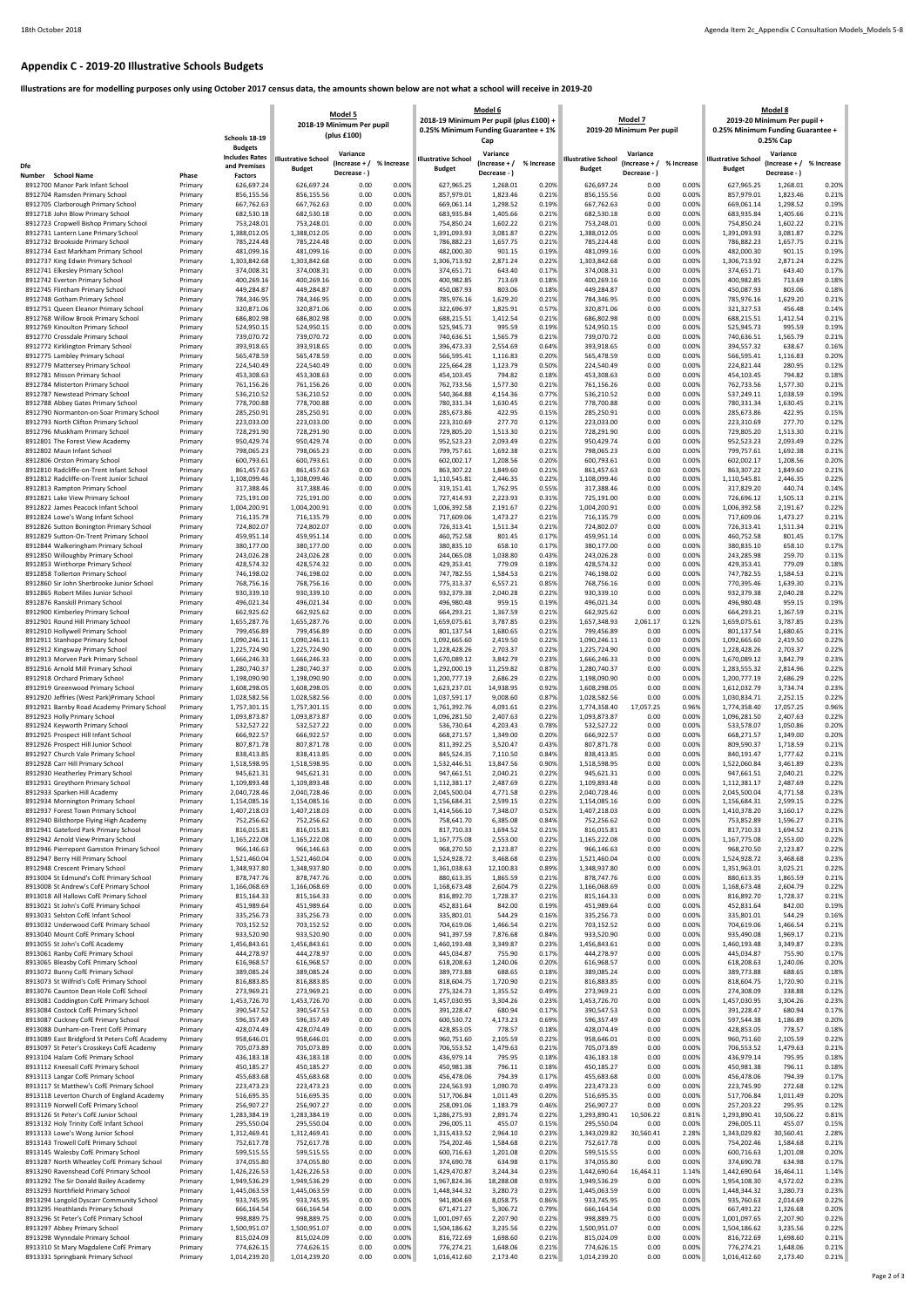## **Appendix C - 2019-20 Illustrative Schools Budgets**

**Illustrations are for modelling purposes only using October 2017 census data, the amounts shown below are not what a school will receive in 2019-20**

|                                                                            |                    | Schools 18-19                                           | Model 5<br>2018-19 Minimum Per pupil<br>(plus £100) |                                             |                | 2018-19 Minimum Per pupil (plus £100) +<br>0.25% Minimum Funding Guarantee + 1% | Model 6<br>Cap                            |                | Model 7<br>2019-20 Minimum Per pupil        |                                           |                | <b>Model 8</b><br>2019-20 Minimum Per pupil +<br>0.25% Minimum Funding Guarantee +<br>0.25% Cap |                                             |                |
|----------------------------------------------------------------------------|--------------------|---------------------------------------------------------|-----------------------------------------------------|---------------------------------------------|----------------|---------------------------------------------------------------------------------|-------------------------------------------|----------------|---------------------------------------------|-------------------------------------------|----------------|-------------------------------------------------------------------------------------------------|---------------------------------------------|----------------|
| Dfe                                                                        |                    | <b>Budgets</b><br><b>Includes Rates</b><br>and Premises | <b>Illustrative School</b><br><b>Budget</b>         | Variance<br>$(Increase + /$<br>Decrease - ) | % Increase     | <b>Illustrative School</b><br><b>Budget</b>                                     | Variance<br>(Increase + /<br>Decrease - ) | % Increase     | <b>Illustrative School</b><br><b>Budget</b> | Variance<br>(Increase + /<br>Decrease - ) | % Increase     | <b>Illustrative School</b><br><b>Budget</b>                                                     | Variance<br>(Increase $+$ /<br>Decrease - ) | % Increase     |
| Number<br><b>School Name</b><br>8912700 Manor Park Infant School           | Phase<br>Primary   | <b>Factors</b><br>626,697.24                            | 626,697.24                                          | 0.00                                        | 0.00%          | 627,965.25                                                                      | 1,268.01                                  | 0.20%          | 626,697.24                                  | 0.00                                      | 0.00%          | 627,965.25                                                                                      | 1,268.01                                    | 0.20%          |
| 8912704 Ramsden Primary School                                             | Primary            | 856,155.56                                              | 856,155.56                                          | 0.00                                        | 0.00%          | 857,979.01                                                                      | 1,823.46                                  | 0.21%          | 856,155.56                                  | 0.00                                      | 0.00%          | 857,979.01                                                                                      | 1,823.46                                    | 0.21%          |
| 8912705 Clarborough Primary School                                         | Primary            | 667,762.63                                              | 667,762.63                                          | 0.00                                        | 0.00%          | 669,061.14                                                                      | 1,298.52                                  | 0.19%          | 667,762.63                                  | 0.00                                      | 0.00%          | 669,061.14                                                                                      | 1,298.52                                    | 0.19%          |
| 8912718 John Blow Primary School                                           | Primary            | 682,530.18                                              | 682,530.18                                          | 0.00                                        | 0.00%          | 683,935.84                                                                      | 1,405.66                                  | 0.21%          | 682,530.18                                  | 0.00                                      | 0.00%          | 683,935.84                                                                                      | 1,405.66                                    | 0.21%          |
| 8912723 Cropwell Bishop Primary School                                     | Primary            | 753,248.01                                              | 753,248.01                                          | 0.00                                        | 0.00%          | 754,850.24                                                                      | 1,602.22                                  | 0.21%          | 753,248.01                                  | 0.00                                      | 0.00%          | 754,850.24                                                                                      | 1,602.22                                    | 0.21%          |
| 8912731 Lantern Lane Primary School                                        | Primary            | 1,388,012.05                                            | 1,388,012.05                                        | 0.00                                        | 0.00%          | 1,391,093.93                                                                    | 3,081.87                                  | 0.22%          | 1,388,012.05                                | 0.00                                      | 0.00%          | 1,391,093.93                                                                                    | 3,081.87                                    | 0.22%          |
| 8912732 Brookside Primary School                                           | Primary            | 785,224.48                                              | 785,224.48                                          | 0.00                                        | 0.00%          | 786,882.23                                                                      | 1,657.75                                  | 0.21%          | 785,224.48                                  | 0.00                                      | 0.00%          | 786,882.23                                                                                      | 1,657.75                                    | 0.21%          |
| 8912734 East Markham Primary School                                        | Primary            | 481,099.16                                              | 481,099.16                                          | 0.00                                        | 0.00%          | 482,000.30                                                                      | 901.15                                    | 0.19%          | 481,099.16                                  | 0.00                                      | 0.00%          | 482,000.30                                                                                      | 901.15                                      | 0.19%          |
| 8912737 King Edwin Primary School                                          | Primary            | 1,303,842.68                                            | 1,303,842.68                                        | 0.00                                        | 0.00%          | 1,306,713.92                                                                    | 2,871.24                                  | 0.22%          | 1,303,842.68                                | 0.00                                      | 0.00%          | 1,306,713.92                                                                                    | 2,871.24                                    | 0.22%          |
| 8912741 Elkesley Primary School                                            | Primary            | 374,008.31                                              | 374,008.31                                          | 0.00                                        | 0.00%<br>0.00% | 374,651.71                                                                      | 643.40<br>713.69                          | 0.17%<br>0.18% | 374,008.31                                  | 0.00                                      | 0.00%<br>0.00% | 374,651.71                                                                                      | 643.40<br>713.69                            | 0.17%<br>0.18% |
| 8912742 Everton Primary School<br>8912745 Flintham Primary School          | Primary<br>Primary | 400,269.16<br>449,284.87                                | 400,269.16<br>449,284.87                            | 0.00<br>0.00                                | 0.00%          | 400,982.85<br>450,087.93                                                        | 803.06                                    | 0.18%          | 400,269.16<br>449,284.87                    | 0.00<br>0.00                              | 0.00%          | 400,982.85<br>450,087.93                                                                        | 803.06                                      | 0.18%          |
| 8912748 Gotham Primary School                                              | Primary            | 784,346.95                                              | 784,346.95                                          | 0.00                                        | 0.00%          | 785,976.16                                                                      | 1,629.20                                  | 0.21%          | 784,346.95                                  | 0.00                                      | 0.00%          | 785,976.16                                                                                      | 1,629.20                                    | 0.21%          |
| 8912751 Queen Eleanor Primary School                                       | Primary            | 320,871.06                                              | 320,871.06                                          | 0.00                                        | 0.00%          | 322,696.97                                                                      | 1,825.91                                  | 0.57%          | 320,871.06                                  | 0.00                                      | 0.00%          | 321,327.53                                                                                      | 456.48                                      | 0.14%          |
| 8912768 Willow Brook Primary School                                        | Primary            | 686,802.98                                              | 686,802.98                                          | 0.00                                        | 0.00%          | 688,215.51                                                                      | 1,412.54                                  | 0.21%          | 686,802.98                                  | 0.00                                      | 0.00%          | 688,215.51                                                                                      | 1,412.54                                    | 0.21%          |
| 8912769 Kinoulton Primary School                                           | Primary            | 524,950.15                                              | 524,950.15                                          | 0.00                                        | 0.00%          | 525,945.73                                                                      | 995.59                                    | 0.19%          | 524,950.15                                  | 0.00                                      | 0.00%          | 525,945.73                                                                                      | 995.59                                      | 0.19%          |
| 8912770 Crossdale Primary School                                           | Primary            | 739,070.72                                              | 739,070.72                                          | 0.00                                        | 0.00%          | 740,636.51                                                                      | 1,565.79                                  | 0.21%          | 739,070.72                                  | 0.00                                      | 0.00%          | 740,636.51                                                                                      | 1,565.79                                    | 0.21%          |
| 8912772 Kirklington Primary School                                         | Primary            | 393,918.65                                              | 393,918.65                                          | 0.00                                        | 0.00%          | 396,473.33                                                                      | 2,554.69                                  | 0.64%          | 393,918.65                                  | 0.00                                      | 0.00%          | 394,557.32                                                                                      | 638.67                                      | 0.16%          |
| 8912775 Lambley Primary School                                             | Primary            | 565,478.59                                              | 565,478.59                                          | 0.00                                        | 0.00%          | 566,595.41                                                                      | 1,116.83                                  | 0.20%          | 565,478.59                                  | 0.00                                      | 0.00%          | 566,595.41                                                                                      | 1,116.83                                    | 0.20%          |
| 8912779 Mattersey Primary School                                           | Primary            | 224,540.49                                              | 224,540.49                                          | 0.00                                        | 0.00%          | 225,664.28                                                                      | 1,123.79                                  | 0.50%          | 224,540.49                                  | 0.00                                      | 0.00%          | 224,821.44                                                                                      | 280.95                                      | 0.12%          |
| 8912781 Misson Primary School                                              | Primary            | 453,308.63                                              | 453,308.63                                          | 0.00                                        | 0.00%          | 454,103.45                                                                      | 794.82                                    | 0.18%          | 453,308.63                                  | 0.00                                      | 0.00%          | 454,103.45                                                                                      | 794.82                                      | 0.18%          |
| 8912784 Misterton Primary School                                           | Primary            | 761,156.26                                              | 761,156.26                                          | 0.00                                        | 0.00%          | 762,733.56                                                                      | 1,577.30                                  | 0.21%          | 761,156.26                                  | 0.00                                      | 0.00%          | 762,733.56                                                                                      | 1,577.30                                    | 0.21%          |
| 8912787 Newstead Primary School                                            | Primary            | 536,210.52                                              | 536,210.52                                          | 0.00                                        | 0.00%          | 540,364.88                                                                      | 4,154.36                                  | 0.77%          | 536,210.52                                  | 0.00                                      | 0.00%          | 537,249.11                                                                                      | 1,038.59                                    | 0.19%          |
| 8912788 Abbey Gates Primary School                                         | Primary            | 778,700.88                                              | 778,700.88                                          | 0.00                                        | 0.00%          | 780,331.34                                                                      | 1,630.45                                  | 0.21%          | 778,700.88                                  | 0.00                                      | 0.00%          | 780,331.34                                                                                      | 1,630.45                                    | 0.21%          |
| 8912790 Normanton-on-Soar Primary School                                   | Primary            | 285,250.91                                              | 285,250.91                                          | 0.00                                        | 0.00%          | 285,673.86                                                                      | 422.95                                    | 0.15%          | 285,250.91                                  | 0.00                                      | 0.00%          | 285,673.86                                                                                      | 422.95                                      | 0.15%          |
| 8912793 North Clifton Primary School                                       | Primary            | 223,033.00                                              | 223,033.00                                          | 0.00                                        | 0.00%          | 223,310.69                                                                      | 277.70                                    | 0.12%          | 223,033.00                                  | 0.00                                      | 0.00%          | 223,310.69                                                                                      | 277.70                                      | 0.12%          |
| 8912796 Muskham Primary School                                             | Primary            | 728,291.90                                              | 728,291.90                                          | 0.00                                        | 0.00%          | 729,805.20                                                                      | 1,513.30                                  | 0.21%          | 728,291.90                                  | 0.00                                      | 0.00%          | 729,805.20                                                                                      | 1,513.30                                    | 0.21%          |
| 8912801 The Forest View Academy                                            | Primary            | 950,429.74                                              | 950,429.74                                          | 0.00                                        | 0.00%          | 952,523.23                                                                      | 2,093.49                                  | 0.22%          | 950,429.74                                  | 0.00                                      | 0.00%          | 952,523.23                                                                                      | 2,093.49                                    | 0.22%          |
| 8912802 Maun Infant School                                                 | Primary            | 798,065.23                                              | 798,065.23                                          | 0.00                                        | 0.00%          | 799,757.61                                                                      | 1,692.38                                  | 0.21%          | 798,065.23                                  | 0.00                                      | 0.00%          | 799,757.61                                                                                      | 1,692.38                                    | 0.21%          |
| 8912806 Orston Primary School                                              | Primary            | 600,793.61                                              | 600,793.61                                          | 0.00                                        | 0.00%          | 602,002.17                                                                      | 1,208.56                                  | 0.20%          | 600,793.61                                  | 0.00                                      | 0.00%          | 602,002.17                                                                                      | 1,208.56                                    | 0.20%          |
| 8912810 Radcliffe-on-Trent Infant School                                   | Primary            | 861,457.63                                              | 861,457.63                                          | 0.00                                        | 0.00%          | 863,307.22                                                                      | 1,849.60                                  | 0.21%          | 861,457.63                                  | 0.00                                      | 0.00%          | 863,307.22                                                                                      | 1,849.60                                    | 0.21%          |
| 8912812 Radcliffe-on-Trent Junior School                                   | Primary            | 1,108,099.46                                            | 1,108,099.46                                        | 0.00<br>0.00                                | 0.00%          | 1,110,545.81                                                                    | 2,446.35                                  | 0.22%<br>0.55% | 1,108,099.46                                | 0.00<br>0.00                              | 0.00%          | 1,110,545.81                                                                                    | 2,446.35                                    | 0.22%          |
| 8912813 Rampton Primary School<br>8912821 Lake View Primary School         | Primary<br>Primary | 317,388.46<br>725,191.00                                | 317,388.46<br>725,191.00                            | 0.00                                        | 0.00%<br>0.00% | 319,151.41<br>727,414.93                                                        | 1,762.95<br>2,223.93                      | 0.31%          | 317,388.46<br>725,191.00                    | 0.00                                      | 0.00%<br>0.00% | 317,829.20<br>726,696.12                                                                        | 440.74<br>1,505.13                          | 0.14%<br>0.21% |
| 8912822 James Peacock Infant School                                        | Primary            | 1,004,200.91                                            | 1,004,200.91                                        | 0.00                                        | 0.00%          | 1,006,392.58                                                                    | 2,191.67                                  | 0.22%          | 1,004,200.91                                | 0.00                                      | 0.00%          | 1,006,392.58                                                                                    | 2,191.67                                    | 0.22%          |
| 8912824 Lowe's Wong Infant School                                          | Primary            | 716,135.79                                              | 716,135.79                                          | 0.00                                        | 0.00%          | 717,609.06                                                                      | 1,473.27                                  | 0.21%          | 716,135.79                                  | 0.00                                      | 0.00%          | 717,609.06                                                                                      | 1,473.27                                    | 0.21%          |
| 8912826 Sutton Bonington Primary School                                    | Primary            | 724,802.07                                              | 724,802.07                                          | 0.00                                        | 0.00%          | 726,313.41                                                                      | 1,511.34                                  | 0.21%          | 724,802.07                                  | 0.00                                      | 0.00%          | 726,313.41                                                                                      | 1,511.34                                    | 0.21%          |
| 8912829 Sutton-On-Trent Primary School                                     | Primary            | 459,951.14                                              | 459,951.14                                          | 0.00                                        | 0.00%          | 460,752.58                                                                      | 801.45                                    | 0.17%          | 459,951.14                                  | 0.00                                      | 0.00%          | 460,752.58                                                                                      | 801.45                                      | 0.17%          |
| 8912844 Walkeringham Primary School                                        | Primary            | 380,177.00                                              | 380,177.00                                          | 0.00                                        | 0.00%          | 380,835.10                                                                      | 658.10                                    | 0.17%          | 380,177.00                                  | 0.00                                      | 0.00%          | 380,835.10                                                                                      | 658.10                                      | 0.17%          |
| 8912850 Willoughby Primary School                                          | Primary            | 243,026.28                                              | 243,026.28                                          | 0.00                                        | 0.00%          | 244,065.08                                                                      | 1,038.80                                  | 0.43%          | 243,026.28                                  | 0.00                                      | 0.00%          | 243,285.98                                                                                      | 259.70                                      | 0.11%          |
| 8912853 Winthorpe Primary School                                           | Primary            | 428,574.32                                              | 428,574.32                                          | 0.00                                        | 0.00%          | 429,353.41                                                                      | 779.09                                    | 0.18%          | 428,574.32                                  | 0.00                                      | 0.00%          | 429,353.41                                                                                      | 779.09                                      | 0.18%          |
| 8912858 Tollerton Primary School                                           | Primary            | 746,198.02                                              | 746,198.02                                          | 0.00                                        | 0.00%          | 747,782.55                                                                      | 1,584.53                                  | 0.21%          | 746,198.02                                  | 0.00                                      | 0.00%          | 747,782.55                                                                                      | 1,584.53                                    | 0.21%          |
| 8912860 Sir John Sherbrooke Junior School                                  | Primary            | 768,756.16                                              | 768,756.16                                          | 0.00                                        | 0.00%          | 775,313.37                                                                      | 6,557.21                                  | 0.85%          | 768,756.16                                  | 0.00                                      | 0.00%          | 770.395.46                                                                                      | 1,639.30                                    | 0.21%          |
| 8912865 Robert Miles Junior School                                         | Primary            | 930,339.10                                              | 930,339.10                                          | 0.00                                        | 0.00%          | 932,379.38                                                                      | 2,040.28                                  | 0.22%          | 930,339.10                                  | 0.00                                      | $0.00\%$       | 932,379.38                                                                                      | 2,040.28                                    | 0.22%          |
| 8912876 Ranskill Primary School                                            | Primary            | 496,021.34                                              | 496,021.34                                          | 0.00                                        | 0.00%          | 496,980.48                                                                      | 959.15                                    | 0.19%          | 496,021.34                                  | 0.00                                      | 0.00%          | 496,980.48                                                                                      | 959.15                                      | 0.19%          |
| 8912900 Kimberley Primary School                                           | Primary            | 662,925.62                                              | 662,925.62                                          | 0.00                                        | 0.00%          | 664,293.21                                                                      | 1,367.59                                  | 0.21%          | 662,925.62                                  | 0.00                                      | 0.00%          | 664,293.21                                                                                      | 1,367.59                                    | 0.21%          |
| 8912901 Round Hill Primary School                                          | Primary            | 1,655,287.76                                            | 1,655,287.76                                        | 0.00                                        | 0.00%          | 1,659,075.61                                                                    | 3,787.85                                  | 0.23%          | 1,657,348.93                                | 2,061.17                                  | 0.12%          | 1,659,075.61                                                                                    | 3,787.85                                    | 0.23%          |
| 8912910 Hollywell Primary School                                           | Primary            | 799,456.89                                              | 799,456.89                                          | 0.00                                        | 0.00%          | 801,137.54                                                                      | 1,680.65                                  | 0.21%          | 799,456.89                                  | 0.00                                      | 0.00%          | 801,137.54                                                                                      | 1,680.65                                    | 0.21%          |
| 8912911 Stanhope Primary School                                            | Primary            | 1,090,246.11                                            | 1,090,246.11                                        | 0.00                                        | 0.00%          | 1,092,665.60                                                                    | 2,419.50                                  | 0.22%          | 1,090,246.11                                | 0.00                                      | 0.00%          | 1,092,665.60                                                                                    | 2,419.50                                    | 0.22%          |
| 8912912 Kingsway Primary School                                            | Primary            | 1,225,724.90                                            | 1,225,724.90                                        | 0.00                                        | 0.00%          | 1,228,428.26                                                                    | 2,703.37                                  | 0.22%          | 1,225,724.90                                | 0.00                                      | 0.00%          | 1,228,428.26                                                                                    | 2,703.37                                    | 0.22%          |
| 8912913 Morven Park Primary School                                         | Primary            | 1,666,246.33                                            | 1,666,246.33                                        | 0.00                                        | 0.00%          | 1,670,089.12                                                                    | 3,842.79                                  | 0.23%          | 1,666,246.33                                | 0.00                                      | 0.00%          | 1,670,089.12                                                                                    | 3,842.79                                    | 0.23%          |
| 8912916 Arnold Mill Primary School                                         | Primary            | 1,280,740.37                                            | 1,280,740.37                                        | 0.00                                        | 0.00%          | 1,292,000.19                                                                    | 11,259.82                                 | 0.87%          | 1,280,740.37                                | 0.00                                      | 0.00%          | 1,283,555.32                                                                                    | 2,814.96                                    | 0.22%          |
| 8912918 Orchard Primary School                                             | Primary            | 1,198,090.90                                            | 1,198,090.90                                        | 0.00                                        | 0.00%          | 1,200,777.19                                                                    | 2,686.29                                  | 0.22%          | 1,198,090.90                                | 0.00                                      | 0.00%          | 1,200,777.19                                                                                    | 2,686.29                                    | 0.22%          |
| 8912919 Greenwood Primary School                                           | Primary            | 1,608,298.05                                            | 1,608,298.05                                        | 0.00                                        | 0.00%          | 1,623,237.01                                                                    | 14,938.95                                 | 0.92%          | 1,608,298.05                                | 0.00                                      | 0.00%          | 1,612,032.79                                                                                    | 3,734.74                                    | 0.23%          |
| 8912920 Jeffries (West Park)Primary School                                 | Primary            | 1,028,582.56                                            | 1,028,582.56                                        | 0.00                                        | 0.00%          | 1,037,591.17                                                                    | 9,008.60                                  | 0.87%          | 1,028,582.56                                | 0.00                                      | 0.00%          | 1,030,834.71                                                                                    | 2,252.15                                    | 0.22%          |
| 8912921 Barnby Road Academy Primary School                                 | Primary            | 1,757,301.15                                            | 1,757,301.15                                        | 0.00                                        | 0.00%          | 1,761,392.76                                                                    | 4,091.61                                  | 0.23%          | 1,774,358.40                                | 17,057.25                                 | 0.96%          | 1,774,358.40                                                                                    | 17,057.25                                   | 0.96%          |
| 8912923 Holly Primary School                                               | Primary            | 1,093,873.87                                            | 1,093,873.87                                        | 0.00                                        | 0.00%          | 1,096,281.50                                                                    | 2,407.63                                  | 0.22%          | 1,093,873.87                                | 0.00                                      | 0.00%          | 1,096,281.50                                                                                    | 2,407.63                                    | 0.22%          |
| 8912924 Keyworth Primary School                                            | Primary            | 532,527.22                                              | 532,527.22                                          | 0.00                                        | 0.00%          | 536,730.64                                                                      | 4,203.43                                  | 0.78%          | 532,527.22                                  | 0.00                                      | 0.00%          | 533,578.07                                                                                      | 1,050.86                                    | 0.20%          |
| 8912925 Prospect Hill Infant School                                        | Primary            | 666,922.57                                              | 666,922.57                                          | 0.00                                        | 0.00%          | 668,271.57                                                                      | 1,349.00                                  | 0.20%          | 666,922.57                                  | 0.00                                      | 0.00%          | 668,271.57                                                                                      | 1,349.00                                    | 0.20%          |
| 8912926 Prospect Hill Junior School                                        | Primary            | 807,871.78                                              | 807,871.78                                          | 0.00                                        | 0.00%          | 811,392.25                                                                      | 3,520.47                                  | 0.43%          | 807,871.78                                  | 0.00                                      | 0.00%          | 809,590.37                                                                                      | 1,718.59                                    | 0.21%          |
| 8912927 Church Vale Primary School                                         |                    | 838,413.85                                              | 838,413.85                                          | 0.00                                        | 0.00%          | 845,524.35                                                                      | 7,110.50                                  | 0.84%          | 838,413.85                                  | 0.00                                      | 0.00%          | 840,191.47                                                                                      | 1,777.62                                    | 0.21%          |
| 8912928 Carr Hill Primary School                                           | Primary<br>Primary | 1,518,598.95                                            | 1,518,598.95                                        | 0.00                                        | 0.00%          | 1,532,446.51                                                                    | 13,847.56                                 | 0.90%          | 1,518,598.95                                | 0.00                                      | 0.00%          | 1,522,060.84                                                                                    | 3,461.89                                    | 0.23%          |
| 8912930 Heatherley Primary School                                          | Primary            | 945,621.31                                              | 945,621.31                                          | 0.00                                        | 0.00%          | 947,661.51                                                                      | 2,040.21                                  | 0.22%          | 945,621.31                                  | 0.00                                      | 0.00%          | 947,661.51                                                                                      | 2,040.21                                    | 0.22%          |
| 8912931 Greythorn Primary School                                           | Primary            | 1,109,893.48                                            | 1,109,893.48                                        | 0.00                                        | 0.00%          | 1,112,381.17                                                                    | 2,487.69                                  | 0.22%          | 1,109,893.48                                | 0.00                                      | 0.00%          | 1,112,381.17                                                                                    | 2,487.69                                    | 0.22%          |
| 8912933 Sparken Hill Academy                                               | Primary            | 2,040,728.46                                            | 2,040,728.46                                        | 0.00                                        | 0.00%          | 2,045,500.04                                                                    | 4,771.58                                  | 0.23%          | 2,040,728.46                                | 0.00                                      | 0.00%          | 2,045,500.04                                                                                    | 4,771.58                                    | 0.23%          |
| 8912934 Mornington Primary School                                          | Primary            | 1,154,085.16                                            | 1,154,085.16                                        | 0.00                                        | 0.00%          | 1,156,684.31                                                                    | 2,599.15                                  | 0.22%          | 1,154,085.16                                | 0.00                                      | 0.00%          | 1,156,684.31                                                                                    | 2,599.15                                    | 0.22%          |
| 8912937 Forest Town Primary School                                         | Primary            | 1,407,218.03                                            | 1,407,218.03                                        | 0.00                                        | 0.00%          | 1,414,566.10                                                                    | 7,348.07                                  | 0.52%          | 1,407,218.03                                | 0.00                                      | 0.00%          | 1,410,378.20                                                                                    | 3,160.17                                    | 0.22%          |
| 8912940 Bilsthorpe Flying High Academy                                     | Primary            | 752,256.62                                              | 752,256.62                                          | 0.00                                        | 0.00%          | 758,641.70                                                                      | 6,385.08                                  | 0.84%          | 752,256.62                                  | 0.00                                      | 0.00%          | 753,852.89                                                                                      | 1,596.27                                    | 0.21%          |
| 8912941 Gateford Park Primary School                                       | Primary            | 816,015.81                                              | 816,015.81                                          | 0.00                                        | 0.00%          | 817,710.33                                                                      | 1,694.52                                  | 0.21%          | 816,015.81                                  | 0.00                                      | 0.00%          | 817,710.33                                                                                      | 1,694.52                                    | 0.21%          |
| 8912942 Arnold View Primary School                                         | Primary            | 1,165,222.08                                            | 1,165,222.08                                        | 0.00                                        | 0.00%          | 1,167,775.08                                                                    | 2,553.00                                  | 0.22%          | 1,165,222.08                                | 0.00                                      | 0.00%          | 1,167,775.08                                                                                    | 2,553.00                                    | 0.22%          |
| 8912946 Pierrepont Gamston Primary School                                  | Primary            | 966,146.63                                              | 966,146.63                                          | 0.00                                        | 0.00%          | 968,270.50                                                                      | 2,123.87                                  | 0.22%          | 966,146.63                                  | 0.00                                      | 0.00%          | 968,270.50                                                                                      | 2,123.87                                    | 0.22%          |
| 8912947 Berry Hill Primary School                                          | Primary            | 1,521,460.04                                            | 1,521,460.04                                        | 0.00                                        | 0.00%          | 1,524,928.72                                                                    | 3,468.68                                  | 0.23%          | 1,521,460.04                                | 0.00                                      | 0.00%          | 1,524,928.72                                                                                    | 3,468.68                                    | 0.23%          |
| 8912948 Crescent Primary School                                            | Primary            | 1,348,937.80                                            | 1,348,937.80                                        | 0.00                                        | 0.00%          | 1,361,038.63                                                                    | 12,100.83                                 | 0.89%          | 1,348,937.80                                | 0.00                                      | 0.00%          | 1,351,963.01                                                                                    | 3,025.21                                    | 0.22%          |
| 8913004 St Edmund's CofE Primary School                                    | Primary            | 878,747.76                                              | 878,747.76                                          | 0.00                                        | 0.00%          | 880,613.35                                                                      | 1,865.59                                  | 0.21%          | 878,747.76                                  | 0.00                                      | 0.00%          | 880,613.35                                                                                      | 1,865.59                                    | 0.21%          |
| 8913008 St Andrew's CofE Primary School                                    |                    | 1,166,068.69                                            | 1,166,068.69                                        | 0.00                                        | 0.00%          | 1,168,673.48                                                                    | 2,604.79                                  | 0.22%          | 1,166,068.69                                | 0.00                                      | 0.00%          | 1,168,673.48                                                                                    | 2,604.79                                    | 0.22%          |
| 8913018 All Hallows CofE Primary School                                    | Primary<br>Primary | 815,164.33                                              | 815,164.33                                          | 0.00                                        | 0.00%          | 816,892.70                                                                      | 1,728.37                                  | 0.21%          | 815,164.33                                  | 0.00                                      | 0.00%          | 816,892.70                                                                                      | 1,728.37                                    | 0.21%          |
| 8913021 St John's CofE Primary School                                      | Primary            | 451,989.64                                              | 451,989.64                                          | 0.00                                        | 0.00%          | 452,831.64                                                                      | 842.00                                    | 0.19%          | 451,989.64                                  | 0.00                                      | 0.00%          | 452,831.64                                                                                      | 842.00                                      | 0.19%          |
| 8913031 Selston CofE Infant School                                         | Primary            | 335,256.73                                              | 335,256.73                                          | 0.00                                        | 0.00%          | 335,801.01                                                                      | 544.29                                    | 0.16%          | 335,256.73                                  | 0.00                                      | 0.00%          | 335,801.01                                                                                      | 544.29                                      | 0.16%          |
| 8913032 Underwood CofE Primary School                                      | Primary            | 703,152.52                                              | 703,152.52                                          | 0.00                                        | 0.00%          | 704,619.06                                                                      | 1,466.54                                  | 0.21%          | 703,152.52                                  | 0.00                                      | 0.00%          | 704,619.06                                                                                      | 1,466.54                                    | 0.21%          |
| 8913040 Mount CofE Primary School                                          | Primary            | 933,520.90                                              | 933,520.90                                          | 0.00                                        | 0.00%          | 941,397.59                                                                      | 7,876.68                                  | 0.84%          | 933,520.90                                  | 0.00                                      | 0.00%          | 935,490.08                                                                                      | 1,969.17                                    | 0.21%          |
| 8913055 St John's CofE Academy                                             | Primary            | 1,456,843.61                                            | 1,456,843.61                                        | 0.00                                        | 0.00%          | 1,460,193.48                                                                    | 3,349.87                                  | 0.23%          | 1,456,843.61                                | 0.00                                      | 0.00%          | 1,460,193.48                                                                                    | 3,349.87                                    | 0.23%          |
| 8913061 Ranby CofE Primary School                                          | Primary            | 444,278.97                                              | 444,278.97                                          | 0.00                                        | 0.00%          | 445,034.87                                                                      | 755.90                                    | 0.17%          | 444,278.97                                  | 0.00                                      | 0.00%          | 445,034.87                                                                                      | 755.90                                      | 0.17%          |
| 8913065 Bleasby CofE Primary School                                        | Primary            | 616,968.57                                              | 616,968.57                                          | 0.00                                        | 0.00%          | 618,208.63                                                                      | 1,240.06                                  | 0.20%          | 616,968.57                                  | 0.00                                      | 0.00%          | 618,208.63                                                                                      | 1,240.06                                    | 0.20%          |
| 8913072 Bunny CofE Primary School                                          | Primary            | 389,085.24                                              | 389,085.24                                          | 0.00                                        | 0.00%          | 389,773.88                                                                      | 688.65                                    | 0.18%          | 389,085.24                                  | 0.00                                      | 0.00%          | 389,773.88                                                                                      | 688.65                                      | 0.18%          |
| 8913073 St Wilfrid's CofE Primary School                                   | Primary            | 816,883.85                                              | 816,883.85                                          | 0.00                                        | 0.00%          | 818,604.75                                                                      | 1,720.90                                  | 0.21%          | 816,883.85                                  | 0.00                                      | 0.00%          | 818,604.75                                                                                      | 1,720.90                                    | 0.21%          |
| 8913076 Caunton Dean Hole CofE School                                      | Primary            | 273,969.21                                              | 273,969.21                                          | 0.00                                        | 0.00%          | 275,324.73                                                                      | 1,355.52                                  | 0.49%          | 273,969.21                                  | 0.00                                      | 0.00%          | 274,308.09                                                                                      | 338.88                                      | 0.12%          |
| 8913081 Coddington CofE Primary School                                     | Primary            | 1,453,726.70                                            | 1,453,726.70                                        | 0.00                                        | 0.00%          | 1,457,030.95                                                                    | 3,304.26                                  | 0.23%          | 1,453,726.70                                | 0.00                                      | 0.00%          | 1,457,030.95                                                                                    | 3,304.26                                    | 0.23%          |
| 8913084 Costock CofE Primary School                                        | Primary            | 390,547.52                                              | 390,547.53                                          | 0.00                                        | 0.00%          | 391,228.47                                                                      | 680.94                                    | 0.17%          | 390,547.53                                  | 0.00                                      | 0.00%          | 391,228.47                                                                                      | 680.94                                      | 0.17%          |
| 8913087 Cuckney CofE Primary School                                        | Primary            | 596,357.49                                              | 596,357.49                                          | 0.00                                        | 0.00%          | 600,530.72                                                                      | 4,173.23                                  | 0.69%          | 596,357.49                                  | 0.00                                      | 0.00%          | 597,544.38                                                                                      | 1,186.89                                    | 0.20%          |
| 8913088 Dunham-on-Trent CofE Primary                                       | Primary            | 428,074.49                                              | 428,074.49                                          | 0.00                                        | 0.00%          | 428,853.05                                                                      | 778.57                                    | 0.18%          | 428,074.49                                  | 0.00                                      | 0.00%          | 428,853.05                                                                                      | 778.57                                      | 0.18%          |
| 8913089 East Bridgford St Peters CofE Academy                              | Primary            | 958,646.01                                              | 958,646.01                                          | 0.00                                        | 0.00%          | 960,751.60                                                                      | 2,105.59                                  | 0.22%          | 958,646.01                                  | 0.00                                      | 0.00%          | 960,751.60                                                                                      | 2,105.59                                    | 0.22%          |
| 8913097 St Peter's Crosskeys CofE Academy                                  | Primary            | 705,073.89                                              | 705,073.89                                          | 0.00                                        | 0.00%          | 706,553.52                                                                      | 1,479.63                                  | 0.21%          | 705,073.89                                  | 0.00                                      | 0.00%          | 706,553.52                                                                                      | 1,479.63                                    | 0.21%          |
| 8913104 Halam CofE Primary School                                          | Primary            | 436,183.18                                              | 436,183.18                                          | 0.00                                        | 0.00%          | 436,979.14                                                                      | 795.95                                    | 0.18%          | 436,183.18                                  | 0.00                                      | 0.00%          | 436,979.14                                                                                      | 795.95                                      | 0.18%          |
| 8913112 Kneesall CofE Primary School                                       | Primary            | 450,185.27                                              | 450,185.27                                          | 0.00                                        | 0.00%          | 450,981.38                                                                      | 796.11                                    | 0.18%          | 450,185.27                                  | 0.00                                      | 0.00%          | 450,981.38                                                                                      | 796.11                                      | 0.18%          |
| 8913113 Langar CofE Primary School                                         | Primary            | 455,683.68                                              | 455,683.68                                          | 0.00                                        | 0.00%          | 456,478.06                                                                      | 794.39                                    | 0.17%          | 455,683.68                                  | 0.00                                      | 0.00%          | 456,478.06                                                                                      | 794.39                                      | 0.17%          |
| 8913117 St Matthew's CofE Primary School                                   | Primary            | 223,473.23                                              | 223,473.23                                          | 0.00                                        | 0.00%          | 224,563.93                                                                      | 1,090.70                                  | 0.49%          | 223,473.23                                  | 0.00                                      | 0.00%          | 223,745.90                                                                                      | 272.68                                      | 0.12%          |
| 8913118 Leverton Church of England Academy                                 | Primary            | 516,695.35                                              | 516,695.35                                          | 0.00                                        | 0.00%          | 517,706.84                                                                      | 1,011.49                                  | 0.20%          | 516,695.35                                  | 0.00                                      | 0.00%          | 517,706.84                                                                                      | 1,011.49                                    | 0.20%          |
| 8913119 Norwell CofE Primary School                                        | Primary            | 256,907.27                                              | 256,907.27                                          | 0.00                                        | 0.00%          | 258,091.06                                                                      | 1,183.79                                  | 0.46%          | 256,907.27                                  | 0.00                                      | 0.00%          | 257,203.22                                                                                      | 295.95                                      | 0.12%          |
| 8913126 St Peter's CofE Junior School                                      | Primary            | 1,283,384.19                                            | 1,283,384.19                                        | 0.00                                        | 0.00%          | 1,286,275.93                                                                    | 2,891.74                                  | 0.22%          | 1,293,890.41                                | 10,506.22                                 | 0.81%          | 1,293,890.41                                                                                    | 10,506.22                                   | 0.81%          |
| 8913132 Holy Trinity CofE Infant School                                    | Primary            | 295,550.04                                              | 295,550.04                                          | 0.00                                        | 0.00%          | 296,005.11                                                                      | 455.07                                    | 0.15%          | 295,550.04                                  | 0.00                                      | 0.00%          | 296,005.11                                                                                      | 455.07                                      | 0.15%          |
| 8913133 Lowe's Wong Junior School                                          | Primary            | 1,312,469.41                                            | 1,312,469.41                                        | 0.00                                        | 0.00%          | 1,315,433.52                                                                    | 2,964.10                                  | 0.23%          | 1,343,029.82                                | 30,560.41                                 | 2.28%          | 1,343,029.82                                                                                    | 30,560.41                                   | 2.28%          |
| 8913143 Trowell CofE Primary School<br>8913145 Walesby CofE Primary School | Primary            | 752,617.78<br>599,515.55                                | 752,617.78<br>599,515.55                            | 0.00                                        | 0.00%          | 754,202.46                                                                      | 1,584.68                                  | 0.21%          | 752,617.78<br>599,515.55                    | 0.00                                      | 0.00%<br>0.00% | 754,202.46                                                                                      | 1,584.68                                    | 0.21%<br>0.20% |
| 8913287 North Wheatley CofE Primary School                                 | Primary<br>Primary | 374,055.80                                              | 374,055.80                                          | 0.00<br>0.00                                | 0.00%<br>0.00% | 600,716.63<br>374,690.78                                                        | 1,201.08<br>634.98                        | 0.20%<br>0.17% | 374,055.80                                  | 0.00<br>0.00                              | 0.00%          | 600,716.63<br>374,690.78                                                                        | 1,201.08<br>634.98                          | 0.17%          |
| 8913290 Ravenshead CofE Primary School                                     | Primary            | 1,426,226.53                                            | 1,426,226.53                                        | 0.00                                        | 0.00%          | 1,429,470.87                                                                    | 3,244.34                                  | 0.23%          | 1,442,690.64                                | 16,464.11                                 | 1.14%          | 1,442,690.64                                                                                    | 16,464.11                                   | 1.14%          |
| 8913292 The Sir Donald Bailey Academy                                      | Primary            | 1,949,536.29                                            | 1,949,536.29                                        | 0.00                                        | 0.00%          | 1,967,824.36                                                                    | 18,288.08                                 | 0.93%          | 1,949,536.29                                | 0.00                                      | 0.00%          | 1,954,108.30                                                                                    | 4,572.02                                    | 0.23%          |
| 8913293 Northfield Primary School                                          | Primary            | 1,445,063.59                                            | 1,445,063.59                                        | 0.00                                        | 0.00%          | 1,448,344.32                                                                    | 3,280.73                                  | 0.23%          | 1,445,063.59                                | 0.00                                      | 0.00%          | 1,448,344.32                                                                                    | 3,280.73                                    | 0.23%          |
| 8913294 Langold Dyscarr Community School                                   | Primary            | 933,745.95                                              | 933,745.95                                          | 0.00                                        | 0.00%          | 941,804.69                                                                      | 8,058.75                                  | 0.86%          | 933,745.95                                  | 0.00                                      | 0.00%          | 935,760.63                                                                                      | 2,014.69                                    | 0.22%          |
| 8913295 Heathlands Primary School                                          | Primary            | 666,164.54                                              | 666,164.54                                          | 0.00                                        | 0.00%          | 671,471.27                                                                      | 5,306.72                                  | 0.79%          | 666,164.54                                  | 0.00                                      | 0.00%          | 667,491.22                                                                                      | 1,326.68                                    | 0.20%          |
| 8913296 St Peter's CofE Primary School                                     | Primary            | 998,889.75                                              | 998,889.75                                          | 0.00                                        | 0.00%          | 1,001,097.65                                                                    | 2,207.90                                  | 0.22%          | 998,889.75                                  | 0.00                                      | 0.00%          | 1,001,097.65                                                                                    | 2,207.90                                    | 0.22%          |
| 8913297 Abbey Primary School                                               | Primary            | 1,500,951.07                                            | 1,500,951.07                                        | 0.00                                        | 0.00%          | 1,504,186.62                                                                    | 3,235.56                                  | 0.22%          | 1,500,951.07                                | 0.00                                      | 0.00%          | 1,504,186.62                                                                                    | 3,235.56                                    | 0.22%          |
| 8913298 Wynndale Primary School                                            | Primary            | 815,024.09                                              | 815,024.09                                          | 0.00                                        | 0.00%          | 816,722.69                                                                      | 1,698.60                                  | 0.21%          | 815,024.09                                  | 0.00                                      | 0.00%          | 816,722.69                                                                                      | 1,698.60                                    | 0.21%          |
| 8913310 St Mary Magdalene CofE Primary                                     | Primary            | 774,626.15                                              | 774,626.15                                          | 0.00                                        | 0.00%          | 776,274.21                                                                      | 1,648.06                                  | 0.21%          | 774,626.15                                  | 0.00                                      | 0.00%          | 776,274.21                                                                                      | 1,648.06                                    | 0.21%          |
| 8913331 Springbank Primary School                                          | Primary            | 1,014,239.20                                            | 1,014,239.20                                        | 0.00                                        | 0.00%          | 1,016,412.60                                                                    | 2,173.40                                  | 0.21%          | 1,014,239.20                                | 0.00                                      | 0.00%          | 1,016,412.60                                                                                    | 2,173.40                                    | 0.21%          |